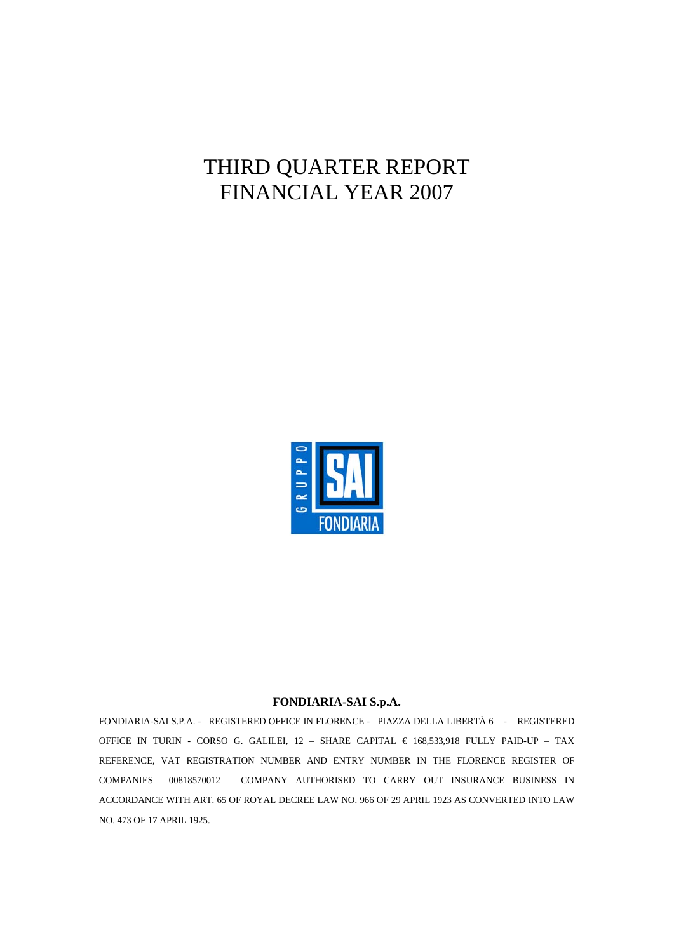# THIRD QUARTER REPORT FINANCIAL YEAR 2007



#### **FONDIARIA-SAI S.p.A.**

FONDIARIA-SAI S.P.A. - REGISTERED OFFICE IN FLORENCE - PIAZZA DELLA LIBERTÀ 6 - REGISTERED OFFICE IN TURIN - CORSO G. GALILEI, 12 - SHARE CAPITAL  $\in$  168,533,918 FULLY PAID-UP - TAX REFERENCE, VAT REGISTRATION NUMBER AND ENTRY NUMBER IN THE FLORENCE REGISTER OF COMPANIES 00818570012 – COMPANY AUTHORISED TO CARRY OUT INSURANCE BUSINESS IN ACCORDANCE WITH ART. 65 OF ROYAL DECREE LAW NO. 966 OF 29 APRIL 1923 AS CONVERTED INTO LAW NO. 473 OF 17 APRIL 1925.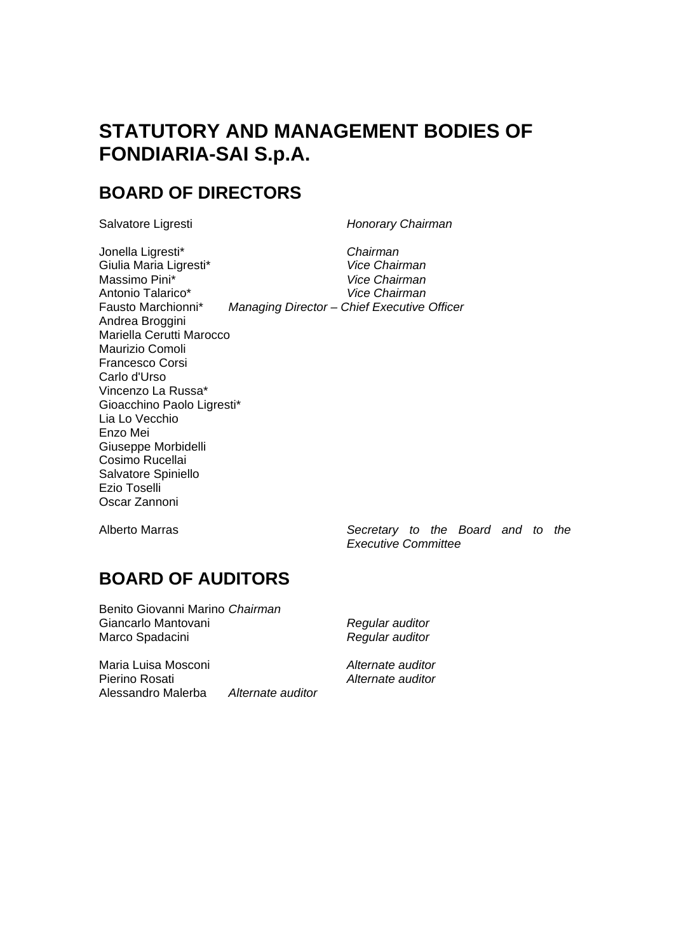# **STATUTORY AND MANAGEMENT BODIES OF FONDIARIA-SAI S.p.A.**

# **BOARD OF DIRECTORS**

Salvatore Ligresti *Honorary Chairman* 

Jonella Ligresti\* *Chairman*  Giulia Maria Ligresti\* *Vice Chairman*  Massimo Pini\* *Vice Chairman*  Antonio Talarico\* *Vice Chairman*  Fausto Marchionni\* *Managing Director – Chief Executive Officer*  Andrea Broggini Mariella Cerutti Marocco Maurizio Comoli Francesco Corsi Carlo d'Urso Vincenzo La Russa\* Gioacchino Paolo Ligresti\* Lia Lo Vecchio Enzo Mei Giuseppe Morbidelli Cosimo Rucellai Salvatore Spiniello Ezio Toselli Oscar Zannoni

Alberto Marras *Secretary to the Board and to the Executive Committee* 

# **BOARD OF AUDITORS**

Benito Giovanni Marino *Chairman*  Giancarlo Mantovani *Regular auditor*  Marco Spadacini *Regular auditor* 

Maria Luisa Mosconi *Alternate auditor*  Pierino Rosati *Alternate auditor*  Alessandro Malerba *Alternate auditor*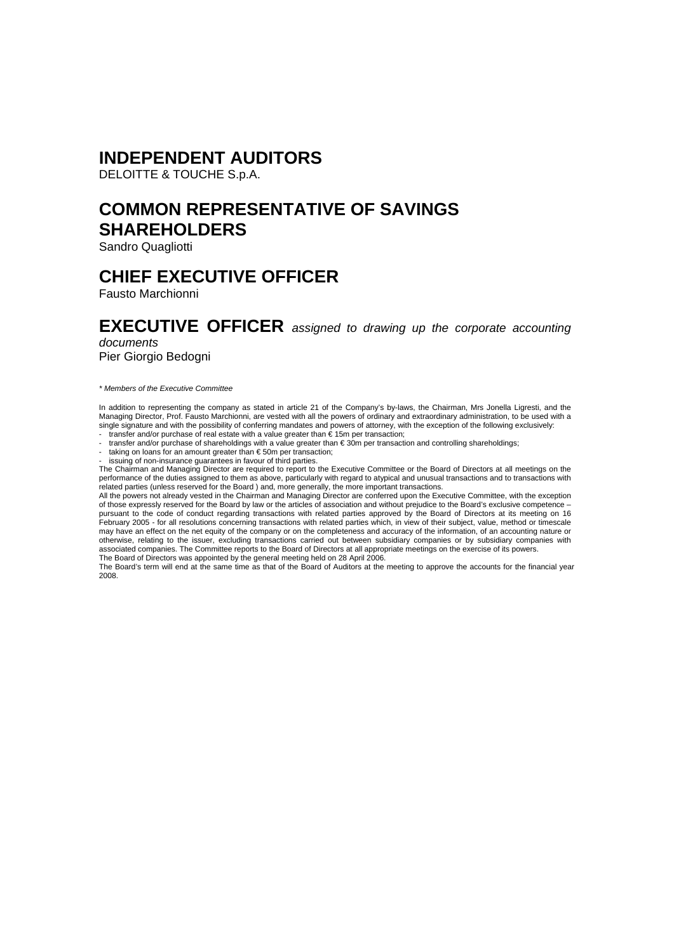### **INDEPENDENT AUDITORS**

DELOITTE & TOUCHE S.p.A.

# **COMMON REPRESENTATIVE OF SAVINGS SHAREHOLDERS**

Sandro Quagliotti

### **CHIEF EXECUTIVE OFFICER**

Fausto Marchionni

### **EXECUTIVE OFFICER** *assigned to drawing up the corporate accounting documents*

Pier Giorgio Bedogni

*\* Members of the Executive Committee* 

In addition to representing the company as stated in article 21 of the Company's by-laws, the Chairman, Mrs Jonella Ligresti, and the<br>Managing Director, Prof. Fausto Marchionni, are vested with all the powers of ordinary a single signature and with the possibility of conferring mandates and powers of attorney, with the exception of the following exclusively:

- transfer and/or purchase of real estate with a value greater than € 15m per transaction; - transfer and/or purchase of shareholdings with a value greater than € 30m per transaction and controlling shareholdings; - taking on loans for an amount greater than € 50m per transaction;

issuing of non-insurance guarantees in favour of third parties.

The Chairman and Managing Director are required to report to the Executive Committee or the Board of Directors at all meetings on the performance of the duties assigned to them as above, particularly with regard to atypical and unusual transactions and to transactions with

related parties (unless reserved for the Board ) and, more generally, the more important transactions.<br>All the powers not already vested in the Chairman and Managing Director are conferred upon the Executive Committee, wit of those expressly reserved for the Board by law or the articles of association and without prejudice to the Board's exclusive competence – pursuant to the code of conduct regarding transactions with related parties approved by the Board of Directors at its meeting on 16 February 2005 - for all resolutions concerning transactions with related parties which, in view of their subject, value, method or timescale may have an effect on the net equity of the company or on the completeness and accuracy of the information, of an accounting nature or otherwise, relating to the issuer, excluding transactions carried out between subsidiary companies or by subsidiary companies with<br>associated companies. The Committee reports to the Board of Directors at all appropriate me The Board of Directors was appointed by the general meeting held on 28 April 2006.

The Board's term will end at the same time as that of the Board of Auditors at the meeting to approve the accounts for the financial year 2008.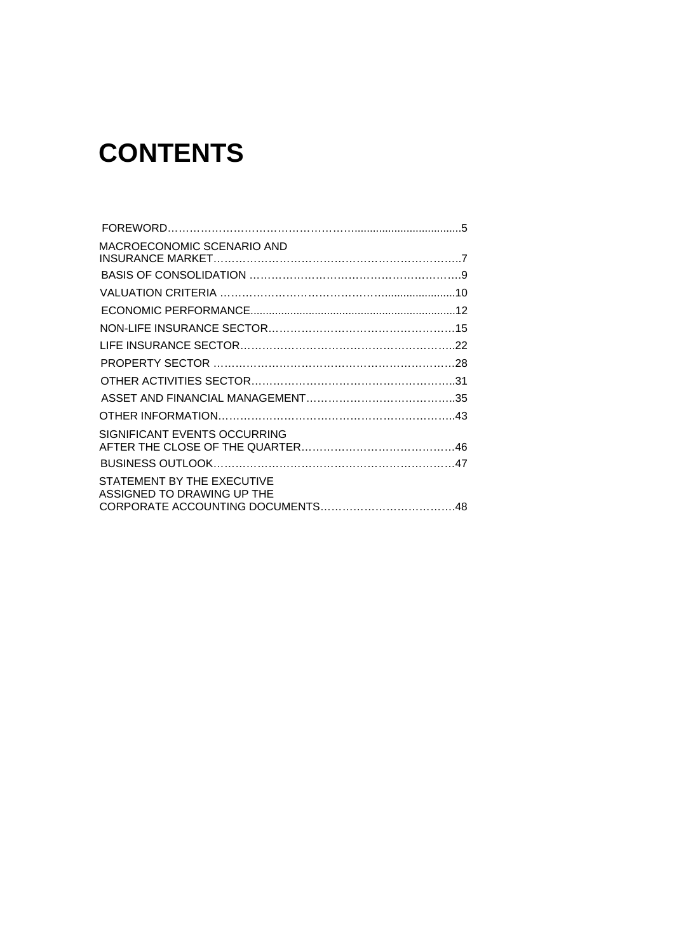# **CONTENTS**

| MACROECONOMIC SCENARIO AND                               |  |
|----------------------------------------------------------|--|
|                                                          |  |
|                                                          |  |
|                                                          |  |
|                                                          |  |
|                                                          |  |
|                                                          |  |
|                                                          |  |
|                                                          |  |
|                                                          |  |
|                                                          |  |
| SIGNIFICANT EVENTS OCCURRING                             |  |
|                                                          |  |
|                                                          |  |
| STATEMENT BY THE EXECUTIVE<br>ASSIGNED TO DRAWING UP THE |  |
|                                                          |  |
|                                                          |  |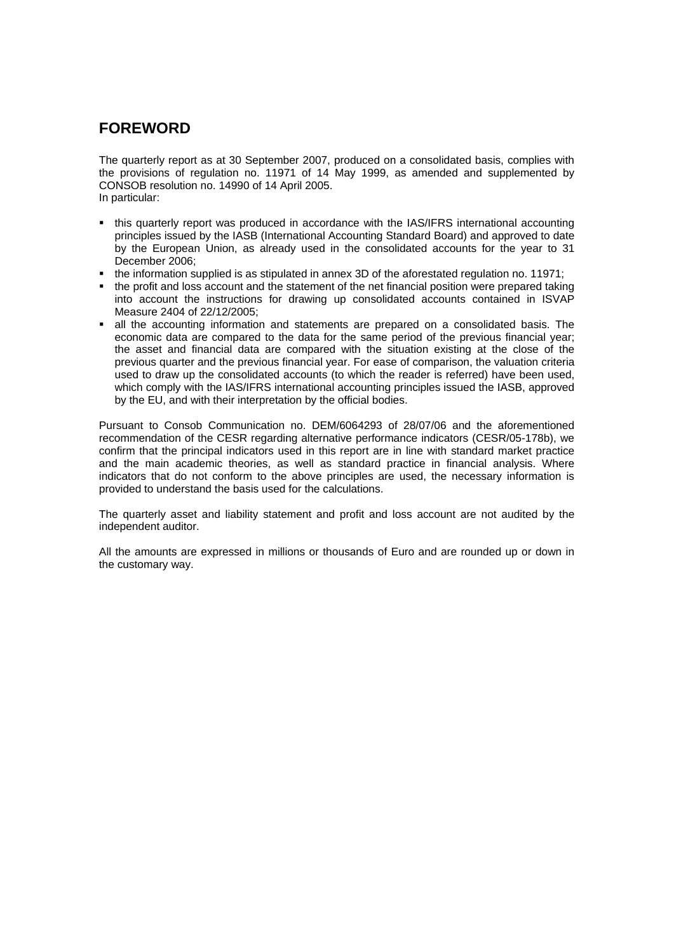### **FOREWORD**

The quarterly report as at 30 September 2007, produced on a consolidated basis, complies with the provisions of regulation no. 11971 of 14 May 1999, as amended and supplemented by CONSOB resolution no. 14990 of 14 April 2005. In particular:

- this quarterly report was produced in accordance with the IAS/IFRS international accounting principles issued by the IASB (International Accounting Standard Board) and approved to date by the European Union, as already used in the consolidated accounts for the year to 31 December 2006;
- the information supplied is as stipulated in annex 3D of the aforestated regulation no. 11971;
- the profit and loss account and the statement of the net financial position were prepared taking into account the instructions for drawing up consolidated accounts contained in ISVAP Measure 2404 of 22/12/2005;
- all the accounting information and statements are prepared on a consolidated basis. The economic data are compared to the data for the same period of the previous financial year; the asset and financial data are compared with the situation existing at the close of the previous quarter and the previous financial year. For ease of comparison, the valuation criteria used to draw up the consolidated accounts (to which the reader is referred) have been used, which comply with the IAS/IFRS international accounting principles issued the IASB, approved by the EU, and with their interpretation by the official bodies.

Pursuant to Consob Communication no. DEM/6064293 of 28/07/06 and the aforementioned recommendation of the CESR regarding alternative performance indicators (CESR/05-178b), we confirm that the principal indicators used in this report are in line with standard market practice and the main academic theories, as well as standard practice in financial analysis. Where indicators that do not conform to the above principles are used, the necessary information is provided to understand the basis used for the calculations.

The quarterly asset and liability statement and profit and loss account are not audited by the independent auditor.

All the amounts are expressed in millions or thousands of Euro and are rounded up or down in the customary way.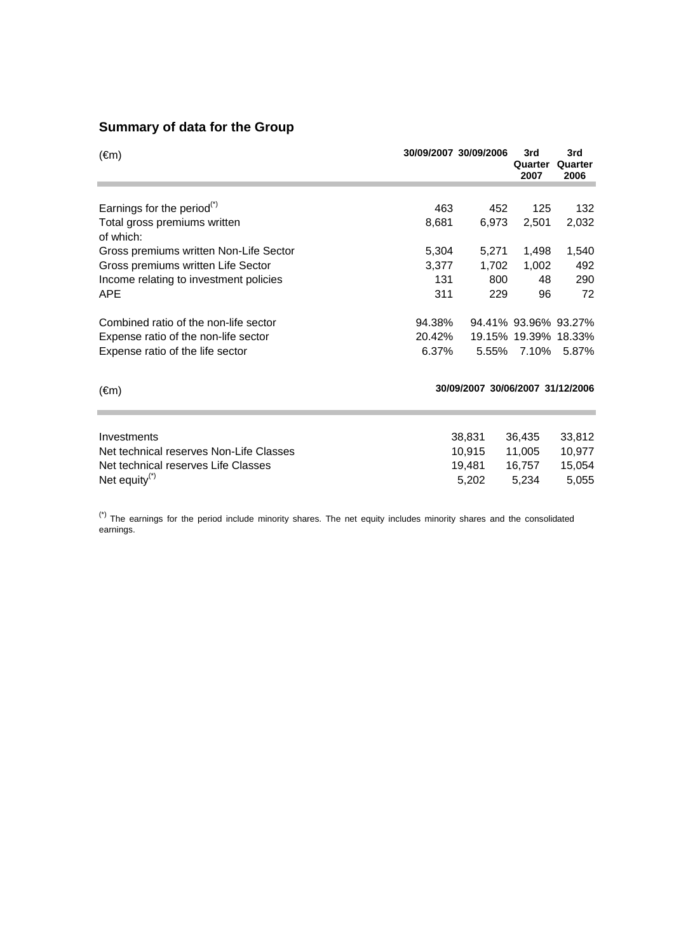### **Summary of data for the Group**

| $(\epsilon m)$                          |        | 30/09/2007 30/09/2006            | 3rd<br>Quarter<br>2007 | 3rd<br>Quarter<br>2006 |
|-----------------------------------------|--------|----------------------------------|------------------------|------------------------|
|                                         |        |                                  |                        |                        |
| Earnings for the period $(5)$           | 463    | 452                              | 125                    | 132                    |
| Total gross premiums written            | 8,681  | 6,973                            | 2,501                  | 2,032                  |
| of which:                               |        |                                  |                        |                        |
| Gross premiums written Non-Life Sector  | 5,304  | 5,271                            | 1,498                  | 1,540                  |
| Gross premiums written Life Sector      | 3,377  | 1,702                            | 1,002                  | 492                    |
| Income relating to investment policies  | 131    | 800                              | 48                     | 290                    |
| <b>APE</b>                              | 311    | 229                              | 96                     | 72                     |
| Combined ratio of the non-life sector   | 94.38% |                                  |                        | 94.41% 93.96% 93.27%   |
| Expense ratio of the non-life sector    | 20.42% |                                  |                        | 19.15% 19.39% 18.33%   |
| Expense ratio of the life sector        | 6.37%  |                                  | 5.55% 7.10%            | 5.87%                  |
|                                         |        |                                  |                        |                        |
| $(\epsilon m)$                          |        | 30/09/2007 30/06/2007 31/12/2006 |                        |                        |
|                                         |        |                                  |                        |                        |
| Investments                             |        | 38,831                           | 36,435                 | 33,812                 |
| Net technical reserves Non-Life Classes |        | 10,915                           | 11,005                 | 10,977                 |
| Net technical reserves Life Classes     |        | 19,481                           | 16,757                 | 15,054                 |
| Net equity $(*)$                        |        | 5,202                            | 5,234                  | 5,055                  |

 $(*)$  The earnings for the period include minority shares. The net equity includes minority shares and the consolidated earnings.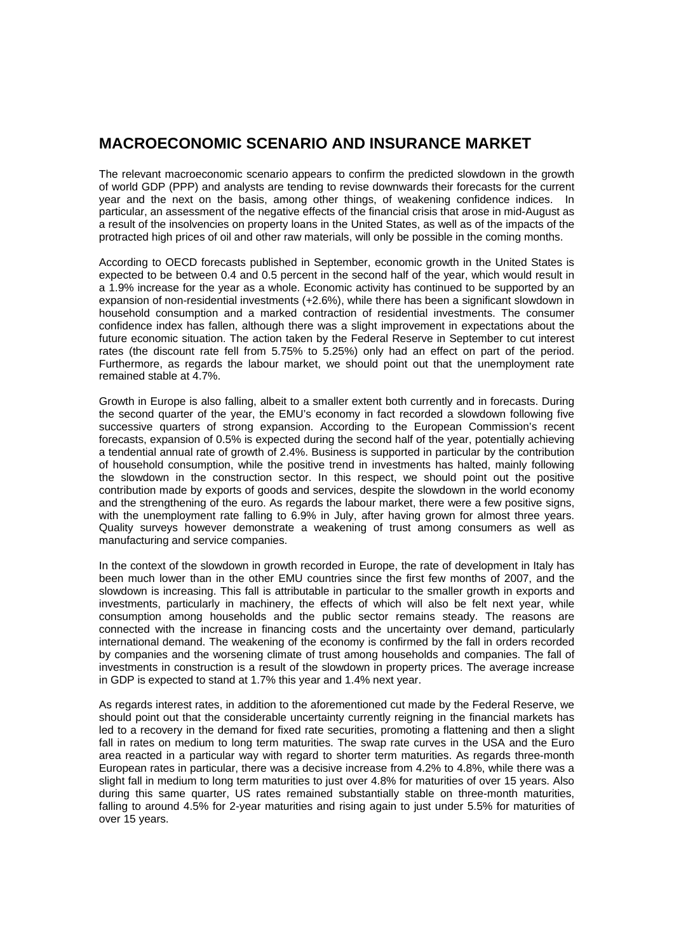### **MACROECONOMIC SCENARIO AND INSURANCE MARKET**

The relevant macroeconomic scenario appears to confirm the predicted slowdown in the growth of world GDP (PPP) and analysts are tending to revise downwards their forecasts for the current year and the next on the basis, among other things, of weakening confidence indices. In particular, an assessment of the negative effects of the financial crisis that arose in mid-August as a result of the insolvencies on property loans in the United States, as well as of the impacts of the protracted high prices of oil and other raw materials, will only be possible in the coming months.

According to OECD forecasts published in September, economic growth in the United States is expected to be between 0.4 and 0.5 percent in the second half of the year, which would result in a 1.9% increase for the year as a whole. Economic activity has continued to be supported by an expansion of non-residential investments (+2.6%), while there has been a significant slowdown in household consumption and a marked contraction of residential investments. The consumer confidence index has fallen, although there was a slight improvement in expectations about the future economic situation. The action taken by the Federal Reserve in September to cut interest rates (the discount rate fell from 5.75% to 5.25%) only had an effect on part of the period. Furthermore, as regards the labour market, we should point out that the unemployment rate remained stable at 4.7%.

Growth in Europe is also falling, albeit to a smaller extent both currently and in forecasts. During the second quarter of the year, the EMU's economy in fact recorded a slowdown following five successive quarters of strong expansion. According to the European Commission's recent forecasts, expansion of 0.5% is expected during the second half of the year, potentially achieving a tendential annual rate of growth of 2.4%. Business is supported in particular by the contribution of household consumption, while the positive trend in investments has halted, mainly following the slowdown in the construction sector. In this respect, we should point out the positive contribution made by exports of goods and services, despite the slowdown in the world economy and the strengthening of the euro. As regards the labour market, there were a few positive signs, with the unemployment rate falling to 6.9% in July, after having grown for almost three years. Quality surveys however demonstrate a weakening of trust among consumers as well as manufacturing and service companies.

In the context of the slowdown in growth recorded in Europe, the rate of development in Italy has been much lower than in the other EMU countries since the first few months of 2007, and the slowdown is increasing. This fall is attributable in particular to the smaller growth in exports and investments, particularly in machinery, the effects of which will also be felt next year, while consumption among households and the public sector remains steady. The reasons are connected with the increase in financing costs and the uncertainty over demand, particularly international demand. The weakening of the economy is confirmed by the fall in orders recorded by companies and the worsening climate of trust among households and companies. The fall of investments in construction is a result of the slowdown in property prices. The average increase in GDP is expected to stand at 1.7% this year and 1.4% next year.

As regards interest rates, in addition to the aforementioned cut made by the Federal Reserve, we should point out that the considerable uncertainty currently reigning in the financial markets has led to a recovery in the demand for fixed rate securities, promoting a flattening and then a slight fall in rates on medium to long term maturities. The swap rate curves in the USA and the Euro area reacted in a particular way with regard to shorter term maturities. As regards three-month European rates in particular, there was a decisive increase from 4.2% to 4.8%, while there was a slight fall in medium to long term maturities to just over 4.8% for maturities of over 15 years. Also during this same quarter, US rates remained substantially stable on three-month maturities, falling to around 4.5% for 2-year maturities and rising again to just under 5.5% for maturities of over 15 years.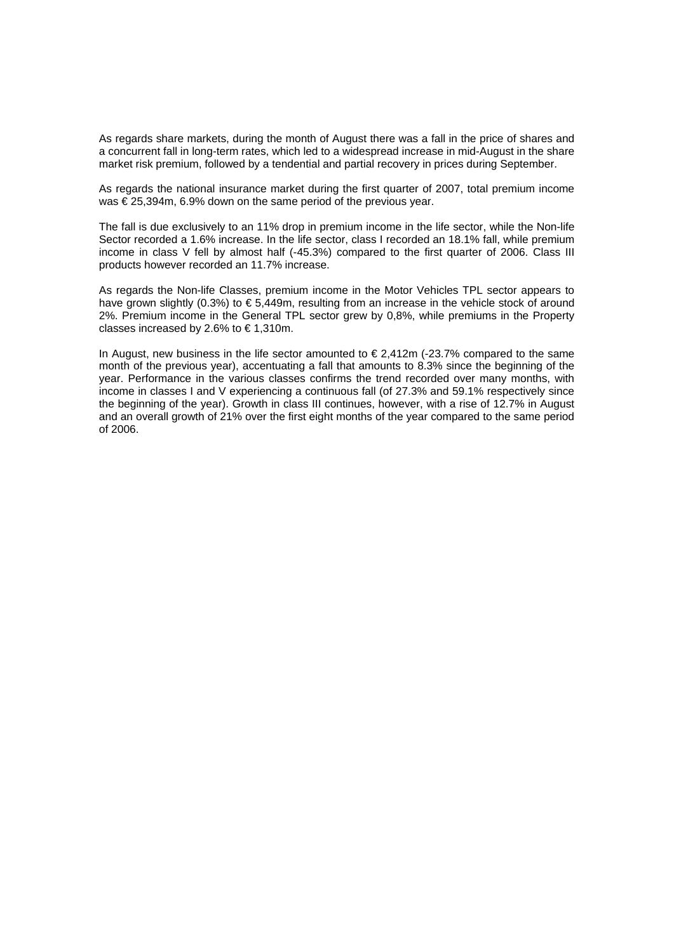As regards share markets, during the month of August there was a fall in the price of shares and a concurrent fall in long-term rates, which led to a widespread increase in mid-August in the share market risk premium, followed by a tendential and partial recovery in prices during September.

As regards the national insurance market during the first quarter of 2007, total premium income was € 25,394m, 6.9% down on the same period of the previous year.

The fall is due exclusively to an 11% drop in premium income in the life sector, while the Non-life Sector recorded a 1.6% increase. In the life sector, class I recorded an 18.1% fall, while premium income in class V fell by almost half (-45.3%) compared to the first quarter of 2006. Class III products however recorded an 11.7% increase.

As regards the Non-life Classes, premium income in the Motor Vehicles TPL sector appears to have grown slightly (0.3%) to € 5,449m, resulting from an increase in the vehicle stock of around 2%. Premium income in the General TPL sector grew by 0,8%, while premiums in the Property classes increased by 2.6% to  $\in$  1,310m.

In August, new business in the life sector amounted to  $\epsilon$  2,412m (-23.7% compared to the same month of the previous year), accentuating a fall that amounts to 8.3% since the beginning of the year. Performance in the various classes confirms the trend recorded over many months, with income in classes I and V experiencing a continuous fall (of 27.3% and 59.1% respectively since the beginning of the year). Growth in class III continues, however, with a rise of 12.7% in August and an overall growth of 21% over the first eight months of the year compared to the same period of 2006.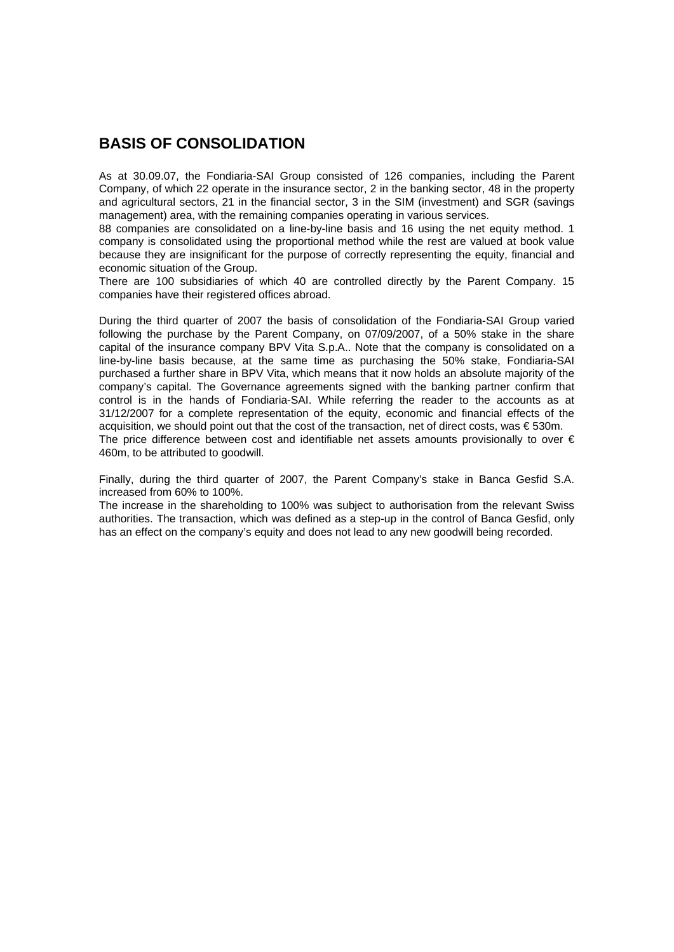### **BASIS OF CONSOLIDATION**

As at 30.09.07, the Fondiaria-SAI Group consisted of 126 companies, including the Parent Company, of which 22 operate in the insurance sector, 2 in the banking sector, 48 in the property and agricultural sectors, 21 in the financial sector, 3 in the SIM (investment) and SGR (savings management) area, with the remaining companies operating in various services.

88 companies are consolidated on a line-by-line basis and 16 using the net equity method. 1 company is consolidated using the proportional method while the rest are valued at book value because they are insignificant for the purpose of correctly representing the equity, financial and economic situation of the Group.

There are 100 subsidiaries of which 40 are controlled directly by the Parent Company. 15 companies have their registered offices abroad.

During the third quarter of 2007 the basis of consolidation of the Fondiaria-SAI Group varied following the purchase by the Parent Company, on 07/09/2007, of a 50% stake in the share capital of the insurance company BPV Vita S.p.A.. Note that the company is consolidated on a line-by-line basis because, at the same time as purchasing the 50% stake, Fondiaria-SAI purchased a further share in BPV Vita, which means that it now holds an absolute majority of the company's capital. The Governance agreements signed with the banking partner confirm that control is in the hands of Fondiaria-SAI. While referring the reader to the accounts as at 31/12/2007 for a complete representation of the equity, economic and financial effects of the acquisition, we should point out that the cost of the transaction, net of direct costs, was € 530m. The price difference between cost and identifiable net assets amounts provisionally to over  $\epsilon$ 460m, to be attributed to goodwill.

Finally, during the third quarter of 2007, the Parent Company's stake in Banca Gesfid S.A. increased from 60% to 100%.

The increase in the shareholding to 100% was subject to authorisation from the relevant Swiss authorities. The transaction, which was defined as a step-up in the control of Banca Gesfid, only has an effect on the company's equity and does not lead to any new goodwill being recorded.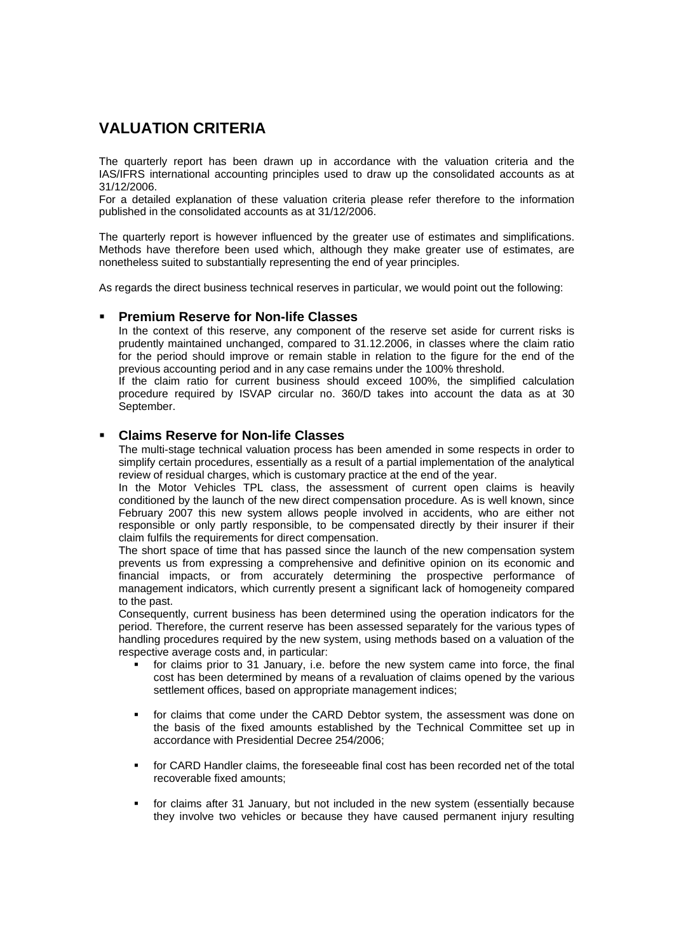### **VALUATION CRITERIA**

The quarterly report has been drawn up in accordance with the valuation criteria and the IAS/IFRS international accounting principles used to draw up the consolidated accounts as at 31/12/2006.

For a detailed explanation of these valuation criteria please refer therefore to the information published in the consolidated accounts as at 31/12/2006.

The quarterly report is however influenced by the greater use of estimates and simplifications. Methods have therefore been used which, although they make greater use of estimates, are nonetheless suited to substantially representing the end of year principles.

As regards the direct business technical reserves in particular, we would point out the following:

#### **Premium Reserve for Non-life Classes**

In the context of this reserve, any component of the reserve set aside for current risks is prudently maintained unchanged, compared to 31.12.2006, in classes where the claim ratio for the period should improve or remain stable in relation to the figure for the end of the previous accounting period and in any case remains under the 100% threshold.

If the claim ratio for current business should exceed 100%, the simplified calculation procedure required by ISVAP circular no. 360/D takes into account the data as at 30 September.

#### **Claims Reserve for Non-life Classes**

The multi-stage technical valuation process has been amended in some respects in order to simplify certain procedures, essentially as a result of a partial implementation of the analytical review of residual charges, which is customary practice at the end of the year.

In the Motor Vehicles TPL class, the assessment of current open claims is heavily conditioned by the launch of the new direct compensation procedure. As is well known, since February 2007 this new system allows people involved in accidents, who are either not responsible or only partly responsible, to be compensated directly by their insurer if their claim fulfils the requirements for direct compensation.

The short space of time that has passed since the launch of the new compensation system prevents us from expressing a comprehensive and definitive opinion on its economic and financial impacts, or from accurately determining the prospective performance of management indicators, which currently present a significant lack of homogeneity compared to the past.

Consequently, current business has been determined using the operation indicators for the period. Therefore, the current reserve has been assessed separately for the various types of handling procedures required by the new system, using methods based on a valuation of the respective average costs and, in particular:

- for claims prior to 31 January, i.e. before the new system came into force, the final cost has been determined by means of a revaluation of claims opened by the various settlement offices, based on appropriate management indices;
- for claims that come under the CARD Debtor system, the assessment was done on the basis of the fixed amounts established by the Technical Committee set up in accordance with Presidential Decree 254/2006;
- for CARD Handler claims, the foreseeable final cost has been recorded net of the total recoverable fixed amounts;
- for claims after 31 January, but not included in the new system (essentially because they involve two vehicles or because they have caused permanent injury resulting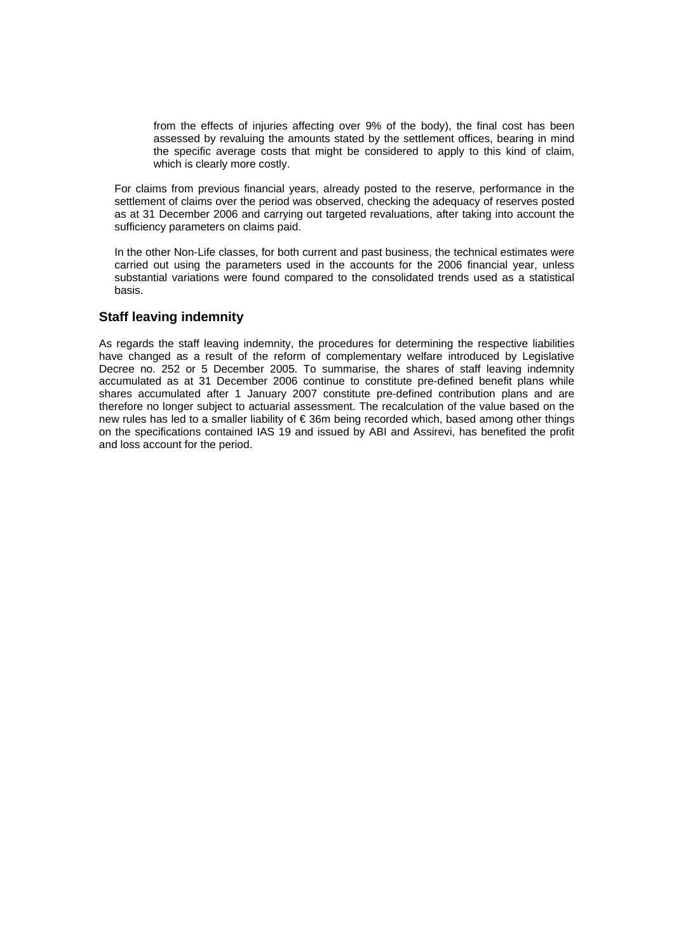from the effects of injuries affecting over 9% of the body), the final cost has been assessed by revaluing the amounts stated by the settlement offices, bearing in mind the specific average costs that might be considered to apply to this kind of claim, which is clearly more costly.

For claims from previous financial years, already posted to the reserve, performance in the settlement of claims over the period was observed, checking the adequacy of reserves posted as at 31 December 2006 and carrying out targeted revaluations, after taking into account the sufficiency parameters on claims paid.

In the other Non-Life classes, for both current and past business, the technical estimates were carried out using the parameters used in the accounts for the 2006 financial year, unless substantial variations were found compared to the consolidated trends used as a statistical basis.

#### **Staff leaving indemnity**

As regards the staff leaving indemnity, the procedures for determining the respective liabilities have changed as a result of the reform of complementary welfare introduced by Legislative Decree no. 252 or 5 December 2005. To summarise, the shares of staff leaving indemnity accumulated as at 31 December 2006 continue to constitute pre-defined benefit plans while shares accumulated after 1 January 2007 constitute pre-defined contribution plans and are therefore no longer subject to actuarial assessment. The recalculation of the value based on the new rules has led to a smaller liability of € 36m being recorded which, based among other things on the specifications contained IAS 19 and issued by ABI and Assirevi, has benefited the profit and loss account for the period.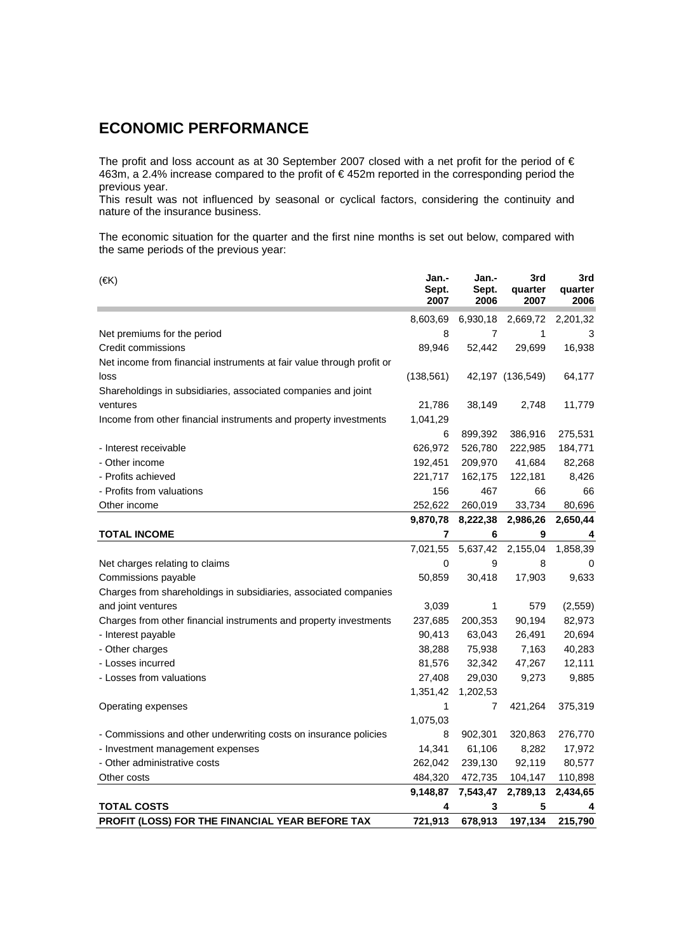### **ECONOMIC PERFORMANCE**

The profit and loss account as at 30 September 2007 closed with a net profit for the period of  $\epsilon$ 463m, a 2.4% increase compared to the profit of € 452m reported in the corresponding period the previous year.

This result was not influenced by seasonal or cyclical factors, considering the continuity and nature of the insurance business.

The economic situation for the quarter and the first nine months is set out below, compared with the same periods of the previous year:

| $(\in K)$                                                             | Jan.-<br>Sept.<br>2007 | Jan.-<br>Sept.<br>2006 | 3rd<br>quarter<br>2007 | 3rd<br>quarter<br>2006 |
|-----------------------------------------------------------------------|------------------------|------------------------|------------------------|------------------------|
|                                                                       | 8,603,69               | 6,930,18               | 2,669,72               | 2,201,32               |
| Net premiums for the period                                           | 8                      | 7                      | 1                      | 3                      |
| Credit commissions                                                    | 89,946                 | 52,442                 | 29,699                 | 16,938                 |
| Net income from financial instruments at fair value through profit or |                        |                        |                        |                        |
| loss                                                                  | (138, 561)             |                        | 42,197 (136,549)       | 64,177                 |
| Shareholdings in subsidiaries, associated companies and joint         |                        |                        |                        |                        |
| ventures                                                              | 21,786                 | 38,149                 | 2,748                  | 11,779                 |
| Income from other financial instruments and property investments      | 1,041,29               |                        |                        |                        |
|                                                                       | 6                      | 899,392                | 386,916                | 275,531                |
| - Interest receivable                                                 | 626,972                | 526,780                | 222,985                | 184,771                |
| - Other income                                                        | 192,451                | 209,970                | 41,684                 | 82,268                 |
| - Profits achieved                                                    | 221,717                | 162,175                | 122,181                | 8,426                  |
| - Profits from valuations                                             | 156                    | 467                    | 66                     | 66                     |
| Other income                                                          | 252,622                | 260,019                | 33,734                 | 80,696                 |
|                                                                       | 9,870,78               | 8,222,38               | 2,986,26               | 2,650,44               |
| <b>TOTAL INCOME</b>                                                   | 7                      | 6                      | 9                      | 4                      |
|                                                                       | 7,021,55               | 5,637,42               | 2,155,04               | 1,858,39               |
| Net charges relating to claims                                        | 0                      | 9                      | 8                      | 0                      |
| Commissions payable                                                   | 50,859                 | 30,418                 | 17,903                 | 9,633                  |
| Charges from shareholdings in subsidiaries, associated companies      |                        |                        |                        |                        |
| and joint ventures                                                    | 3,039                  | $\mathbf{1}$           | 579                    | (2, 559)               |
| Charges from other financial instruments and property investments     | 237,685                | 200,353                | 90,194                 | 82,973                 |
| - Interest payable                                                    | 90,413                 | 63,043                 | 26,491                 | 20,694                 |
| - Other charges                                                       | 38,288                 | 75,938                 | 7,163                  | 40,283                 |
| - Losses incurred                                                     | 81,576                 | 32,342                 | 47,267                 | 12,111                 |
| - Losses from valuations                                              | 27,408                 | 29,030                 | 9,273                  | 9,885                  |
|                                                                       | 1,351,42               | 1,202,53               |                        |                        |
| Operating expenses                                                    | 1                      | 7                      | 421,264                | 375,319                |
|                                                                       | 1,075,03               |                        |                        |                        |
| - Commissions and other underwriting costs on insurance policies      | 8                      | 902,301                | 320,863                | 276,770                |
| - Investment management expenses                                      | 14,341                 | 61,106                 | 8,282                  | 17,972                 |
| - Other administrative costs                                          | 262,042                | 239,130                | 92,119                 | 80,577                 |
| Other costs                                                           | 484,320                | 472,735                | 104,147                | 110,898                |
|                                                                       | 9,148,87               | 7,543,47               | 2,789,13               | 2,434,65               |
| <b>TOTAL COSTS</b>                                                    | 4                      | 3                      | 5                      | 4                      |
| PROFIT (LOSS) FOR THE FINANCIAL YEAR BEFORE TAX                       | 721,913                | 678,913                | 197,134                | 215,790                |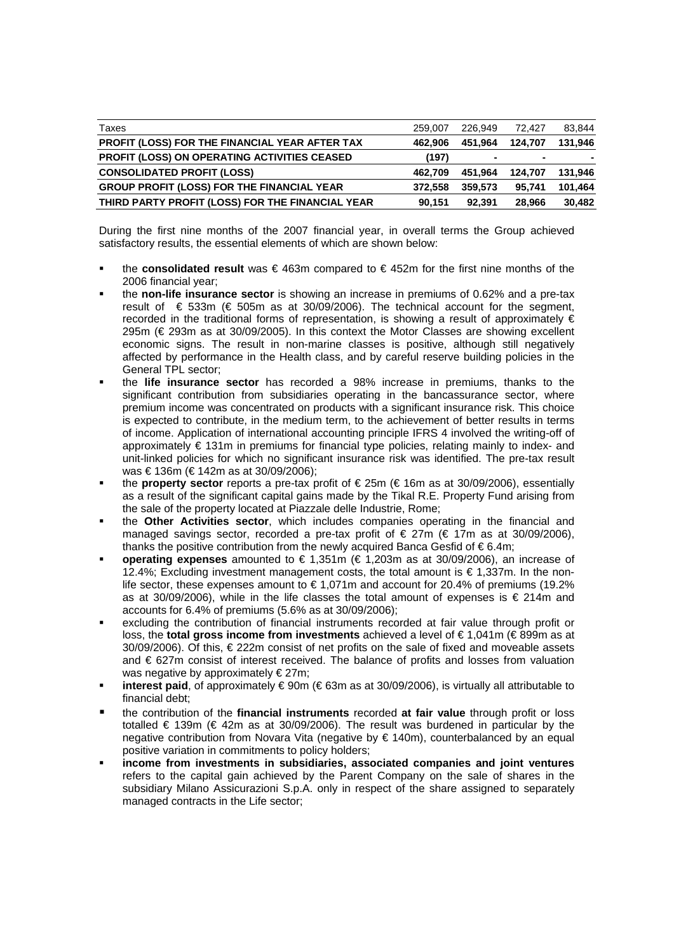| Taxes                                               | 259,007 | 226.949 | 72.427  | 83.844  |
|-----------------------------------------------------|---------|---------|---------|---------|
| PROFIT (LOSS) FOR THE FINANCIAL YEAR AFTER TAX      | 462.906 | 451.964 | 124.707 | 131.946 |
| <b>PROFIT (LOSS) ON OPERATING ACTIVITIES CEASED</b> | (197)   |         | $\sim$  |         |
| <b>CONSOLIDATED PROFIT (LOSS)</b>                   | 462.709 | 451.964 | 124.707 | 131.946 |
| <b>GROUP PROFIT (LOSS) FOR THE FINANCIAL YEAR</b>   | 372.558 | 359.573 | 95.741  | 101.464 |
| THIRD PARTY PROFIT (LOSS) FOR THE FINANCIAL YEAR    | 90.151  | 92.391  | 28.966  | 30.482  |

During the first nine months of the 2007 financial year, in overall terms the Group achieved satisfactory results, the essential elements of which are shown below:

- the **consolidated result** was € 463m compared to € 452m for the first nine months of the 2006 financial year;
- the **non-life insurance sector** is showing an increase in premiums of 0.62% and a pre-tax result of  $\epsilon$  533m ( $\epsilon$  505m as at 30/09/2006). The technical account for the segment, recorded in the traditional forms of representation, is showing a result of approximately  $\epsilon$ 295m (€ 293m as at 30/09/2005). In this context the Motor Classes are showing excellent economic signs. The result in non-marine classes is positive, although still negatively affected by performance in the Health class, and by careful reserve building policies in the General TPL sector;
- the **life insurance sector** has recorded a 98% increase in premiums, thanks to the significant contribution from subsidiaries operating in the bancassurance sector, where premium income was concentrated on products with a significant insurance risk. This choice is expected to contribute, in the medium term, to the achievement of better results in terms of income. Application of international accounting principle IFRS 4 involved the writing-off of approximately € 131m in premiums for financial type policies, relating mainly to index- and unit-linked policies for which no significant insurance risk was identified. The pre-tax result was € 136m (€ 142m as at 30/09/2006);
- the **property sector** reports a pre-tax profit of € 25m (€ 16m as at 30/09/2006), essentially as a result of the significant capital gains made by the Tikal R.E. Property Fund arising from the sale of the property located at Piazzale delle Industrie, Rome;
- the **Other Activities sector**, which includes companies operating in the financial and managed savings sector, recorded a pre-tax profit of  $\in 27m$  ( $\in 17m$  as at 30/09/2006), thanks the positive contribution from the newly acquired Banca Gesfid of  $\epsilon$ 6.4m;
- **operating expenses** amounted to € 1,351m (€ 1,203m as at 30/09/2006), an increase of 12.4%; Excluding investment management costs, the total amount is  $\epsilon$  1,337m. In the nonlife sector, these expenses amount to  $\epsilon$  1,071m and account for 20.4% of premiums (19.2% as at 30/09/2006), while in the life classes the total amount of expenses is  $\epsilon$  214m and accounts for 6.4% of premiums (5.6% as at 30/09/2006);
- excluding the contribution of financial instruments recorded at fair value through profit or loss, the **total gross income from investments** achieved a level of € 1,041m (€ 899m as at 30/09/2006). Of this, € 222m consist of net profits on the sale of fixed and moveable assets and € 627m consist of interest received. The balance of profits and losses from valuation was negative by approximately  $\notin$  27m;
- **interest paid**, of approximately € 90m (€ 63m as at 30/09/2006), is virtually all attributable to financial debt;
- the contribution of the **financial instruments** recorded **at fair value** through profit or loss totalled € 139m (€ 42m as at 30/09/2006). The result was burdened in particular by the negative contribution from Novara Vita (negative by € 140m), counterbalanced by an equal positive variation in commitments to policy holders;
- **income from investments in subsidiaries, associated companies and joint ventures** refers to the capital gain achieved by the Parent Company on the sale of shares in the subsidiary Milano Assicurazioni S.p.A. only in respect of the share assigned to separately managed contracts in the Life sector;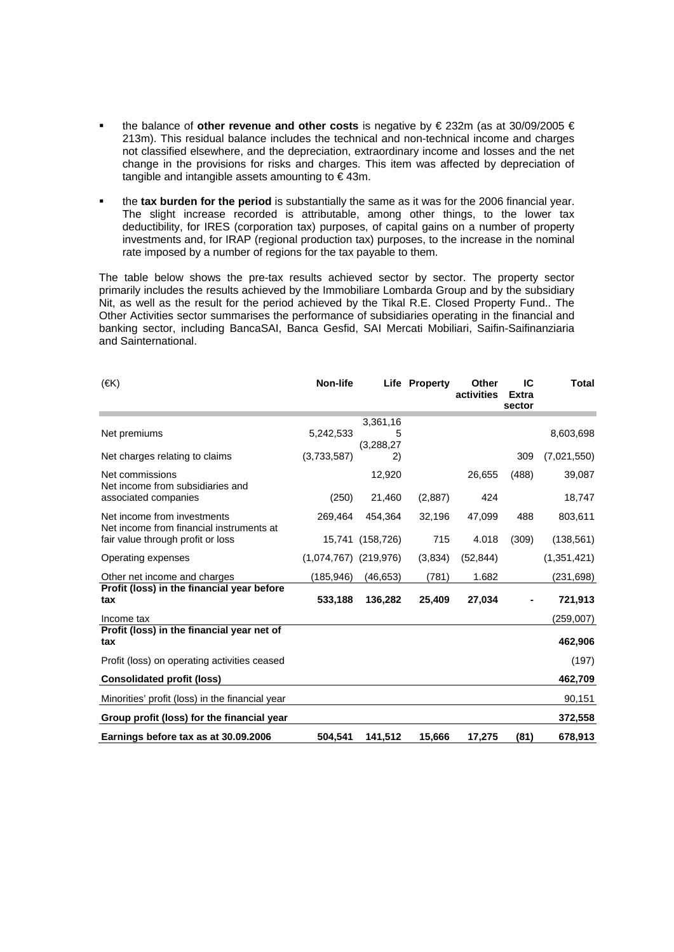- the balance of **other revenue and other costs** is negative by € 232m (as at 30/09/2005 € 213m). This residual balance includes the technical and non-technical income and charges not classified elsewhere, and the depreciation, extraordinary income and losses and the net change in the provisions for risks and charges. This item was affected by depreciation of tangible and intangible assets amounting to  $\epsilon$  43m.
- the **tax burden for the period** is substantially the same as it was for the 2006 financial year. The slight increase recorded is attributable, among other things, to the lower tax deductibility, for IRES (corporation tax) purposes, of capital gains on a number of property investments and, for IRAP (regional production tax) purposes, to the increase in the nominal rate imposed by a number of regions for the tax payable to them.

The table below shows the pre-tax results achieved sector by sector. The property sector primarily includes the results achieved by the Immobiliare Lombarda Group and by the subsidiary Nit, as well as the result for the period achieved by the Tikal R.E. Closed Property Fund.. The Other Activities sector summarises the performance of subsidiaries operating in the financial and banking sector, including BancaSAI, Banca Gesfid, SAI Mercati Mobiliari, Saifin-Saifinanziaria and Sainternational.

| $(\infty)$                                                              | Non-life                  |                  | Life Property | Other<br>activities | IС<br><b>Extra</b><br>sector | <b>Total</b> |
|-------------------------------------------------------------------------|---------------------------|------------------|---------------|---------------------|------------------------------|--------------|
|                                                                         |                           | 3,361,16         |               |                     |                              |              |
| Net premiums                                                            | 5,242,533                 | 5                |               |                     |                              | 8,603,698    |
|                                                                         |                           | (3,288,27)       |               |                     |                              |              |
| Net charges relating to claims                                          | (3,733,587)               | 2)               |               |                     | 309                          | (7,021,550)  |
| Net commissions<br>Net income from subsidiaries and                     |                           | 12,920           |               | 26,655              | (488)                        | 39,087       |
| associated companies                                                    | (250)                     | 21,460           | (2,887)       | 424                 |                              | 18,747       |
| Net income from investments<br>Net income from financial instruments at | 269.464                   | 454,364          | 32,196        | 47,099              | 488                          | 803,611      |
| fair value through profit or loss                                       |                           | 15,741 (158,726) | 715           | 4.018               | (309)                        | (138, 561)   |
| Operating expenses                                                      | $(1,074,767)$ $(219,976)$ |                  | (3,834)       | (52, 844)           |                              | (1,351,421)  |
| Other net income and charges                                            | (185,946)                 | (46, 653)        | (781)         | 1.682               |                              | (231,698)    |
| Profit (loss) in the financial year before<br>tax                       | 533,188                   | 136,282          | 25,409        | 27,034              |                              | 721,913      |
| Income tax                                                              |                           |                  |               |                     |                              | (259,007)    |
| Profit (loss) in the financial year net of                              |                           |                  |               |                     |                              |              |
| tax                                                                     |                           |                  |               |                     |                              | 462,906      |
| Profit (loss) on operating activities ceased                            |                           |                  |               |                     |                              | (197)        |
| <b>Consolidated profit (loss)</b>                                       |                           |                  |               |                     |                              | 462,709      |
| Minorities' profit (loss) in the financial year                         |                           |                  |               |                     |                              | 90,151       |
| Group profit (loss) for the financial year                              |                           |                  |               |                     |                              | 372,558      |
| Earnings before tax as at 30.09.2006                                    | 504,541                   | 141,512          | 15,666        | 17,275              | (81)                         | 678,913      |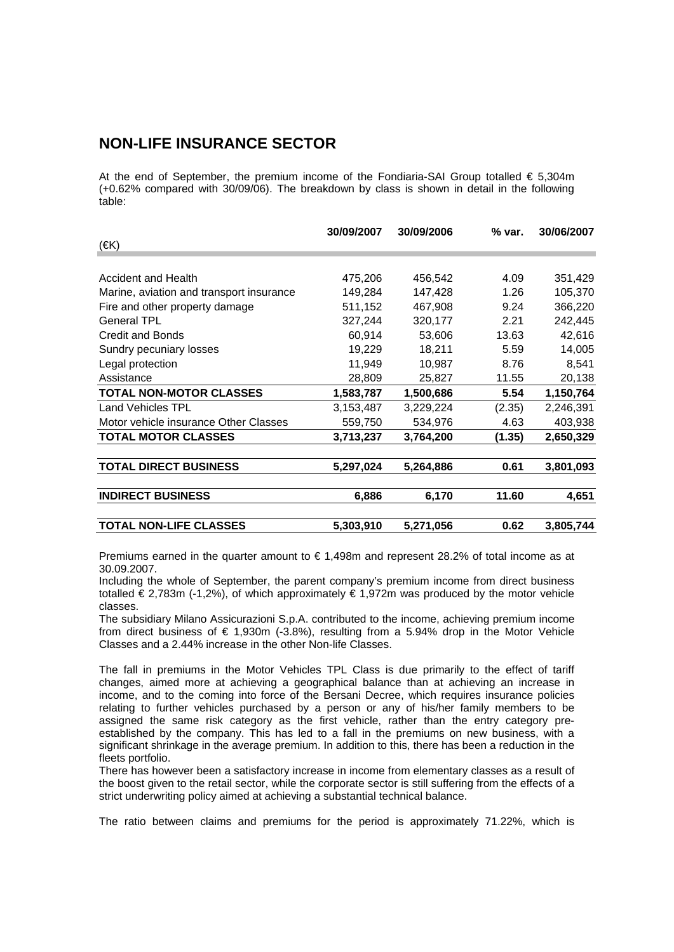### **NON-LIFE INSURANCE SECTOR**

At the end of September, the premium income of the Fondiaria-SAI Group totalled  $\epsilon$  5,304m (+0.62% compared with 30/09/06). The breakdown by class is shown in detail in the following table:

|                                          | 30/09/2007 | 30/09/2006 | % var. | 30/06/2007 |
|------------------------------------------|------------|------------|--------|------------|
| $(\infty)$                               |            |            |        |            |
|                                          |            |            |        |            |
| <b>Accident and Health</b>               | 475,206    | 456,542    | 4.09   | 351,429    |
| Marine, aviation and transport insurance | 149,284    | 147,428    | 1.26   | 105,370    |
| Fire and other property damage           | 511,152    | 467,908    | 9.24   | 366,220    |
| <b>General TPL</b>                       | 327,244    | 320,177    | 2.21   | 242,445    |
| <b>Credit and Bonds</b>                  | 60,914     | 53,606     | 13.63  | 42,616     |
| Sundry pecuniary losses                  | 19,229     | 18,211     | 5.59   | 14,005     |
| Legal protection                         | 11,949     | 10,987     | 8.76   | 8,541      |
| Assistance                               | 28,809     | 25,827     | 11.55  | 20,138     |
| <b>TOTAL NON-MOTOR CLASSES</b>           | 1,583,787  | 1,500,686  | 5.54   | 1,150,764  |
| Land Vehicles TPL                        | 3,153,487  | 3,229,224  | (2.35) | 2,246,391  |
| Motor vehicle insurance Other Classes    | 559,750    | 534,976    | 4.63   | 403,938    |
| <b>TOTAL MOTOR CLASSES</b>               | 3,713,237  | 3,764,200  | (1.35) | 2,650,329  |
| <b>TOTAL DIRECT BUSINESS</b>             | 5,297,024  | 5,264,886  | 0.61   | 3,801,093  |
| <b>INDIRECT BUSINESS</b>                 | 6,886      | 6,170      | 11.60  | 4,651      |
| <b>TOTAL NON-LIFE CLASSES</b>            | 5,303,910  | 5,271,056  | 0.62   | 3,805,744  |

Premiums earned in the quarter amount to  $\epsilon$  1.498m and represent 28.2% of total income as at 30.09.2007.

Including the whole of September, the parent company's premium income from direct business totalled € 2,783m (-1,2%), of which approximately € 1,972m was produced by the motor vehicle classes.

The subsidiary Milano Assicurazioni S.p.A. contributed to the income, achieving premium income from direct business of  $\epsilon$  1,930m (-3.8%), resulting from a 5.94% drop in the Motor Vehicle Classes and a 2.44% increase in the other Non-life Classes.

The fall in premiums in the Motor Vehicles TPL Class is due primarily to the effect of tariff changes, aimed more at achieving a geographical balance than at achieving an increase in income, and to the coming into force of the Bersani Decree, which requires insurance policies relating to further vehicles purchased by a person or any of his/her family members to be assigned the same risk category as the first vehicle, rather than the entry category preestablished by the company. This has led to a fall in the premiums on new business, with a significant shrinkage in the average premium. In addition to this, there has been a reduction in the fleets portfolio.

There has however been a satisfactory increase in income from elementary classes as a result of the boost given to the retail sector, while the corporate sector is still suffering from the effects of a strict underwriting policy aimed at achieving a substantial technical balance.

The ratio between claims and premiums for the period is approximately 71.22%, which is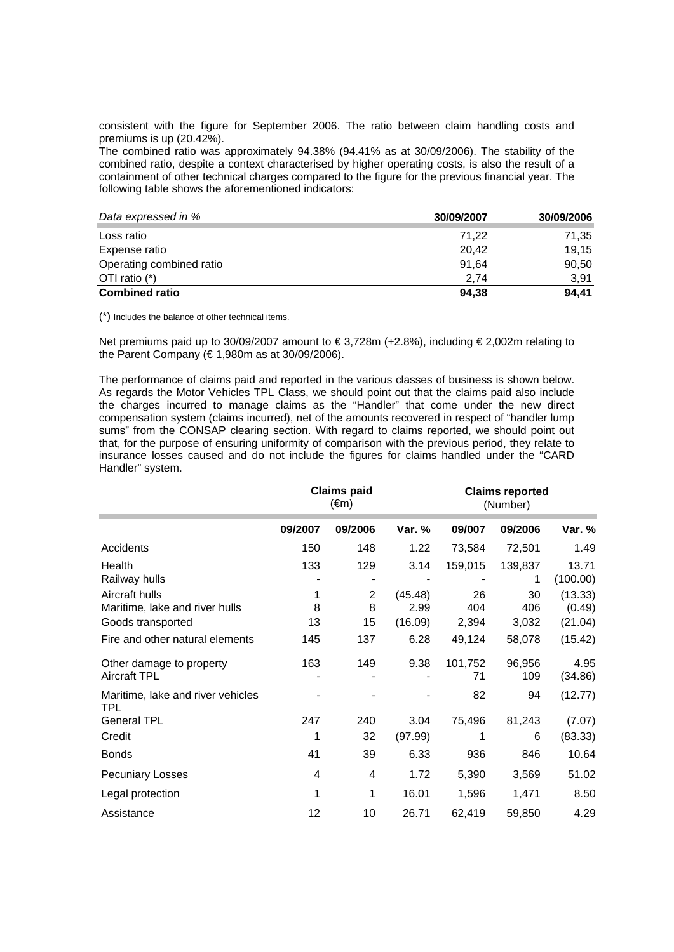consistent with the figure for September 2006. The ratio between claim handling costs and premiums is up (20.42%).

The combined ratio was approximately 94.38% (94.41% as at 30/09/2006). The stability of the combined ratio, despite a context characterised by higher operating costs, is also the result of a containment of other technical charges compared to the figure for the previous financial year. The following table shows the aforementioned indicators:

| Data expressed in %      | 30/09/2007 | 30/09/2006 |
|--------------------------|------------|------------|
| Loss ratio               | 71.22      | 71,35      |
| Expense ratio            | 20,42      | 19,15      |
| Operating combined ratio | 91.64      | 90,50      |
| OTI ratio $(*)$          | 2.74       | 3,91       |
| <b>Combined ratio</b>    | 94,38      | 94.41      |

(\*) Includes the balance of other technical items.

Net premiums paid up to 30/09/2007 amount to € 3,728m (+2.8%), including € 2,002m relating to the Parent Company ( $\notin$  1,980m as at 30/09/2006).

The performance of claims paid and reported in the various classes of business is shown below. As regards the Motor Vehicles TPL Class, we should point out that the claims paid also include the charges incurred to manage claims as the "Handler" that come under the new direct compensation system (claims incurred), net of the amounts recovered in respect of "handler lump sums" from the CONSAP clearing section. With regard to claims reported, we should point out that, for the purpose of ensuring uniformity of comparison with the previous period, they relate to insurance losses caused and do not include the figures for claims handled under the "CARD Handler" system.

|                                                                       |              | <b>Claims paid</b><br>(€m) |                            |                    | <b>Claims reported</b><br>(Number) |                              |  |
|-----------------------------------------------------------------------|--------------|----------------------------|----------------------------|--------------------|------------------------------------|------------------------------|--|
|                                                                       | 09/2007      | 09/2006                    | Var. %                     | 09/007             | 09/2006                            | Var. %                       |  |
| Accidents                                                             | 150          | 148                        | 1.22                       | 73,584             | 72,501                             | 1.49                         |  |
| Health<br>Railway hulls                                               | 133          | 129                        | 3.14                       | 159,015            | 139,837<br>1                       | 13.71<br>(100.00)            |  |
| Aircraft hulls<br>Maritime, lake and river hulls<br>Goods transported | 1<br>8<br>13 | 2<br>8<br>15               | (45.48)<br>2.99<br>(16.09) | 26<br>404<br>2,394 | 30<br>406<br>3,032                 | (13.33)<br>(0.49)<br>(21.04) |  |
| Fire and other natural elements                                       | 145          | 137                        | 6.28                       | 49,124             | 58,078                             | (15.42)                      |  |
| Other damage to property<br><b>Aircraft TPL</b>                       | 163          | 149                        | 9.38                       | 101,752<br>71      | 96,956<br>109                      | 4.95<br>(34.86)              |  |
| Maritime, lake and river vehicles<br><b>TPL</b>                       |              |                            |                            | 82                 | 94                                 | (12.77)                      |  |
| <b>General TPL</b>                                                    | 247          | 240                        | 3.04                       | 75,496             | 81,243                             | (7.07)                       |  |
| Credit                                                                | 1            | 32                         | (97.99)                    | 1                  | 6                                  | (83.33)                      |  |
| <b>Bonds</b>                                                          | 41           | 39                         | 6.33                       | 936                | 846                                | 10.64                        |  |
| <b>Pecuniary Losses</b>                                               | 4            | 4                          | 1.72                       | 5,390              | 3,569                              | 51.02                        |  |
| Legal protection                                                      | 1            | 1                          | 16.01                      | 1,596              | 1,471                              | 8.50                         |  |
| Assistance                                                            | 12           | 10                         | 26.71                      | 62,419             | 59,850                             | 4.29                         |  |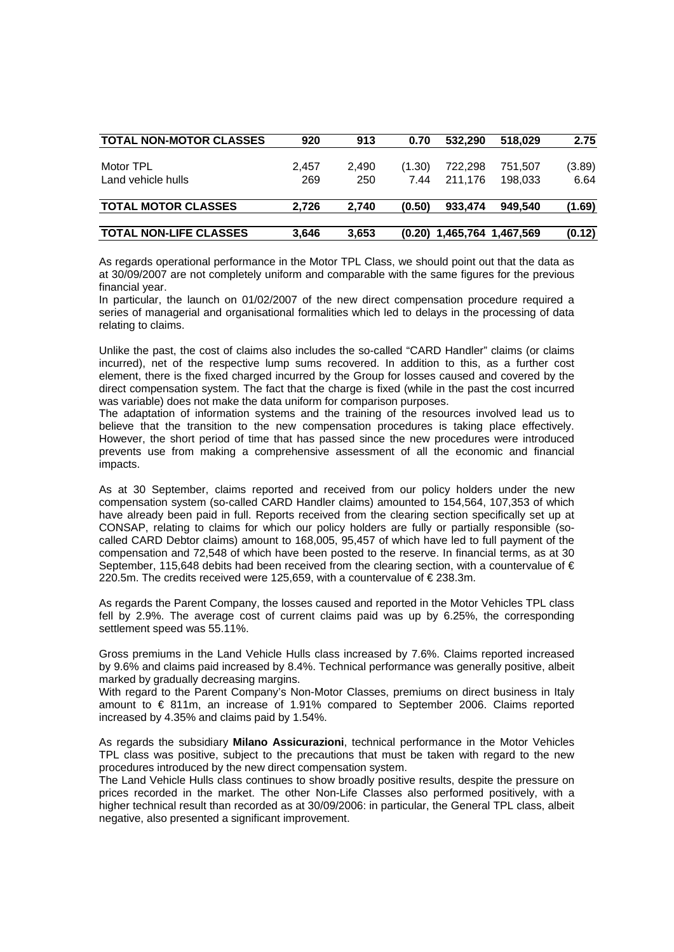| <b>TOTAL NON-MOTOR CLASSES</b> | 920   | 913   | 0.70   | 532.290                      | 518.029 | 2.75   |
|--------------------------------|-------|-------|--------|------------------------------|---------|--------|
|                                |       |       |        |                              |         |        |
| Motor TPL                      | 2.457 | 2.490 | (1.30) | 722.298                      | 751,507 | (3.89) |
| Land vehicle hulls             | 269   | 250   | 7.44   | 211.176                      | 198.033 | 6.64   |
| <b>TOTAL MOTOR CLASSES</b>     | 2.726 | 2.740 | (0.50) | 933.474                      | 949.540 | (1.69) |
| <b>TOTAL NON-LIFE CLASSES</b>  | 3.646 | 3.653 |        | $(0.20)$ 1,465,764 1,467,569 |         | (0.12) |

As regards operational performance in the Motor TPL Class, we should point out that the data as at 30/09/2007 are not completely uniform and comparable with the same figures for the previous financial year.

In particular, the launch on 01/02/2007 of the new direct compensation procedure required a series of managerial and organisational formalities which led to delays in the processing of data relating to claims.

Unlike the past, the cost of claims also includes the so-called "CARD Handler" claims (or claims incurred), net of the respective lump sums recovered. In addition to this, as a further cost element, there is the fixed charged incurred by the Group for losses caused and covered by the direct compensation system. The fact that the charge is fixed (while in the past the cost incurred was variable) does not make the data uniform for comparison purposes.

The adaptation of information systems and the training of the resources involved lead us to believe that the transition to the new compensation procedures is taking place effectively. However, the short period of time that has passed since the new procedures were introduced prevents use from making a comprehensive assessment of all the economic and financial impacts.

As at 30 September, claims reported and received from our policy holders under the new compensation system (so-called CARD Handler claims) amounted to 154,564, 107,353 of which have already been paid in full. Reports received from the clearing section specifically set up at CONSAP, relating to claims for which our policy holders are fully or partially responsible (socalled CARD Debtor claims) amount to 168,005, 95,457 of which have led to full payment of the compensation and 72,548 of which have been posted to the reserve. In financial terms, as at 30 September, 115,648 debits had been received from the clearing section, with a countervalue of  $\epsilon$ 220.5m. The credits received were 125,659, with a countervalue of € 238.3m.

As regards the Parent Company, the losses caused and reported in the Motor Vehicles TPL class fell by 2.9%. The average cost of current claims paid was up by 6.25%, the corresponding settlement speed was 55.11%.

Gross premiums in the Land Vehicle Hulls class increased by 7.6%. Claims reported increased by 9.6% and claims paid increased by 8.4%. Technical performance was generally positive, albeit marked by gradually decreasing margins.

With regard to the Parent Company's Non-Motor Classes, premiums on direct business in Italy amount to € 811m, an increase of 1.91% compared to September 2006. Claims reported increased by 4.35% and claims paid by 1.54%.

As regards the subsidiary **Milano Assicurazioni**, technical performance in the Motor Vehicles TPL class was positive, subject to the precautions that must be taken with regard to the new procedures introduced by the new direct compensation system.

The Land Vehicle Hulls class continues to show broadly positive results, despite the pressure on prices recorded in the market. The other Non-Life Classes also performed positively, with a higher technical result than recorded as at 30/09/2006: in particular, the General TPL class, albeit negative, also presented a significant improvement.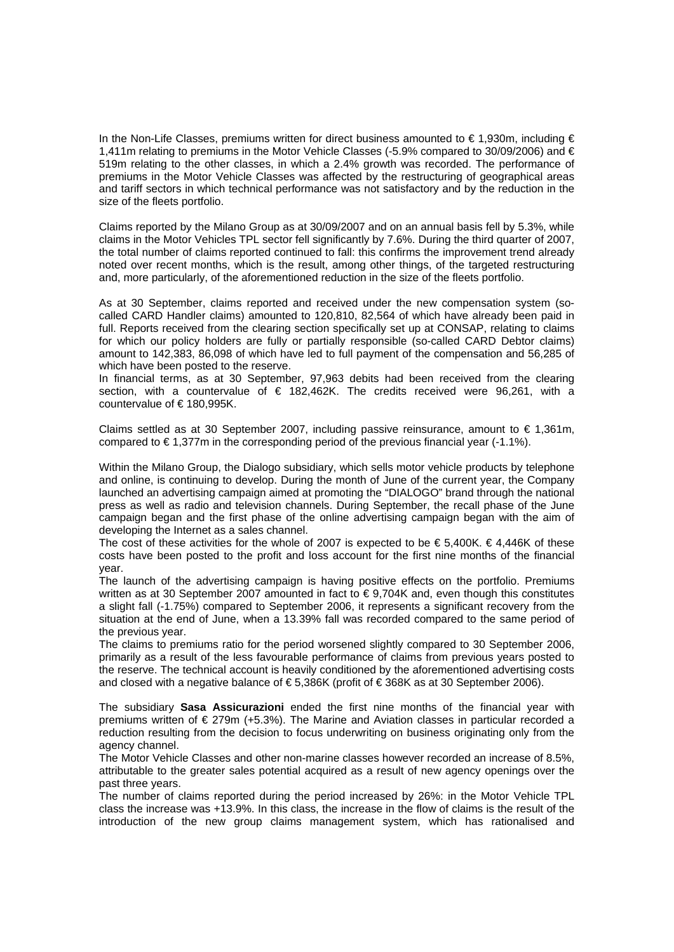In the Non-Life Classes, premiums written for direct business amounted to €1,930m, including  $\epsilon$ 1,411m relating to premiums in the Motor Vehicle Classes (-5.9% compared to 30/09/2006) and € 519m relating to the other classes, in which a 2.4% growth was recorded. The performance of premiums in the Motor Vehicle Classes was affected by the restructuring of geographical areas and tariff sectors in which technical performance was not satisfactory and by the reduction in the size of the fleets portfolio.

Claims reported by the Milano Group as at 30/09/2007 and on an annual basis fell by 5.3%, while claims in the Motor Vehicles TPL sector fell significantly by 7.6%. During the third quarter of 2007, the total number of claims reported continued to fall: this confirms the improvement trend already noted over recent months, which is the result, among other things, of the targeted restructuring and, more particularly, of the aforementioned reduction in the size of the fleets portfolio.

As at 30 September, claims reported and received under the new compensation system (socalled CARD Handler claims) amounted to 120,810, 82,564 of which have already been paid in full. Reports received from the clearing section specifically set up at CONSAP, relating to claims for which our policy holders are fully or partially responsible (so-called CARD Debtor claims) amount to 142,383, 86,098 of which have led to full payment of the compensation and 56,285 of which have been posted to the reserve.

In financial terms, as at 30 September, 97,963 debits had been received from the clearing section, with a countervalue of € 182,462K. The credits received were 96,261, with a countervalue of € 180,995K.

Claims settled as at 30 September 2007, including passive reinsurance, amount to  $\epsilon$  1,361m, compared to  $\in$  1,377m in the corresponding period of the previous financial year (-1.1%).

Within the Milano Group, the Dialogo subsidiary, which sells motor vehicle products by telephone and online, is continuing to develop. During the month of June of the current year, the Company launched an advertising campaign aimed at promoting the "DIALOGO" brand through the national press as well as radio and television channels. During September, the recall phase of the June campaign began and the first phase of the online advertising campaign began with the aim of developing the Internet as a sales channel.

The cost of these activities for the whole of 2007 is expected to be  $\epsilon$  5.400K.  $\epsilon$  4.446K of these costs have been posted to the profit and loss account for the first nine months of the financial year.

The launch of the advertising campaign is having positive effects on the portfolio. Premiums written as at 30 September 2007 amounted in fact to  $\epsilon$  9,704K and, even though this constitutes a slight fall (-1.75%) compared to September 2006, it represents a significant recovery from the situation at the end of June, when a 13.39% fall was recorded compared to the same period of the previous year.

The claims to premiums ratio for the period worsened slightly compared to 30 September 2006, primarily as a result of the less favourable performance of claims from previous years posted to the reserve. The technical account is heavily conditioned by the aforementioned advertising costs and closed with a negative balance of € 5,386K (profit of € 368K as at 30 September 2006).

The subsidiary **Sasa Assicurazioni** ended the first nine months of the financial year with premiums written of € 279m (+5.3%). The Marine and Aviation classes in particular recorded a reduction resulting from the decision to focus underwriting on business originating only from the agency channel.

The Motor Vehicle Classes and other non-marine classes however recorded an increase of 8.5%, attributable to the greater sales potential acquired as a result of new agency openings over the past three years.

The number of claims reported during the period increased by 26%: in the Motor Vehicle TPL class the increase was +13.9%. In this class, the increase in the flow of claims is the result of the introduction of the new group claims management system, which has rationalised and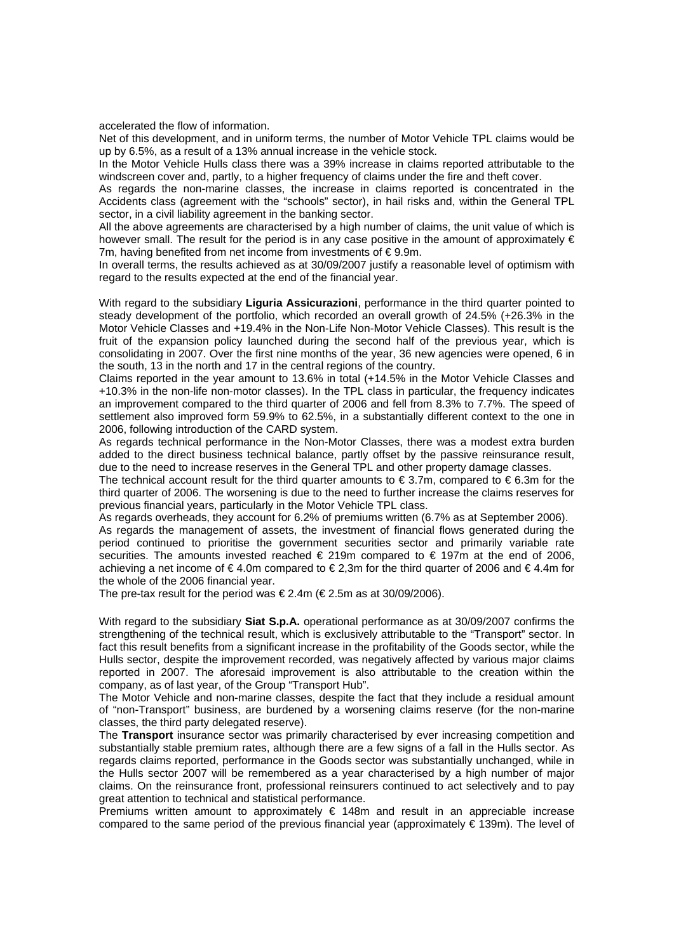accelerated the flow of information.

Net of this development, and in uniform terms, the number of Motor Vehicle TPL claims would be up by 6.5%, as a result of a 13% annual increase in the vehicle stock.

In the Motor Vehicle Hulls class there was a 39% increase in claims reported attributable to the windscreen cover and, partly, to a higher frequency of claims under the fire and theft cover.

As regards the non-marine classes, the increase in claims reported is concentrated in the Accidents class (agreement with the "schools" sector), in hail risks and, within the General TPL sector, in a civil liability agreement in the banking sector.

All the above agreements are characterised by a high number of claims, the unit value of which is however small. The result for the period is in any case positive in the amount of approximately  $\epsilon$ 7m, having benefited from net income from investments of €9.9m.

In overall terms, the results achieved as at 30/09/2007 justify a reasonable level of optimism with regard to the results expected at the end of the financial year.

With regard to the subsidiary **Liguria Assicurazioni**, performance in the third quarter pointed to steady development of the portfolio, which recorded an overall growth of 24.5% (+26.3% in the Motor Vehicle Classes and +19.4% in the Non-Life Non-Motor Vehicle Classes). This result is the fruit of the expansion policy launched during the second half of the previous year, which is consolidating in 2007. Over the first nine months of the year, 36 new agencies were opened, 6 in the south, 13 in the north and 17 in the central regions of the country.

Claims reported in the year amount to 13.6% in total (+14.5% in the Motor Vehicle Classes and +10.3% in the non-life non-motor classes). In the TPL class in particular, the frequency indicates an improvement compared to the third quarter of 2006 and fell from 8.3% to 7.7%. The speed of settlement also improved form 59.9% to 62.5%, in a substantially different context to the one in 2006, following introduction of the CARD system.

As regards technical performance in the Non-Motor Classes, there was a modest extra burden added to the direct business technical balance, partly offset by the passive reinsurance result, due to the need to increase reserves in the General TPL and other property damage classes.

The technical account result for the third quarter amounts to  $\epsilon$  3.7m, compared to  $\epsilon$  6.3m for the third quarter of 2006. The worsening is due to the need to further increase the claims reserves for previous financial years, particularly in the Motor Vehicle TPL class.

As regards overheads, they account for 6.2% of premiums written (6.7% as at September 2006).

As regards the management of assets, the investment of financial flows generated during the period continued to prioritise the government securities sector and primarily variable rate securities. The amounts invested reached  $\epsilon$  219m compared to  $\epsilon$  197m at the end of 2006. achieving a net income of  $\epsilon$ 4.0m compared to  $\epsilon$ 2.3m for the third quarter of 2006 and  $\epsilon$ 4.4m for the whole of the 2006 financial year.

The pre-tax result for the period was  $\epsilon$  2.4m ( $\epsilon$  2.5m as at 30/09/2006).

With regard to the subsidiary **Siat S.p.A.** operational performance as at 30/09/2007 confirms the strengthening of the technical result, which is exclusively attributable to the "Transport" sector. In fact this result benefits from a significant increase in the profitability of the Goods sector, while the Hulls sector, despite the improvement recorded, was negatively affected by various major claims reported in 2007. The aforesaid improvement is also attributable to the creation within the company, as of last year, of the Group "Transport Hub".

The Motor Vehicle and non-marine classes, despite the fact that they include a residual amount of "non-Transport" business, are burdened by a worsening claims reserve (for the non-marine classes, the third party delegated reserve).

The **Transport** insurance sector was primarily characterised by ever increasing competition and substantially stable premium rates, although there are a few signs of a fall in the Hulls sector. As regards claims reported, performance in the Goods sector was substantially unchanged, while in the Hulls sector 2007 will be remembered as a year characterised by a high number of major claims. On the reinsurance front, professional reinsurers continued to act selectively and to pay great attention to technical and statistical performance.

Premiums written amount to approximately  $\epsilon$  148m and result in an appreciable increase compared to the same period of the previous financial year (approximately  $\epsilon$  139m). The level of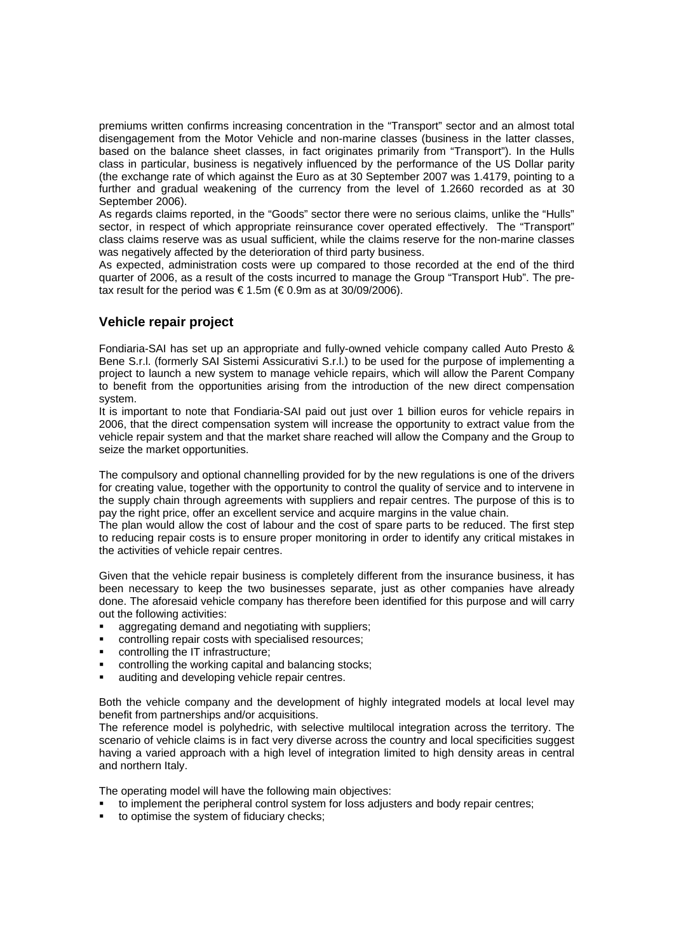premiums written confirms increasing concentration in the "Transport" sector and an almost total disengagement from the Motor Vehicle and non-marine classes (business in the latter classes, based on the balance sheet classes, in fact originates primarily from "Transport"). In the Hulls class in particular, business is negatively influenced by the performance of the US Dollar parity (the exchange rate of which against the Euro as at 30 September 2007 was 1.4179, pointing to a further and gradual weakening of the currency from the level of 1.2660 recorded as at 30 September 2006).

As regards claims reported, in the "Goods" sector there were no serious claims, unlike the "Hulls" sector, in respect of which appropriate reinsurance cover operated effectively. The "Transport" class claims reserve was as usual sufficient, while the claims reserve for the non-marine classes was negatively affected by the deterioration of third party business.

As expected, administration costs were up compared to those recorded at the end of the third quarter of 2006, as a result of the costs incurred to manage the Group "Transport Hub". The pretax result for the period was  $\in$  1.5m ( $\in$  0.9m as at 30/09/2006).

### **Vehicle repair project**

Fondiaria-SAI has set up an appropriate and fully-owned vehicle company called Auto Presto & Bene S.r.l. (formerly SAI Sistemi Assicurativi S.r.l.) to be used for the purpose of implementing a project to launch a new system to manage vehicle repairs, which will allow the Parent Company to benefit from the opportunities arising from the introduction of the new direct compensation system.

It is important to note that Fondiaria-SAI paid out just over 1 billion euros for vehicle repairs in 2006, that the direct compensation system will increase the opportunity to extract value from the vehicle repair system and that the market share reached will allow the Company and the Group to seize the market opportunities.

The compulsory and optional channelling provided for by the new regulations is one of the drivers for creating value, together with the opportunity to control the quality of service and to intervene in the supply chain through agreements with suppliers and repair centres. The purpose of this is to pay the right price, offer an excellent service and acquire margins in the value chain.

The plan would allow the cost of labour and the cost of spare parts to be reduced. The first step to reducing repair costs is to ensure proper monitoring in order to identify any critical mistakes in the activities of vehicle repair centres.

Given that the vehicle repair business is completely different from the insurance business, it has been necessary to keep the two businesses separate, just as other companies have already done. The aforesaid vehicle company has therefore been identified for this purpose and will carry out the following activities:

- aggregating demand and negotiating with suppliers;
- controlling repair costs with specialised resources;
- controlling the IT infrastructure;
- controlling the working capital and balancing stocks;
- auditing and developing vehicle repair centres.

Both the vehicle company and the development of highly integrated models at local level may benefit from partnerships and/or acquisitions.

The reference model is polyhedric, with selective multilocal integration across the territory. The scenario of vehicle claims is in fact very diverse across the country and local specificities suggest having a varied approach with a high level of integration limited to high density areas in central and northern Italy.

The operating model will have the following main objectives:

- to implement the peripheral control system for loss adjusters and body repair centres;
- to optimise the system of fiduciary checks: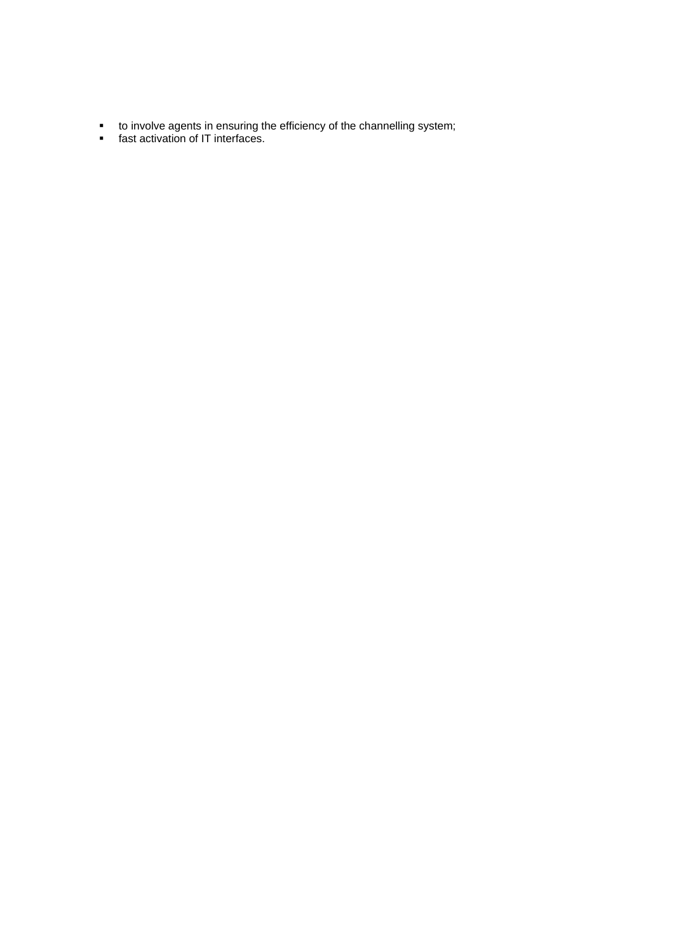- to involve agents in ensuring the efficiency of the channelling system;
- **fast activation of IT interfaces.**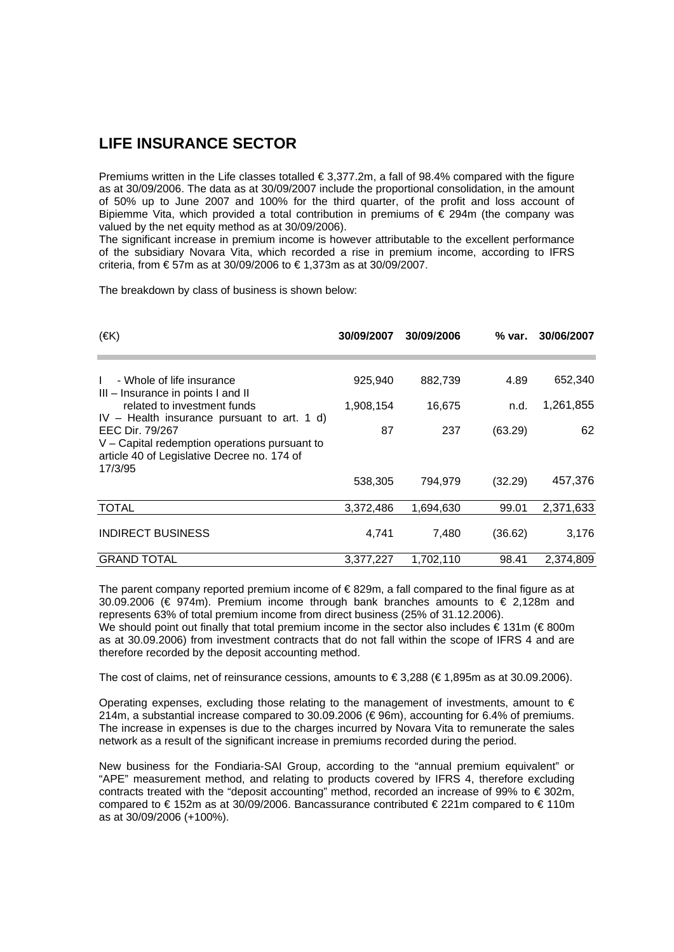### **LIFE INSURANCE SECTOR**

Premiums written in the Life classes totalled  $\epsilon$  3,377.2m, a fall of 98.4% compared with the figure as at 30/09/2006. The data as at 30/09/2007 include the proportional consolidation, in the amount of 50% up to June 2007 and 100% for the third quarter, of the profit and loss account of Bipiemme Vita, which provided a total contribution in premiums of € 294m (the company was valued by the net equity method as at 30/09/2006).

The significant increase in premium income is however attributable to the excellent performance of the subsidiary Novara Vita, which recorded a rise in premium income, according to IFRS criteria, from € 57m as at 30/09/2006 to € 1,373m as at 30/09/2007.

The breakdown by class of business is shown below:

| $(\in K)$                                                                                                                                                        | 30/09/2007 | 30/09/2006 | % var.  | 30/06/2007 |
|------------------------------------------------------------------------------------------------------------------------------------------------------------------|------------|------------|---------|------------|
|                                                                                                                                                                  |            |            |         |            |
| - Whole of life insurance<br>$\mathbf{I}$<br>III - Insurance in points I and II                                                                                  | 925,940    | 882,739    | 4.89    | 652,340    |
| related to investment funds                                                                                                                                      | 1,908,154  | 16,675     | n.d.    | 1,261,855  |
| $IV - Health$ insurance pursuant to art. 1 d)<br>EEC Dir. 79/267<br>V - Capital redemption operations pursuant to<br>article 40 of Legislative Decree no. 174 of | 87         | 237        | (63.29) | 62         |
| 17/3/95                                                                                                                                                          | 538,305    | 794,979    | (32.29) | 457,376    |
| <b>TOTAL</b>                                                                                                                                                     | 3,372,486  | 1,694,630  | 99.01   | 2,371,633  |
| <b>INDIRECT BUSINESS</b>                                                                                                                                         | 4,741      | 7,480      | (36.62) | 3,176      |
| <b>GRAND TOTAL</b>                                                                                                                                               | 3.377.227  | 1.702.110  | 98.41   | 2.374.809  |

The parent company reported premium income of € 829m, a fall compared to the final figure as at 30.09.2006 (€ 974m). Premium income through bank branches amounts to  $\epsilon$  2.128m and represents 63% of total premium income from direct business (25% of 31.12.2006). We should point out finally that total premium income in the sector also includes  $\epsilon$  131m ( $\epsilon$  800m as at 30.09.2006) from investment contracts that do not fall within the scope of IFRS 4 and are therefore recorded by the deposit accounting method.

The cost of claims, net of reinsurance cessions, amounts to  $\in$  3,288 ( $\in$  1,895m as at 30.09.2006).

Operating expenses, excluding those relating to the management of investments, amount to  $\epsilon$ 214m, a substantial increase compared to 30.09.2006 (€ 96m), accounting for 6.4% of premiums. The increase in expenses is due to the charges incurred by Novara Vita to remunerate the sales network as a result of the significant increase in premiums recorded during the period.

New business for the Fondiaria-SAI Group, according to the "annual premium equivalent" or "APE" measurement method, and relating to products covered by IFRS 4, therefore excluding contracts treated with the "deposit accounting" method, recorded an increase of 99% to € 302m, compared to € 152m as at 30/09/2006. Bancassurance contributed € 221m compared to € 110m as at 30/09/2006 (+100%).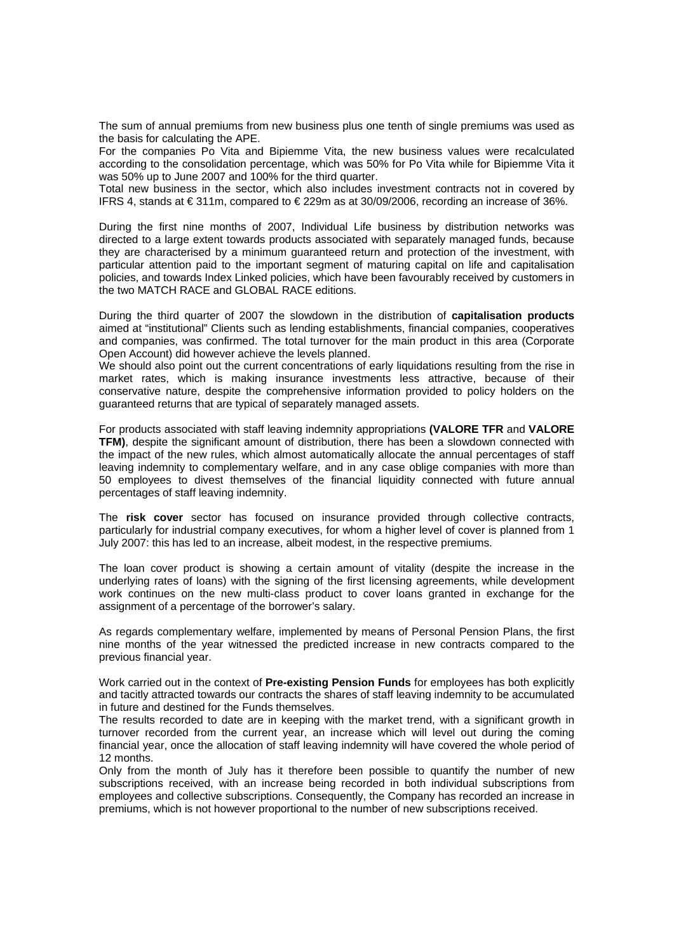The sum of annual premiums from new business plus one tenth of single premiums was used as the basis for calculating the APE.

For the companies Po Vita and Bipiemme Vita, the new business values were recalculated according to the consolidation percentage, which was 50% for Po Vita while for Bipiemme Vita it was 50% up to June 2007 and 100% for the third quarter.

Total new business in the sector, which also includes investment contracts not in covered by IFRS 4, stands at €311m, compared to €229m as at 30/09/2006, recording an increase of 36%.

During the first nine months of 2007, Individual Life business by distribution networks was directed to a large extent towards products associated with separately managed funds, because they are characterised by a minimum guaranteed return and protection of the investment, with particular attention paid to the important segment of maturing capital on life and capitalisation policies, and towards Index Linked policies, which have been favourably received by customers in the two MATCH RACE and GLOBAL RACE editions.

During the third quarter of 2007 the slowdown in the distribution of **capitalisation products**  aimed at "institutional" Clients such as lending establishments, financial companies, cooperatives and companies, was confirmed. The total turnover for the main product in this area (Corporate Open Account) did however achieve the levels planned.

We should also point out the current concentrations of early liquidations resulting from the rise in market rates, which is making insurance investments less attractive, because of their conservative nature, despite the comprehensive information provided to policy holders on the guaranteed returns that are typical of separately managed assets.

For products associated with staff leaving indemnity appropriations **(VALORE TFR** and **VALORE TFM)**, despite the significant amount of distribution, there has been a slowdown connected with the impact of the new rules, which almost automatically allocate the annual percentages of staff leaving indemnity to complementary welfare, and in any case oblige companies with more than 50 employees to divest themselves of the financial liquidity connected with future annual percentages of staff leaving indemnity.

The **risk cover** sector has focused on insurance provided through collective contracts, particularly for industrial company executives, for whom a higher level of cover is planned from 1 July 2007: this has led to an increase, albeit modest, in the respective premiums.

The loan cover product is showing a certain amount of vitality (despite the increase in the underlying rates of loans) with the signing of the first licensing agreements, while development work continues on the new multi-class product to cover loans granted in exchange for the assignment of a percentage of the borrower's salary.

As regards complementary welfare, implemented by means of Personal Pension Plans, the first nine months of the year witnessed the predicted increase in new contracts compared to the previous financial year.

Work carried out in the context of **Pre-existing Pension Funds** for employees has both explicitly and tacitly attracted towards our contracts the shares of staff leaving indemnity to be accumulated in future and destined for the Funds themselves.

The results recorded to date are in keeping with the market trend, with a significant growth in turnover recorded from the current year, an increase which will level out during the coming financial year, once the allocation of staff leaving indemnity will have covered the whole period of 12 months.

Only from the month of July has it therefore been possible to quantify the number of new subscriptions received, with an increase being recorded in both individual subscriptions from employees and collective subscriptions. Consequently, the Company has recorded an increase in premiums, which is not however proportional to the number of new subscriptions received.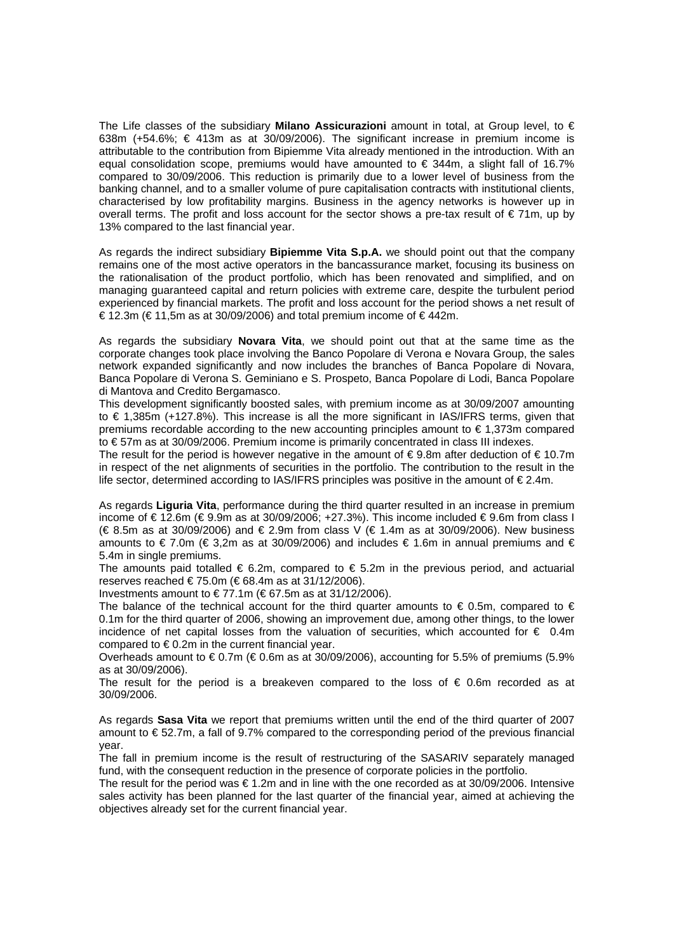The Life classes of the subsidiary **Milano Assicurazioni** amount in total, at Group level, to € 638m (+54.6%;  $\epsilon$  413m as at 30/09/2006). The significant increase in premium income is attributable to the contribution from Bipiemme Vita already mentioned in the introduction. With an equal consolidation scope, premiums would have amounted to  $\epsilon$  344m, a slight fall of 16.7% compared to 30/09/2006. This reduction is primarily due to a lower level of business from the banking channel, and to a smaller volume of pure capitalisation contracts with institutional clients, characterised by low profitability margins. Business in the agency networks is however up in overall terms. The profit and loss account for the sector shows a pre-tax result of € 71m, up by 13% compared to the last financial year.

As regards the indirect subsidiary **Bipiemme Vita S.p.A.** we should point out that the company remains one of the most active operators in the bancassurance market, focusing its business on the rationalisation of the product portfolio, which has been renovated and simplified, and on managing guaranteed capital and return policies with extreme care, despite the turbulent period experienced by financial markets. The profit and loss account for the period shows a net result of € 12.3m (€ 11,5m as at 30/09/2006) and total premium income of € 442m.

As regards the subsidiary **Novara Vita**, we should point out that at the same time as the corporate changes took place involving the Banco Popolare di Verona e Novara Group, the sales network expanded significantly and now includes the branches of Banca Popolare di Novara, Banca Popolare di Verona S. Geminiano e S. Prospeto, Banca Popolare di Lodi, Banca Popolare di Mantova and Credito Bergamasco.

This development significantly boosted sales, with premium income as at 30/09/2007 amounting to € 1,385m (+127.8%). This increase is all the more significant in IAS/IFRS terms, given that premiums recordable according to the new accounting principles amount to  $\epsilon$  1,373m compared to € 57m as at 30/09/2006. Premium income is primarily concentrated in class III indexes.

The result for the period is however negative in the amount of  $\epsilon$  9.8m after deduction of  $\epsilon$  10.7m in respect of the net alignments of securities in the portfolio. The contribution to the result in the life sector, determined according to IAS/IFRS principles was positive in the amount of  $\epsilon$ 2.4m.

As regards **Liguria Vita**, performance during the third quarter resulted in an increase in premium income of €12.6m (€9.9m as at 30/09/2006; +27.3%). This income included €9.6m from class I (€ 8.5m as at 30/09/2006) and € 2.9m from class V (€ 1.4m as at 30/09/2006). New business amounts to € 7.0m (€ 3,2m as at 30/09/2006) and includes € 1.6m in annual premiums and € 5.4m in single premiums.

The amounts paid totalled  $\epsilon$  6.2m, compared to  $\epsilon$  5.2m in the previous period, and actuarial reserves reached € 75.0m (€ 68.4m as at 31/12/2006).

Investments amount to  $\epsilon$ 77.1m ( $\epsilon$ 67.5m as at 31/12/2006).

The balance of the technical account for the third quarter amounts to  $\epsilon$  0.5m, compared to  $\epsilon$ 0.1m for the third quarter of 2006, showing an improvement due, among other things, to the lower incidence of net capital losses from the valuation of securities, which accounted for  $\epsilon$  0.4m compared to  $\epsilon$  0.2m in the current financial year.

Overheads amount to  $\epsilon$  0.7m ( $\epsilon$  0.6m as at 30/09/2006), accounting for 5.5% of premiums (5.9% as at 30/09/2006).

The result for the period is a breakeven compared to the loss of  $\epsilon$  0.6m recorded as at 30/09/2006.

As regards **Sasa Vita** we report that premiums written until the end of the third quarter of 2007 amount to  $\epsilon$  52.7m, a fall of 9.7% compared to the corresponding period of the previous financial year.

The fall in premium income is the result of restructuring of the SASARIV separately managed fund, with the consequent reduction in the presence of corporate policies in the portfolio.

The result for the period was  $\epsilon$  1.2m and in line with the one recorded as at 30/09/2006. Intensive sales activity has been planned for the last quarter of the financial year, aimed at achieving the objectives already set for the current financial year.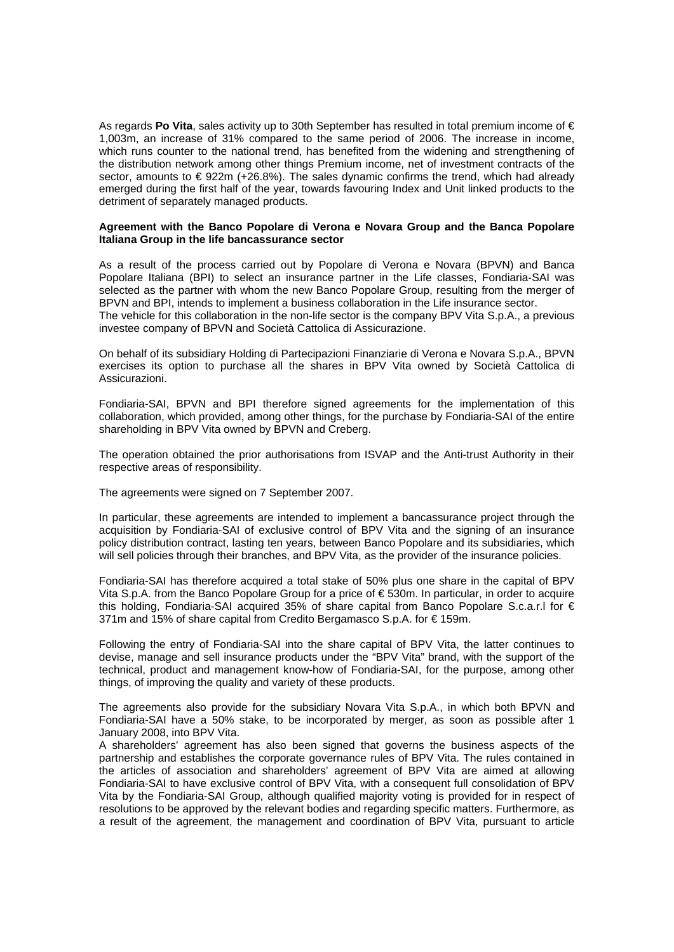As regards Po Vita, sales activity up to 30th September has resulted in total premium income of € 1,003m, an increase of 31% compared to the same period of 2006. The increase in income, which runs counter to the national trend, has benefited from the widening and strengthening of the distribution network among other things Premium income, net of investment contracts of the sector, amounts to  $\epsilon$  922m (+26.8%). The sales dynamic confirms the trend, which had already emerged during the first half of the year, towards favouring Index and Unit linked products to the detriment of separately managed products.

#### **Agreement with the Banco Popolare di Verona e Novara Group and the Banca Popolare Italiana Group in the life bancassurance sector**

As a result of the process carried out by Popolare di Verona e Novara (BPVN) and Banca Popolare Italiana (BPI) to select an insurance partner in the Life classes, Fondiaria-SAI was selected as the partner with whom the new Banco Popolare Group, resulting from the merger of BPVN and BPI, intends to implement a business collaboration in the Life insurance sector. The vehicle for this collaboration in the non-life sector is the company BPV Vita S.p.A., a previous

investee company of BPVN and Società Cattolica di Assicurazione.

On behalf of its subsidiary Holding di Partecipazioni Finanziarie di Verona e Novara S.p.A., BPVN exercises its option to purchase all the shares in BPV Vita owned by Società Cattolica di Assicurazioni.

Fondiaria-SAI, BPVN and BPI therefore signed agreements for the implementation of this collaboration, which provided, among other things, for the purchase by Fondiaria-SAI of the entire shareholding in BPV Vita owned by BPVN and Creberg.

The operation obtained the prior authorisations from ISVAP and the Anti-trust Authority in their respective areas of responsibility.

The agreements were signed on 7 September 2007.

In particular, these agreements are intended to implement a bancassurance project through the acquisition by Fondiaria-SAI of exclusive control of BPV Vita and the signing of an insurance policy distribution contract, lasting ten years, between Banco Popolare and its subsidiaries, which will sell policies through their branches, and BPV Vita, as the provider of the insurance policies.

Fondiaria-SAI has therefore acquired a total stake of 50% plus one share in the capital of BPV Vita S.p.A. from the Banco Popolare Group for a price of € 530m. In particular, in order to acquire this holding, Fondiaria-SAI acquired 35% of share capital from Banco Popolare S.c.a.r.l for € 371m and 15% of share capital from Credito Bergamasco S.p.A. for € 159m.

Following the entry of Fondiaria-SAI into the share capital of BPV Vita, the latter continues to devise, manage and sell insurance products under the "BPV Vita" brand, with the support of the technical, product and management know-how of Fondiaria-SAI, for the purpose, among other things, of improving the quality and variety of these products.

The agreements also provide for the subsidiary Novara Vita S.p.A., in which both BPVN and Fondiaria-SAI have a 50% stake, to be incorporated by merger, as soon as possible after 1 January 2008, into BPV Vita.

A shareholders' agreement has also been signed that governs the business aspects of the partnership and establishes the corporate governance rules of BPV Vita. The rules contained in the articles of association and shareholders' agreement of BPV Vita are aimed at allowing Fondiaria-SAI to have exclusive control of BPV Vita, with a consequent full consolidation of BPV Vita by the Fondiaria-SAI Group, although qualified majority voting is provided for in respect of resolutions to be approved by the relevant bodies and regarding specific matters. Furthermore, as a result of the agreement, the management and coordination of BPV Vita, pursuant to article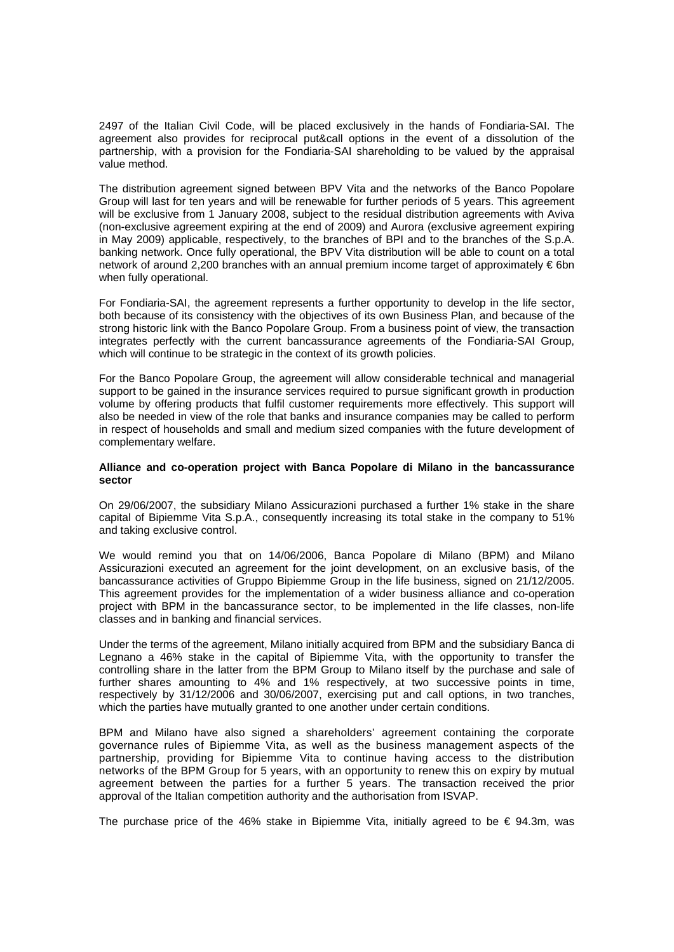2497 of the Italian Civil Code, will be placed exclusively in the hands of Fondiaria-SAI. The agreement also provides for reciprocal put&call options in the event of a dissolution of the partnership, with a provision for the Fondiaria-SAI shareholding to be valued by the appraisal value method.

The distribution agreement signed between BPV Vita and the networks of the Banco Popolare Group will last for ten years and will be renewable for further periods of 5 years. This agreement will be exclusive from 1 January 2008, subject to the residual distribution agreements with Aviva (non-exclusive agreement expiring at the end of 2009) and Aurora (exclusive agreement expiring in May 2009) applicable, respectively, to the branches of BPI and to the branches of the S.p.A. banking network. Once fully operational, the BPV Vita distribution will be able to count on a total network of around 2,200 branches with an annual premium income target of approximately € 6bn when fully operational.

For Fondiaria-SAI, the agreement represents a further opportunity to develop in the life sector, both because of its consistency with the objectives of its own Business Plan, and because of the strong historic link with the Banco Popolare Group. From a business point of view, the transaction integrates perfectly with the current bancassurance agreements of the Fondiaria-SAI Group, which will continue to be strategic in the context of its growth policies.

For the Banco Popolare Group, the agreement will allow considerable technical and managerial support to be gained in the insurance services required to pursue significant growth in production volume by offering products that fulfil customer requirements more effectively. This support will also be needed in view of the role that banks and insurance companies may be called to perform in respect of households and small and medium sized companies with the future development of complementary welfare.

#### **Alliance and co-operation project with Banca Popolare di Milano in the bancassurance sector**

On 29/06/2007, the subsidiary Milano Assicurazioni purchased a further 1% stake in the share capital of Bipiemme Vita S.p.A., consequently increasing its total stake in the company to 51% and taking exclusive control.

We would remind you that on 14/06/2006, Banca Popolare di Milano (BPM) and Milano Assicurazioni executed an agreement for the joint development, on an exclusive basis, of the bancassurance activities of Gruppo Bipiemme Group in the life business, signed on 21/12/2005. This agreement provides for the implementation of a wider business alliance and co-operation project with BPM in the bancassurance sector, to be implemented in the life classes, non-life classes and in banking and financial services.

Under the terms of the agreement, Milano initially acquired from BPM and the subsidiary Banca di Legnano a 46% stake in the capital of Bipiemme Vita, with the opportunity to transfer the controlling share in the latter from the BPM Group to Milano itself by the purchase and sale of further shares amounting to 4% and 1% respectively, at two successive points in time, respectively by 31/12/2006 and 30/06/2007, exercising put and call options, in two tranches, which the parties have mutually granted to one another under certain conditions.

BPM and Milano have also signed a shareholders' agreement containing the corporate governance rules of Bipiemme Vita, as well as the business management aspects of the partnership, providing for Bipiemme Vita to continue having access to the distribution networks of the BPM Group for 5 years, with an opportunity to renew this on expiry by mutual agreement between the parties for a further 5 years. The transaction received the prior approval of the Italian competition authority and the authorisation from ISVAP.

The purchase price of the 46% stake in Bipiemme Vita, initially agreed to be  $\epsilon$  94.3m, was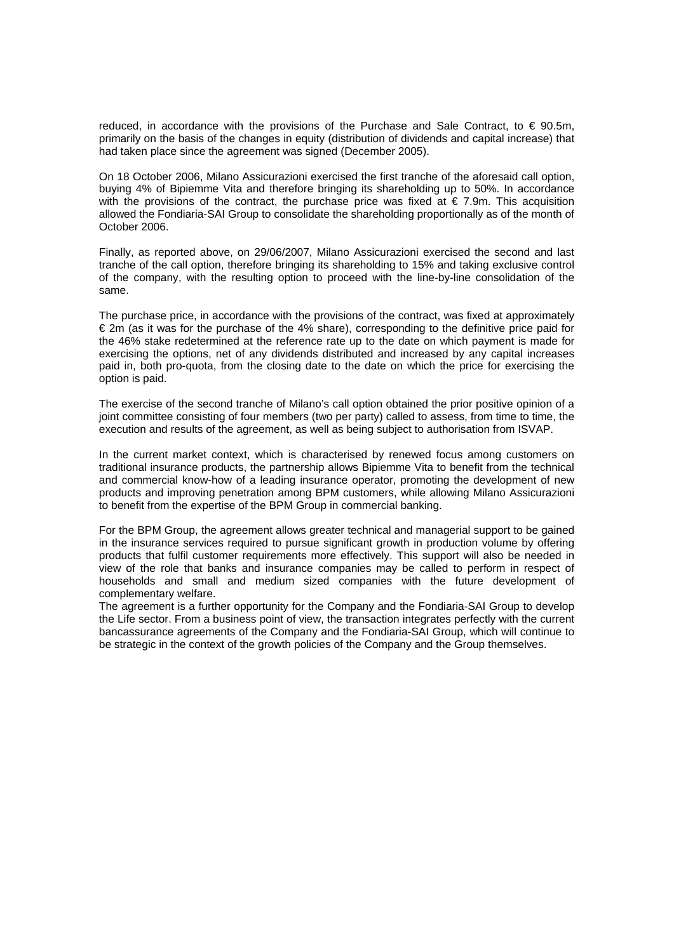reduced, in accordance with the provisions of the Purchase and Sale Contract, to  $\in$  90.5m, primarily on the basis of the changes in equity (distribution of dividends and capital increase) that had taken place since the agreement was signed (December 2005).

On 18 October 2006, Milano Assicurazioni exercised the first tranche of the aforesaid call option, buying 4% of Bipiemme Vita and therefore bringing its shareholding up to 50%. In accordance with the provisions of the contract, the purchase price was fixed at  $\epsilon$  7.9m. This acquisition allowed the Fondiaria-SAI Group to consolidate the shareholding proportionally as of the month of October 2006.

Finally, as reported above, on 29/06/2007, Milano Assicurazioni exercised the second and last tranche of the call option, therefore bringing its shareholding to 15% and taking exclusive control of the company, with the resulting option to proceed with the line-by-line consolidation of the same.

The purchase price, in accordance with the provisions of the contract, was fixed at approximately € 2m (as it was for the purchase of the 4% share), corresponding to the definitive price paid for the 46% stake redetermined at the reference rate up to the date on which payment is made for exercising the options, net of any dividends distributed and increased by any capital increases paid in, both pro-quota, from the closing date to the date on which the price for exercising the option is paid.

The exercise of the second tranche of Milano's call option obtained the prior positive opinion of a joint committee consisting of four members (two per party) called to assess, from time to time, the execution and results of the agreement, as well as being subject to authorisation from ISVAP.

In the current market context, which is characterised by renewed focus among customers on traditional insurance products, the partnership allows Bipiemme Vita to benefit from the technical and commercial know-how of a leading insurance operator, promoting the development of new products and improving penetration among BPM customers, while allowing Milano Assicurazioni to benefit from the expertise of the BPM Group in commercial banking.

For the BPM Group, the agreement allows greater technical and managerial support to be gained in the insurance services required to pursue significant growth in production volume by offering products that fulfil customer requirements more effectively. This support will also be needed in view of the role that banks and insurance companies may be called to perform in respect of households and small and medium sized companies with the future development of complementary welfare.

The agreement is a further opportunity for the Company and the Fondiaria-SAI Group to develop the Life sector. From a business point of view, the transaction integrates perfectly with the current bancassurance agreements of the Company and the Fondiaria-SAI Group, which will continue to be strategic in the context of the growth policies of the Company and the Group themselves.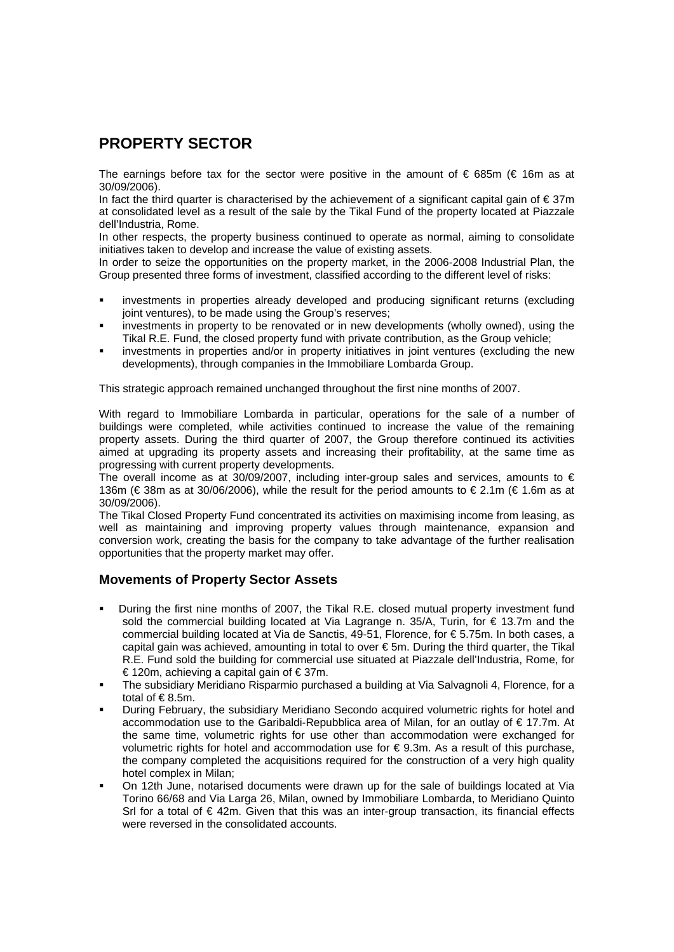### **PROPERTY SECTOR**

The earnings before tax for the sector were positive in the amount of  $\epsilon$  685m ( $\epsilon$  16m as at 30/09/2006).

In fact the third quarter is characterised by the achievement of a significant capital gain of € 37m at consolidated level as a result of the sale by the Tikal Fund of the property located at Piazzale dell'Industria, Rome.

In other respects, the property business continued to operate as normal, aiming to consolidate initiatives taken to develop and increase the value of existing assets.

In order to seize the opportunities on the property market, in the 2006-2008 Industrial Plan, the Group presented three forms of investment, classified according to the different level of risks:

- investments in properties already developed and producing significant returns (excluding joint ventures), to be made using the Group's reserves;
- investments in property to be renovated or in new developments (wholly owned), using the Tikal R.E. Fund, the closed property fund with private contribution, as the Group vehicle;
- investments in properties and/or in property initiatives in joint ventures (excluding the new developments), through companies in the Immobiliare Lombarda Group.

This strategic approach remained unchanged throughout the first nine months of 2007.

With regard to Immobiliare Lombarda in particular, operations for the sale of a number of buildings were completed, while activities continued to increase the value of the remaining property assets. During the third quarter of 2007, the Group therefore continued its activities aimed at upgrading its property assets and increasing their profitability, at the same time as progressing with current property developments.

The overall income as at 30/09/2007, including inter-group sales and services, amounts to  $\epsilon$ 136m (€ 38m as at 30/06/2006), while the result for the period amounts to € 2.1m (€ 1.6m as at 30/09/2006).

The Tikal Closed Property Fund concentrated its activities on maximising income from leasing, as well as maintaining and improving property values through maintenance, expansion and conversion work, creating the basis for the company to take advantage of the further realisation opportunities that the property market may offer.

#### **Movements of Property Sector Assets**

- During the first nine months of 2007, the Tikal R.E. closed mutual property investment fund sold the commercial building located at Via Lagrange n. 35/A, Turin, for € 13.7m and the commercial building located at Via de Sanctis, 49-51, Florence, for € 5.75m. In both cases, a capital gain was achieved, amounting in total to over  $\epsilon$  5m. During the third quarter, the Tikal R.E. Fund sold the building for commercial use situated at Piazzale dell'Industria, Rome, for € 120m, achieving a capital gain of  $€37m$ .
- The subsidiary Meridiano Risparmio purchased a building at Via Salvagnoli 4, Florence, for a total of  $\epsilon$ 8.5m.
- During February, the subsidiary Meridiano Secondo acquired volumetric rights for hotel and accommodation use to the Garibaldi-Repubblica area of Milan, for an outlay of € 17.7m. At the same time, volumetric rights for use other than accommodation were exchanged for volumetric rights for hotel and accommodation use for  $\epsilon$  9.3m. As a result of this purchase, the company completed the acquisitions required for the construction of a very high quality hotel complex in Milan;
- On 12th June, notarised documents were drawn up for the sale of buildings located at Via Torino 66/68 and Via Larga 26, Milan, owned by Immobiliare Lombarda, to Meridiano Quinto Srl for a total of €42m. Given that this was an inter-group transaction, its financial effects were reversed in the consolidated accounts.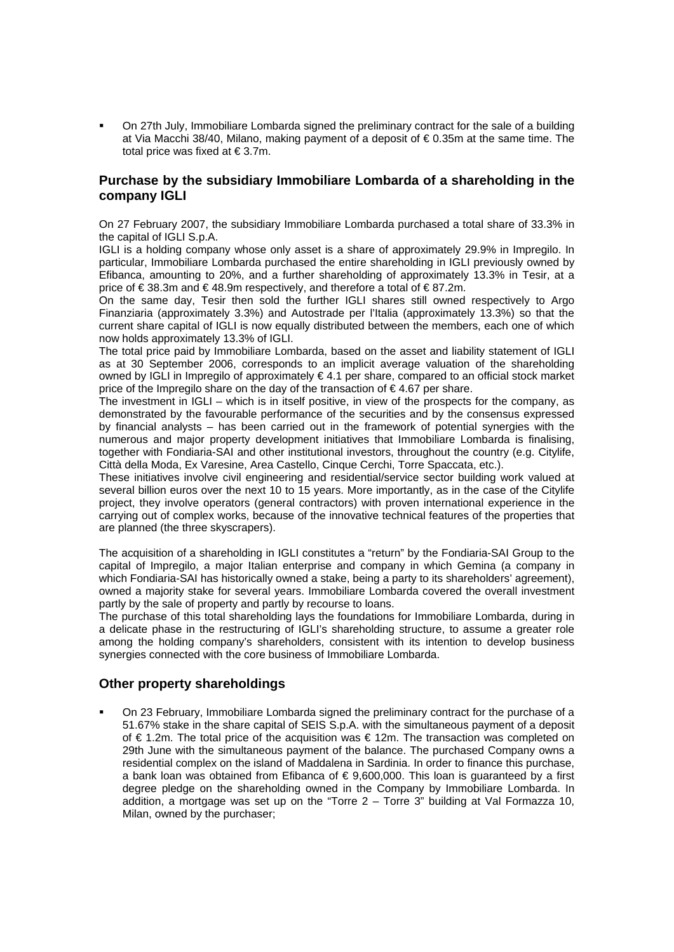On 27th July, Immobiliare Lombarda signed the preliminary contract for the sale of a building at Via Macchi 38/40, Milano, making payment of a deposit of  $\epsilon$  0.35m at the same time. The total price was fixed at € 3.7m.

### **Purchase by the subsidiary Immobiliare Lombarda of a shareholding in the company IGLI**

On 27 February 2007, the subsidiary Immobiliare Lombarda purchased a total share of 33.3% in the capital of IGLI S.p.A.

IGLI is a holding company whose only asset is a share of approximately 29.9% in Impregilo. In particular, Immobiliare Lombarda purchased the entire shareholding in IGLI previously owned by Efibanca, amounting to 20%, and a further shareholding of approximately 13.3% in Tesir, at a price of € 38.3m and € 48.9m respectively, and therefore a total of € 87.2m.

On the same day, Tesir then sold the further IGLI shares still owned respectively to Argo Finanziaria (approximately 3.3%) and Autostrade per l'Italia (approximately 13.3%) so that the current share capital of IGLI is now equally distributed between the members, each one of which now holds approximately 13.3% of IGLI.

The total price paid by Immobiliare Lombarda, based on the asset and liability statement of IGLI as at 30 September 2006, corresponds to an implicit average valuation of the shareholding owned by IGLI in Impregilo of approximately € 4.1 per share, compared to an official stock market price of the Impregilo share on the day of the transaction of  $\epsilon$  4.67 per share.

The investment in IGLI – which is in itself positive, in view of the prospects for the company, as demonstrated by the favourable performance of the securities and by the consensus expressed by financial analysts – has been carried out in the framework of potential synergies with the numerous and major property development initiatives that Immobiliare Lombarda is finalising, together with Fondiaria-SAI and other institutional investors, throughout the country (e.g. Citylife, Città della Moda, Ex Varesine, Area Castello, Cinque Cerchi, Torre Spaccata, etc.).

These initiatives involve civil engineering and residential/service sector building work valued at several billion euros over the next 10 to 15 years. More importantly, as in the case of the Citylife project, they involve operators (general contractors) with proven international experience in the carrying out of complex works, because of the innovative technical features of the properties that are planned (the three skyscrapers).

The acquisition of a shareholding in IGLI constitutes a "return" by the Fondiaria-SAI Group to the capital of Impregilo, a major Italian enterprise and company in which Gemina (a company in which Fondiaria-SAI has historically owned a stake, being a party to its shareholders' agreement), owned a majority stake for several years. Immobiliare Lombarda covered the overall investment partly by the sale of property and partly by recourse to loans.

The purchase of this total shareholding lays the foundations for Immobiliare Lombarda, during in a delicate phase in the restructuring of IGLI's shareholding structure, to assume a greater role among the holding company's shareholders, consistent with its intention to develop business synergies connected with the core business of Immobiliare Lombarda.

### **Other property shareholdings**

 On 23 February, Immobiliare Lombarda signed the preliminary contract for the purchase of a 51.67% stake in the share capital of SEIS S.p.A. with the simultaneous payment of a deposit of € 1.2m. The total price of the acquisition was € 12m. The transaction was completed on 29th June with the simultaneous payment of the balance. The purchased Company owns a residential complex on the island of Maddalena in Sardinia. In order to finance this purchase, a bank loan was obtained from Efibanca of € 9,600,000. This loan is guaranteed by a first degree pledge on the shareholding owned in the Company by Immobiliare Lombarda. In addition, a mortgage was set up on the "Torre 2 – Torre 3" building at Val Formazza 10, Milan, owned by the purchaser;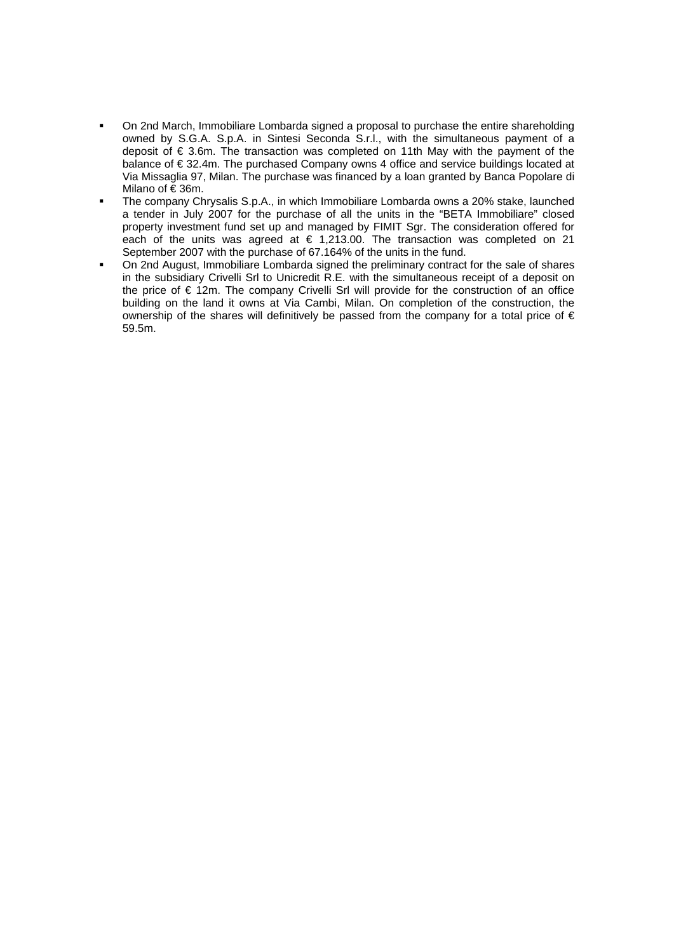- On 2nd March, Immobiliare Lombarda signed a proposal to purchase the entire shareholding owned by S.G.A. S.p.A. in Sintesi Seconda S.r.l., with the simultaneous payment of a deposit of € 3.6m. The transaction was completed on 11th May with the payment of the balance of € 32.4m. The purchased Company owns 4 office and service buildings located at Via Missaglia 97, Milan. The purchase was financed by a loan granted by Banca Popolare di Milano of € 36m.
- The company Chrysalis S.p.A., in which Immobiliare Lombarda owns a 20% stake, launched a tender in July 2007 for the purchase of all the units in the "BETA Immobiliare" closed property investment fund set up and managed by FIMIT Sgr. The consideration offered for each of the units was agreed at  $\epsilon$  1,213.00. The transaction was completed on 21 September 2007 with the purchase of 67.164% of the units in the fund.
- On 2nd August, Immobiliare Lombarda signed the preliminary contract for the sale of shares in the subsidiary Crivelli Srl to Unicredit R.E. with the simultaneous receipt of a deposit on the price of € 12m. The company Crivelli Srl will provide for the construction of an office building on the land it owns at Via Cambi, Milan. On completion of the construction, the ownership of the shares will definitively be passed from the company for a total price of € 59.5m.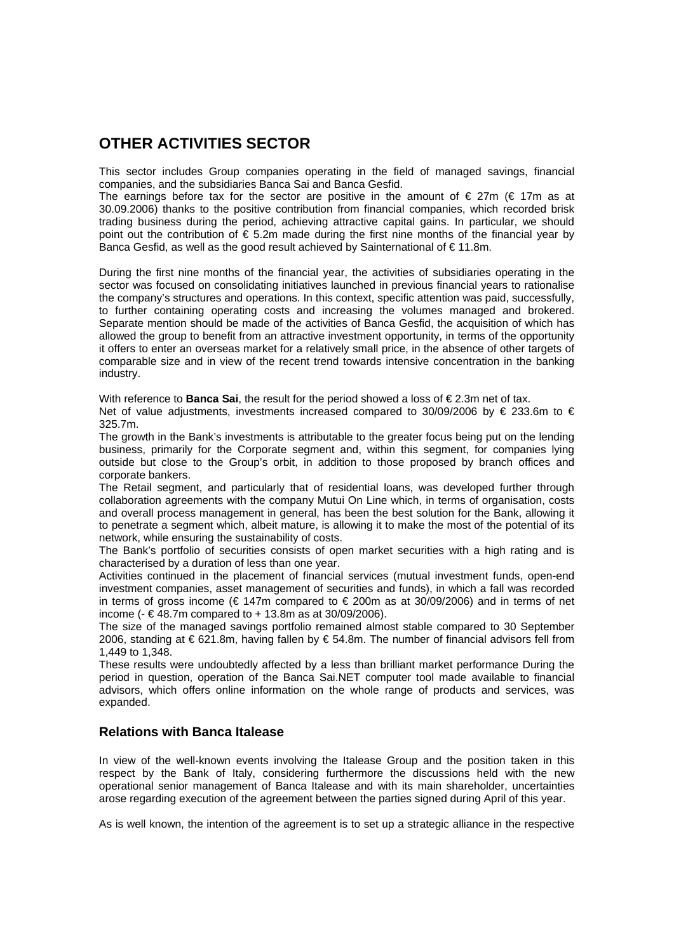### **OTHER ACTIVITIES SECTOR**

This sector includes Group companies operating in the field of managed savings, financial companies, and the subsidiaries Banca Sai and Banca Gesfid.

The earnings before tax for the sector are positive in the amount of  $\epsilon$  27m ( $\epsilon$  17m as at 30.09.2006) thanks to the positive contribution from financial companies, which recorded brisk trading business during the period, achieving attractive capital gains. In particular, we should point out the contribution of  $\epsilon$  5.2m made during the first nine months of the financial year by Banca Gesfid, as well as the good result achieved by Sainternational of  $\epsilon$  11.8m.

During the first nine months of the financial year, the activities of subsidiaries operating in the sector was focused on consolidating initiatives launched in previous financial years to rationalise the company's structures and operations. In this context, specific attention was paid, successfully, to further containing operating costs and increasing the volumes managed and brokered. Separate mention should be made of the activities of Banca Gesfid, the acquisition of which has allowed the group to benefit from an attractive investment opportunity, in terms of the opportunity it offers to enter an overseas market for a relatively small price, in the absence of other targets of comparable size and in view of the recent trend towards intensive concentration in the banking industry.

With reference to **Banca Sai**, the result for the period showed a loss of € 2.3m net of tax.

Net of value adjustments, investments increased compared to 30/09/2006 by  $\in$  233.6m to  $\in$ 325.7m.

The growth in the Bank's investments is attributable to the greater focus being put on the lending business, primarily for the Corporate segment and, within this segment, for companies lying outside but close to the Group's orbit, in addition to those proposed by branch offices and corporate bankers.

The Retail segment, and particularly that of residential loans, was developed further through collaboration agreements with the company Mutui On Line which, in terms of organisation, costs and overall process management in general, has been the best solution for the Bank, allowing it to penetrate a segment which, albeit mature, is allowing it to make the most of the potential of its network, while ensuring the sustainability of costs.

The Bank's portfolio of securities consists of open market securities with a high rating and is characterised by a duration of less than one year.

Activities continued in the placement of financial services (mutual investment funds, open-end investment companies, asset management of securities and funds), in which a fall was recorded in terms of gross income ( $\epsilon$  147m compared to  $\epsilon$  200m as at 30/09/2006) and in terms of net income (- € 48.7m compared to + 13.8m as at 30/09/2006).

The size of the managed savings portfolio remained almost stable compared to 30 September 2006, standing at  $\epsilon$  621.8m, having fallen by  $\epsilon$  54.8m. The number of financial advisors fell from 1,449 to 1,348.

These results were undoubtedly affected by a less than brilliant market performance During the period in question, operation of the Banca Sai.NET computer tool made available to financial advisors, which offers online information on the whole range of products and services, was expanded.

### **Relations with Banca Italease**

In view of the well-known events involving the Italease Group and the position taken in this respect by the Bank of Italy, considering furthermore the discussions held with the new operational senior management of Banca Italease and with its main shareholder, uncertainties arose regarding execution of the agreement between the parties signed during April of this year.

As is well known, the intention of the agreement is to set up a strategic alliance in the respective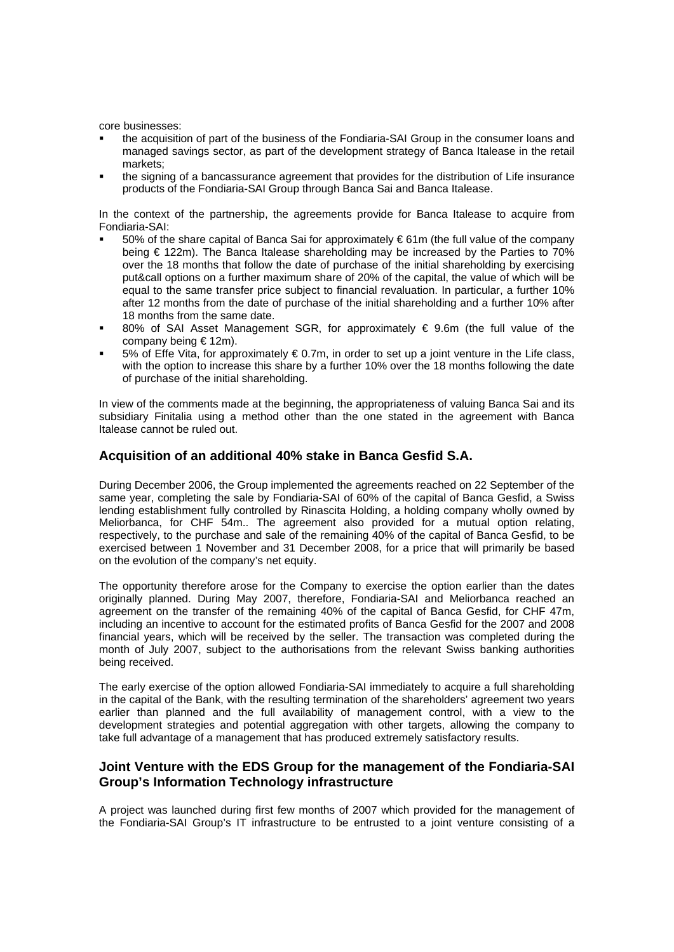core businesses:

- the acquisition of part of the business of the Fondiaria-SAI Group in the consumer loans and managed savings sector, as part of the development strategy of Banca Italease in the retail markets;
- the signing of a bancassurance agreement that provides for the distribution of Life insurance products of the Fondiaria-SAI Group through Banca Sai and Banca Italease.

In the context of the partnership, the agreements provide for Banca Italease to acquire from Fondiaria-SAI:

- 50% of the share capital of Banca Sai for approximately € 61m (the full value of the company being € 122m). The Banca Italease shareholding may be increased by the Parties to 70% over the 18 months that follow the date of purchase of the initial shareholding by exercising put&call options on a further maximum share of 20% of the capital, the value of which will be equal to the same transfer price subject to financial revaluation. In particular, a further 10% after 12 months from the date of purchase of the initial shareholding and a further 10% after 18 months from the same date.
- 80% of SAI Asset Management SGR, for approximately  $\epsilon$  9.6m (the full value of the company being € 12m).
- 5% of Effe Vita, for approximately € 0.7m, in order to set up a joint venture in the Life class, with the option to increase this share by a further 10% over the 18 months following the date of purchase of the initial shareholding.

In view of the comments made at the beginning, the appropriateness of valuing Banca Sai and its subsidiary Finitalia using a method other than the one stated in the agreement with Banca Italease cannot be ruled out.

#### **Acquisition of an additional 40% stake in Banca Gesfid S.A.**

During December 2006, the Group implemented the agreements reached on 22 September of the same year, completing the sale by Fondiaria-SAI of 60% of the capital of Banca Gesfid, a Swiss lending establishment fully controlled by Rinascita Holding, a holding company wholly owned by Meliorbanca, for CHF 54m.. The agreement also provided for a mutual option relating, respectively, to the purchase and sale of the remaining 40% of the capital of Banca Gesfid, to be exercised between 1 November and 31 December 2008, for a price that will primarily be based on the evolution of the company's net equity.

The opportunity therefore arose for the Company to exercise the option earlier than the dates originally planned. During May 2007, therefore, Fondiaria-SAI and Meliorbanca reached an agreement on the transfer of the remaining 40% of the capital of Banca Gesfid, for CHF 47m, including an incentive to account for the estimated profits of Banca Gesfid for the 2007 and 2008 financial years, which will be received by the seller. The transaction was completed during the month of July 2007, subject to the authorisations from the relevant Swiss banking authorities being received.

The early exercise of the option allowed Fondiaria-SAI immediately to acquire a full shareholding in the capital of the Bank, with the resulting termination of the shareholders' agreement two years earlier than planned and the full availability of management control, with a view to the development strategies and potential aggregation with other targets, allowing the company to take full advantage of a management that has produced extremely satisfactory results.

### **Joint Venture with the EDS Group for the management of the Fondiaria-SAI Group's Information Technology infrastructure**

A project was launched during first few months of 2007 which provided for the management of the Fondiaria-SAI Group's IT infrastructure to be entrusted to a joint venture consisting of a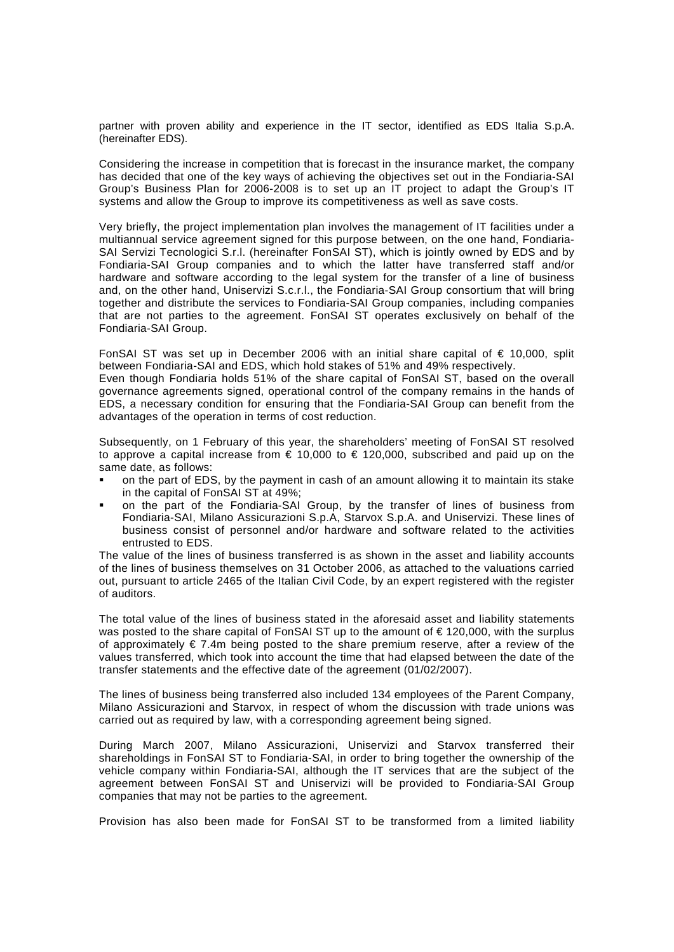partner with proven ability and experience in the IT sector, identified as EDS Italia S.p.A. (hereinafter EDS).

Considering the increase in competition that is forecast in the insurance market, the company has decided that one of the key ways of achieving the objectives set out in the Fondiaria-SAI Group's Business Plan for 2006-2008 is to set up an IT project to adapt the Group's IT systems and allow the Group to improve its competitiveness as well as save costs.

Very briefly, the project implementation plan involves the management of IT facilities under a multiannual service agreement signed for this purpose between, on the one hand, Fondiaria-SAI Servizi Tecnologici S.r.l. (hereinafter FonSAI ST), which is jointly owned by EDS and by Fondiaria-SAI Group companies and to which the latter have transferred staff and/or hardware and software according to the legal system for the transfer of a line of business and, on the other hand, Uniservizi S.c.r.l., the Fondiaria-SAI Group consortium that will bring together and distribute the services to Fondiaria-SAI Group companies, including companies that are not parties to the agreement. FonSAI ST operates exclusively on behalf of the Fondiaria-SAI Group.

FonSAI ST was set up in December 2006 with an initial share capital of  $\epsilon$  10,000, split between Fondiaria-SAI and EDS, which hold stakes of 51% and 49% respectively.

Even though Fondiaria holds 51% of the share capital of FonSAI ST, based on the overall governance agreements signed, operational control of the company remains in the hands of EDS, a necessary condition for ensuring that the Fondiaria-SAI Group can benefit from the advantages of the operation in terms of cost reduction.

Subsequently, on 1 February of this year, the shareholders' meeting of FonSAI ST resolved to approve a capital increase from  $\epsilon$  10,000 to  $\epsilon$  120,000, subscribed and paid up on the same date, as follows:

- on the part of EDS, by the payment in cash of an amount allowing it to maintain its stake in the capital of FonSAI ST at 49%;
- on the part of the Fondiaria-SAI Group, by the transfer of lines of business from Fondiaria-SAI, Milano Assicurazioni S.p.A, Starvox S.p.A. and Uniservizi. These lines of business consist of personnel and/or hardware and software related to the activities entrusted to EDS.

The value of the lines of business transferred is as shown in the asset and liability accounts of the lines of business themselves on 31 October 2006, as attached to the valuations carried out, pursuant to article 2465 of the Italian Civil Code, by an expert registered with the register of auditors.

The total value of the lines of business stated in the aforesaid asset and liability statements was posted to the share capital of FonSAI ST up to the amount of €120,000, with the surplus of approximately  $\epsilon$  7.4m being posted to the share premium reserve, after a review of the values transferred, which took into account the time that had elapsed between the date of the transfer statements and the effective date of the agreement (01/02/2007).

The lines of business being transferred also included 134 employees of the Parent Company, Milano Assicurazioni and Starvox, in respect of whom the discussion with trade unions was carried out as required by law, with a corresponding agreement being signed.

During March 2007, Milano Assicurazioni, Uniservizi and Starvox transferred their shareholdings in FonSAI ST to Fondiaria-SAI, in order to bring together the ownership of the vehicle company within Fondiaria-SAI, although the IT services that are the subject of the agreement between FonSAI ST and Uniservizi will be provided to Fondiaria-SAI Group companies that may not be parties to the agreement.

Provision has also been made for FonSAI ST to be transformed from a limited liability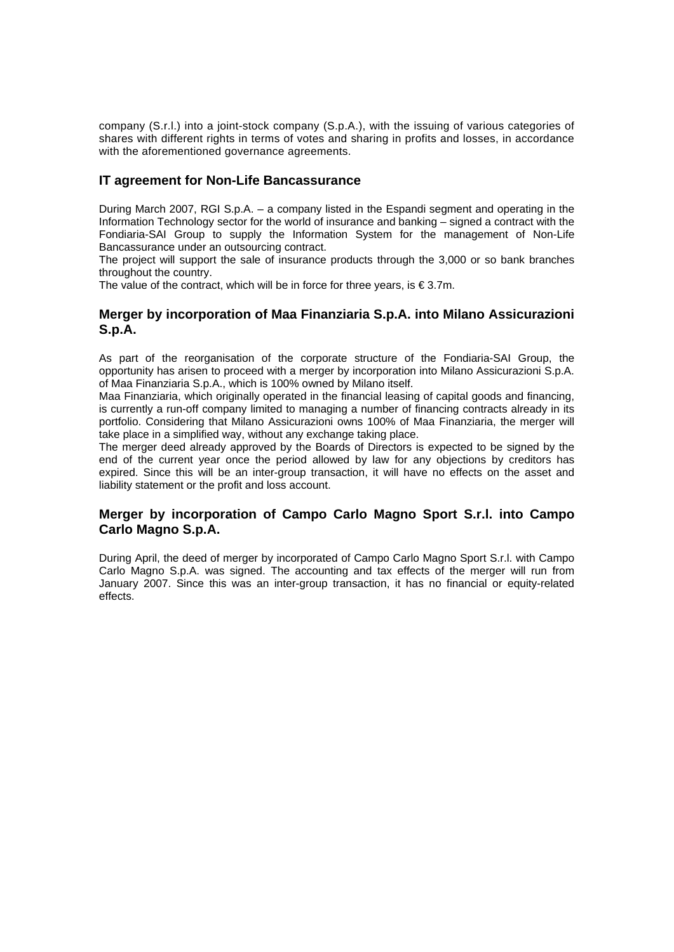company (S.r.l.) into a joint-stock company (S.p.A.), with the issuing of various categories of shares with different rights in terms of votes and sharing in profits and losses, in accordance with the aforementioned governance agreements.

### **IT agreement for Non-Life Bancassurance**

During March 2007, RGI S.p.A. – a company listed in the Espandi segment and operating in the Information Technology sector for the world of insurance and banking – signed a contract with the Fondiaria-SAI Group to supply the Information System for the management of Non-Life Bancassurance under an outsourcing contract.

The project will support the sale of insurance products through the 3,000 or so bank branches throughout the country.

The value of the contract, which will be in force for three years, is  $\epsilon$  3.7m.

### **Merger by incorporation of Maa Finanziaria S.p.A. into Milano Assicurazioni S.p.A.**

As part of the reorganisation of the corporate structure of the Fondiaria-SAI Group, the opportunity has arisen to proceed with a merger by incorporation into Milano Assicurazioni S.p.A. of Maa Finanziaria S.p.A., which is 100% owned by Milano itself.

Maa Finanziaria, which originally operated in the financial leasing of capital goods and financing, is currently a run-off company limited to managing a number of financing contracts already in its portfolio. Considering that Milano Assicurazioni owns 100% of Maa Finanziaria, the merger will take place in a simplified way, without any exchange taking place.

The merger deed already approved by the Boards of Directors is expected to be signed by the end of the current year once the period allowed by law for any objections by creditors has expired. Since this will be an inter-group transaction, it will have no effects on the asset and liability statement or the profit and loss account.

### **Merger by incorporation of Campo Carlo Magno Sport S.r.l. into Campo Carlo Magno S.p.A.**

During April, the deed of merger by incorporated of Campo Carlo Magno Sport S.r.l. with Campo Carlo Magno S.p.A. was signed. The accounting and tax effects of the merger will run from January 2007. Since this was an inter-group transaction, it has no financial or equity-related effects.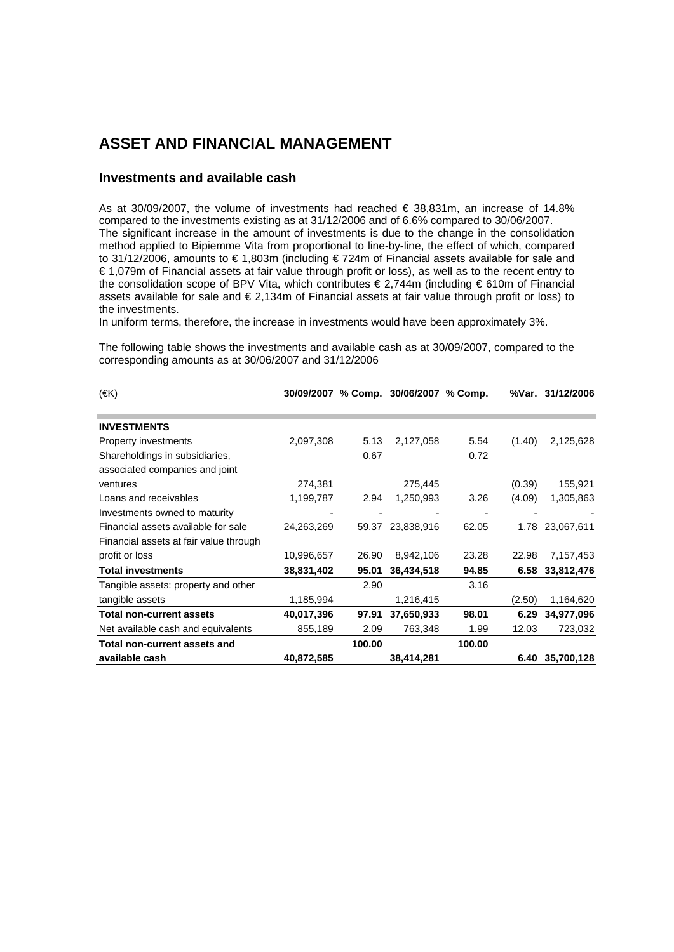### **ASSET AND FINANCIAL MANAGEMENT**

#### **Investments and available cash**

As at 30/09/2007, the volume of investments had reached € 38,831m, an increase of 14.8% compared to the investments existing as at 31/12/2006 and of 6.6% compared to 30/06/2007. The significant increase in the amount of investments is due to the change in the consolidation method applied to Bipiemme Vita from proportional to line-by-line, the effect of which, compared to 31/12/2006, amounts to € 1,803m (including € 724m of Financial assets available for sale and € 1,079m of Financial assets at fair value through profit or loss), as well as to the recent entry to the consolidation scope of BPV Vita, which contributes € 2,744m (including € 610m of Financial assets available for sale and € 2,134m of Financial assets at fair value through profit or loss) to the investments.

In uniform terms, therefore, the increase in investments would have been approximately 3%.

The following table shows the investments and available cash as at 30/09/2007, compared to the corresponding amounts as at 30/06/2007 and 31/12/2006

| $(\infty)$                             | 30/09/2007 |        | % Comp. 30/06/2007 % Comp. |        |        | %Var. 31/12/2006 |
|----------------------------------------|------------|--------|----------------------------|--------|--------|------------------|
|                                        |            |        |                            |        |        |                  |
| <b>INVESTMENTS</b>                     |            |        |                            |        |        |                  |
| Property investments                   | 2,097,308  | 5.13   | 2,127,058                  | 5.54   | (1.40) | 2,125,628        |
| Shareholdings in subsidiaries,         |            | 0.67   |                            | 0.72   |        |                  |
| associated companies and joint         |            |        |                            |        |        |                  |
| ventures                               | 274,381    |        | 275,445                    |        | (0.39) | 155,921          |
| Loans and receivables                  | 1,199,787  | 2.94   | 1,250,993                  | 3.26   | (4.09) | 1,305,863        |
| Investments owned to maturity          |            |        |                            |        |        |                  |
| Financial assets available for sale    | 24,263,269 | 59.37  | 23,838,916                 | 62.05  |        | 1.78 23,067,611  |
| Financial assets at fair value through |            |        |                            |        |        |                  |
| profit or loss                         | 10,996,657 | 26.90  | 8,942,106                  | 23.28  | 22.98  | 7,157,453        |
| <b>Total investments</b>               | 38,831,402 | 95.01  | 36,434,518                 | 94.85  |        | 6.58 33,812,476  |
| Tangible assets: property and other    |            | 2.90   |                            | 3.16   |        |                  |
| tangible assets                        | 1,185,994  |        | 1,216,415                  |        | (2.50) | 1,164,620        |
| <b>Total non-current assets</b>        | 40,017,396 | 97.91  | 37,650,933                 | 98.01  | 6.29   | 34,977,096       |
| Net available cash and equivalents     | 855,189    | 2.09   | 763,348                    | 1.99   | 12.03  | 723,032          |
| Total non-current assets and           |            | 100.00 |                            | 100.00 |        |                  |
| available cash                         | 40,872,585 |        | 38,414,281                 |        | 6.40   | 35,700,128       |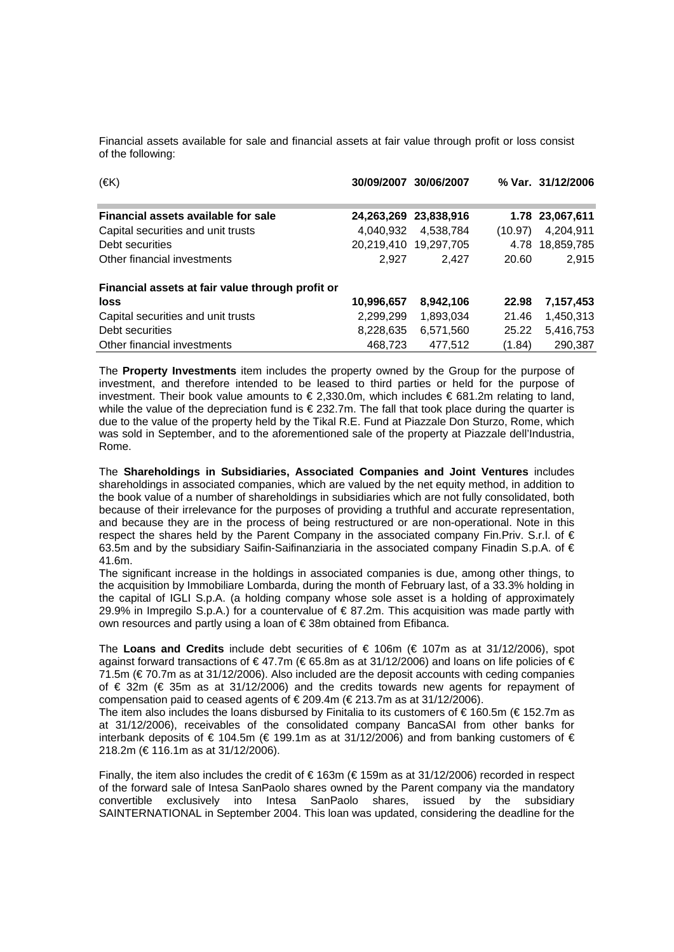Financial assets available for sale and financial assets at fair value through profit or loss consist of the following:

| $(\infty)$                                       |            | 30/09/2007 30/06/2007 |         | % Var. 31/12/2006 |
|--------------------------------------------------|------------|-----------------------|---------|-------------------|
| Financial assets available for sale              |            | 24,263,269 23,838,916 |         | 1.78 23,067,611   |
| Capital securities and unit trusts               | 4.040.932  | 4.538.784             | (10.97) | 4,204,911         |
| Debt securities                                  |            | 20,219,410 19,297,705 |         | 4.78 18,859,785   |
| Other financial investments                      | 2.927      | 2.427                 | 20.60   | 2,915             |
| Financial assets at fair value through profit or |            |                       |         |                   |
| loss                                             | 10,996,657 | 8,942,106             | 22.98   | 7,157,453         |
| Capital securities and unit trusts               | 2,299,299  | 1,893,034             | 21.46   | 1,450,313         |
| Debt securities                                  | 8,228,635  | 6.571.560             | 25.22   | 5,416,753         |
| Other financial investments                      | 468,723    | 477.512               | (1.84)  | 290,387           |

The **Property Investments** item includes the property owned by the Group for the purpose of investment, and therefore intended to be leased to third parties or held for the purpose of investment. Their book value amounts to  $\epsilon$  2,330.0m, which includes  $\epsilon$  681.2m relating to land, while the value of the depreciation fund is €232.7m. The fall that took place during the quarter is due to the value of the property held by the Tikal R.E. Fund at Piazzale Don Sturzo, Rome, which was sold in September, and to the aforementioned sale of the property at Piazzale dell'Industria, Rome.

The **Shareholdings in Subsidiaries, Associated Companies and Joint Ventures** includes shareholdings in associated companies, which are valued by the net equity method, in addition to the book value of a number of shareholdings in subsidiaries which are not fully consolidated, both because of their irrelevance for the purposes of providing a truthful and accurate representation, and because they are in the process of being restructured or are non-operational. Note in this respect the shares held by the Parent Company in the associated company Fin.Priv. S.r.l. of  $\epsilon$ 63.5m and by the subsidiary Saifin-Saifinanziaria in the associated company Finadin S.p.A. of  $\epsilon$ 41.6m.

The significant increase in the holdings in associated companies is due, among other things, to the acquisition by Immobiliare Lombarda, during the month of February last, of a 33.3% holding in the capital of IGLI S.p.A. (a holding company whose sole asset is a holding of approximately 29.9% in Impregilo S.p.A.) for a countervalue of  $\in$  87.2m. This acquisition was made partly with own resources and partly using a loan of € 38m obtained from Efibanca.

The **Loans and Credits** include debt securities of € 106m (€ 107m as at 31/12/2006), spot against forward transactions of  $\in$  47.7m ( $\in$  65.8m as at 31/12/2006) and loans on life policies of  $\in$ 71.5m (€ 70.7m as at 31/12/2006). Also included are the deposit accounts with ceding companies of € 32m (€ 35m as at 31/12/2006) and the credits towards new agents for repayment of compensation paid to ceased agents of  $\epsilon$  209.4m ( $\epsilon$  213.7m as at 31/12/2006).

The item also includes the loans disbursed by Finitalia to its customers of  $\epsilon$  160.5m ( $\epsilon$  152.7m as at 31/12/2006), receivables of the consolidated company BancaSAI from other banks for interbank deposits of  $\epsilon$  104.5m ( $\epsilon$  199.1m as at 31/12/2006) and from banking customers of  $\epsilon$ 218.2m (€ 116.1m as at 31/12/2006).

Finally, the item also includes the credit of  $\in$  163m ( $\in$  159m as at 31/12/2006) recorded in respect of the forward sale of Intesa SanPaolo shares owned by the Parent company via the mandatory convertible exclusively into Intesa SanPaolo shares, issued by the subsidiary SAINTERNATIONAL in September 2004. This loan was updated, considering the deadline for the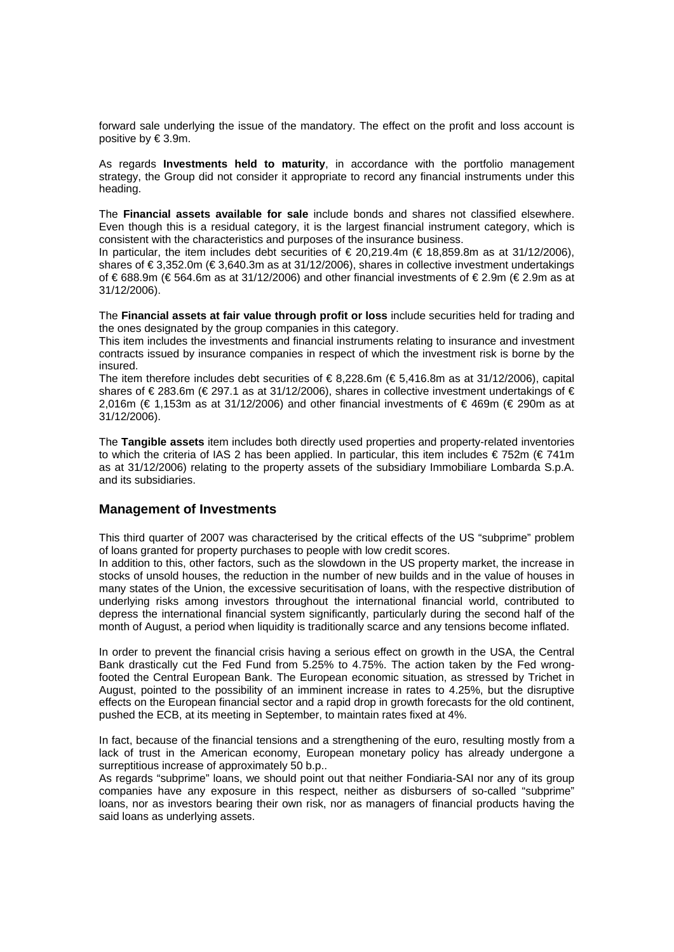forward sale underlying the issue of the mandatory. The effect on the profit and loss account is positive by € 3.9m.

As regards **Investments held to maturity**, in accordance with the portfolio management strategy, the Group did not consider it appropriate to record any financial instruments under this heading.

The **Financial assets available for sale** include bonds and shares not classified elsewhere. Even though this is a residual category, it is the largest financial instrument category, which is consistent with the characteristics and purposes of the insurance business.

In particular, the item includes debt securities of  $\epsilon$  20,219.4m ( $\epsilon$  18,859.8m as at 31/12/2006), shares of € 3,352.0m (€ 3,640.3m as at 31/12/2006), shares in collective investment undertakings of € 688.9m (€ 564.6m as at 31/12/2006) and other financial investments of € 2.9m (€ 2.9m as at 31/12/2006).

The **Financial assets at fair value through profit or loss** include securities held for trading and the ones designated by the group companies in this category.

This item includes the investments and financial instruments relating to insurance and investment contracts issued by insurance companies in respect of which the investment risk is borne by the insured.

The item therefore includes debt securities of  $\epsilon$  8.228.6m ( $\epsilon$  5.416.8m as at 31/12/2006), capital shares of €283.6m (€297.1 as at 31/12/2006), shares in collective investment undertakings of € 2,016m (€ 1,153m as at 31/12/2006) and other financial investments of € 469m (€ 290m as at 31/12/2006).

The **Tangible assets** item includes both directly used properties and property-related inventories to which the criteria of IAS 2 has been applied. In particular, this item includes  $\epsilon$  752m ( $\epsilon$  741m as at 31/12/2006) relating to the property assets of the subsidiary Immobiliare Lombarda S.p.A. and its subsidiaries.

#### **Management of Investments**

This third quarter of 2007 was characterised by the critical effects of the US "subprime" problem of loans granted for property purchases to people with low credit scores.

In addition to this, other factors, such as the slowdown in the US property market, the increase in stocks of unsold houses, the reduction in the number of new builds and in the value of houses in many states of the Union, the excessive securitisation of loans, with the respective distribution of underlying risks among investors throughout the international financial world, contributed to depress the international financial system significantly, particularly during the second half of the month of August, a period when liquidity is traditionally scarce and any tensions become inflated.

In order to prevent the financial crisis having a serious effect on growth in the USA, the Central Bank drastically cut the Fed Fund from 5.25% to 4.75%. The action taken by the Fed wrongfooted the Central European Bank. The European economic situation, as stressed by Trichet in August, pointed to the possibility of an imminent increase in rates to 4.25%, but the disruptive effects on the European financial sector and a rapid drop in growth forecasts for the old continent, pushed the ECB, at its meeting in September, to maintain rates fixed at 4%.

In fact, because of the financial tensions and a strengthening of the euro, resulting mostly from a lack of trust in the American economy, European monetary policy has already undergone a surreptitious increase of approximately 50 b.p..

As regards "subprime" loans, we should point out that neither Fondiaria-SAI nor any of its group companies have any exposure in this respect, neither as disbursers of so-called "subprime" loans, nor as investors bearing their own risk, nor as managers of financial products having the said loans as underlying assets.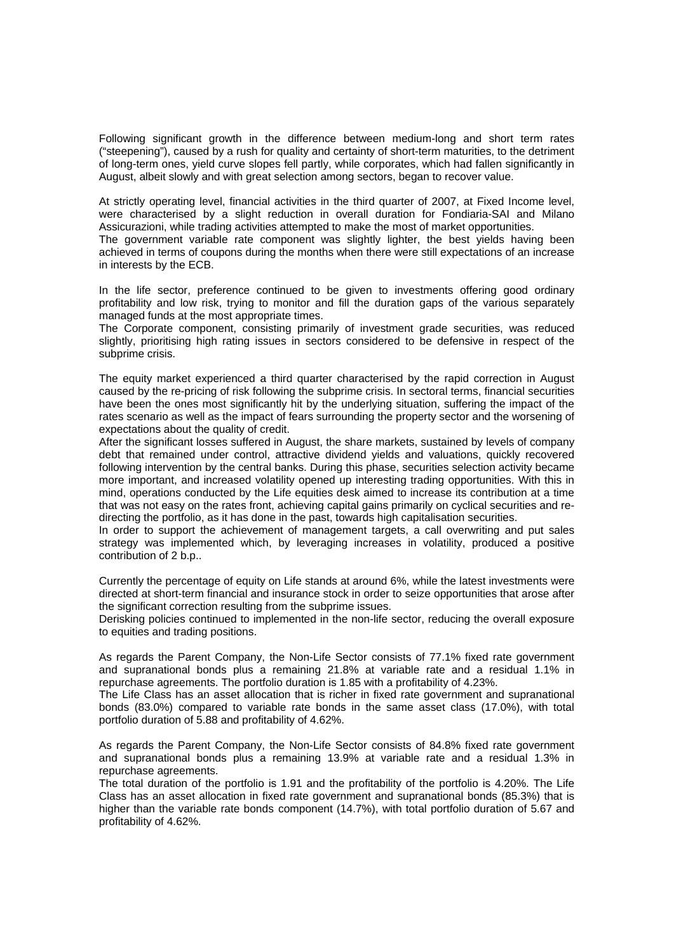Following significant growth in the difference between medium-long and short term rates ("steepening"), caused by a rush for quality and certainty of short-term maturities, to the detriment of long-term ones, yield curve slopes fell partly, while corporates, which had fallen significantly in August, albeit slowly and with great selection among sectors, began to recover value.

At strictly operating level, financial activities in the third quarter of 2007, at Fixed Income level, were characterised by a slight reduction in overall duration for Fondiaria-SAI and Milano Assicurazioni, while trading activities attempted to make the most of market opportunities. The government variable rate component was slightly lighter, the best yields having been

achieved in terms of coupons during the months when there were still expectations of an increase in interests by the ECB.

In the life sector, preference continued to be given to investments offering good ordinary profitability and low risk, trying to monitor and fill the duration gaps of the various separately managed funds at the most appropriate times.

The Corporate component, consisting primarily of investment grade securities, was reduced slightly, prioritising high rating issues in sectors considered to be defensive in respect of the subprime crisis.

The equity market experienced a third quarter characterised by the rapid correction in August caused by the re-pricing of risk following the subprime crisis. In sectoral terms, financial securities have been the ones most significantly hit by the underlying situation, suffering the impact of the rates scenario as well as the impact of fears surrounding the property sector and the worsening of expectations about the quality of credit.

After the significant losses suffered in August, the share markets, sustained by levels of company debt that remained under control, attractive dividend yields and valuations, quickly recovered following intervention by the central banks. During this phase, securities selection activity became more important, and increased volatility opened up interesting trading opportunities. With this in mind, operations conducted by the Life equities desk aimed to increase its contribution at a time that was not easy on the rates front, achieving capital gains primarily on cyclical securities and redirecting the portfolio, as it has done in the past, towards high capitalisation securities.

In order to support the achievement of management targets, a call overwriting and put sales strategy was implemented which, by leveraging increases in volatility, produced a positive contribution of 2 b.p..

Currently the percentage of equity on Life stands at around 6%, while the latest investments were directed at short-term financial and insurance stock in order to seize opportunities that arose after the significant correction resulting from the subprime issues.

Derisking policies continued to implemented in the non-life sector, reducing the overall exposure to equities and trading positions.

As regards the Parent Company, the Non-Life Sector consists of 77.1% fixed rate government and supranational bonds plus a remaining 21.8% at variable rate and a residual 1.1% in repurchase agreements. The portfolio duration is 1.85 with a profitability of 4.23%.

The Life Class has an asset allocation that is richer in fixed rate government and supranational bonds (83.0%) compared to variable rate bonds in the same asset class (17.0%), with total portfolio duration of 5.88 and profitability of 4.62%.

As regards the Parent Company, the Non-Life Sector consists of 84.8% fixed rate government and supranational bonds plus a remaining 13.9% at variable rate and a residual 1.3% in repurchase agreements.

The total duration of the portfolio is 1.91 and the profitability of the portfolio is 4.20%. The Life Class has an asset allocation in fixed rate government and supranational bonds (85.3%) that is higher than the variable rate bonds component (14.7%), with total portfolio duration of 5.67 and profitability of 4.62%.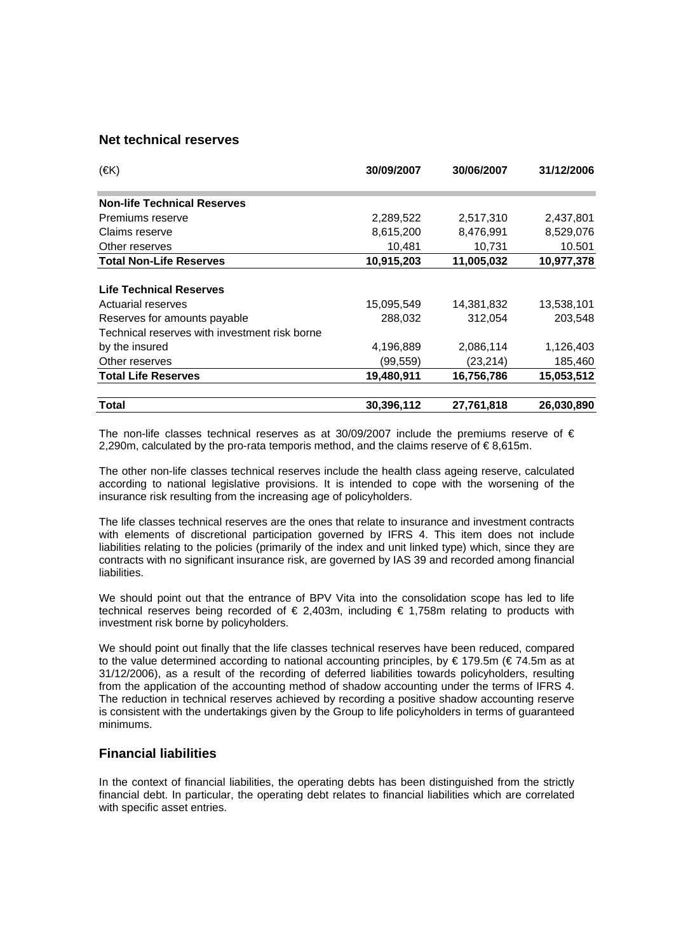#### **Net technical reserves**

| $(\infty)$                                    | 30/09/2007 | 30/06/2007 | 31/12/2006 |
|-----------------------------------------------|------------|------------|------------|
| <b>Non-life Technical Reserves</b>            |            |            |            |
| Premiums reserve                              | 2,289,522  | 2,517,310  | 2,437,801  |
| Claims reserve                                | 8,615,200  | 8,476,991  | 8,529,076  |
| Other reserves                                | 10,481     | 10,731     | 10.501     |
| <b>Total Non-Life Reserves</b>                | 10,915,203 | 11,005,032 | 10,977,378 |
|                                               |            |            |            |
| <b>Life Technical Reserves</b>                |            |            |            |
| Actuarial reserves                            | 15,095,549 | 14,381,832 | 13,538,101 |
| Reserves for amounts payable                  | 288,032    | 312,054    | 203,548    |
| Technical reserves with investment risk borne |            |            |            |
| by the insured                                | 4,196,889  | 2,086,114  | 1,126,403  |
| Other reserves                                | (99,559)   | (23, 214)  | 185,460    |
| <b>Total Life Reserves</b>                    | 19,480,911 | 16,756,786 | 15,053,512 |
| Total                                         | 30,396,112 | 27,761,818 | 26,030,890 |

The non-life classes technical reserves as at 30/09/2007 include the premiums reserve of  $\epsilon$ 2,290m, calculated by the pro-rata temporis method, and the claims reserve of  $\epsilon$ 8,615m.

The other non-life classes technical reserves include the health class ageing reserve, calculated according to national legislative provisions. It is intended to cope with the worsening of the insurance risk resulting from the increasing age of policyholders.

The life classes technical reserves are the ones that relate to insurance and investment contracts with elements of discretional participation governed by IFRS 4. This item does not include liabilities relating to the policies (primarily of the index and unit linked type) which, since they are contracts with no significant insurance risk, are governed by IAS 39 and recorded among financial liabilities.

We should point out that the entrance of BPV Vita into the consolidation scope has led to life technical reserves being recorded of  $\epsilon$  2,403m, including  $\epsilon$  1,758m relating to products with investment risk borne by policyholders.

We should point out finally that the life classes technical reserves have been reduced, compared to the value determined according to national accounting principles, by € 179.5m (€ 74.5m as at 31/12/2006), as a result of the recording of deferred liabilities towards policyholders, resulting from the application of the accounting method of shadow accounting under the terms of IFRS 4. The reduction in technical reserves achieved by recording a positive shadow accounting reserve is consistent with the undertakings given by the Group to life policyholders in terms of guaranteed minimums.

### **Financial liabilities**

In the context of financial liabilities, the operating debts has been distinguished from the strictly financial debt. In particular, the operating debt relates to financial liabilities which are correlated with specific asset entries.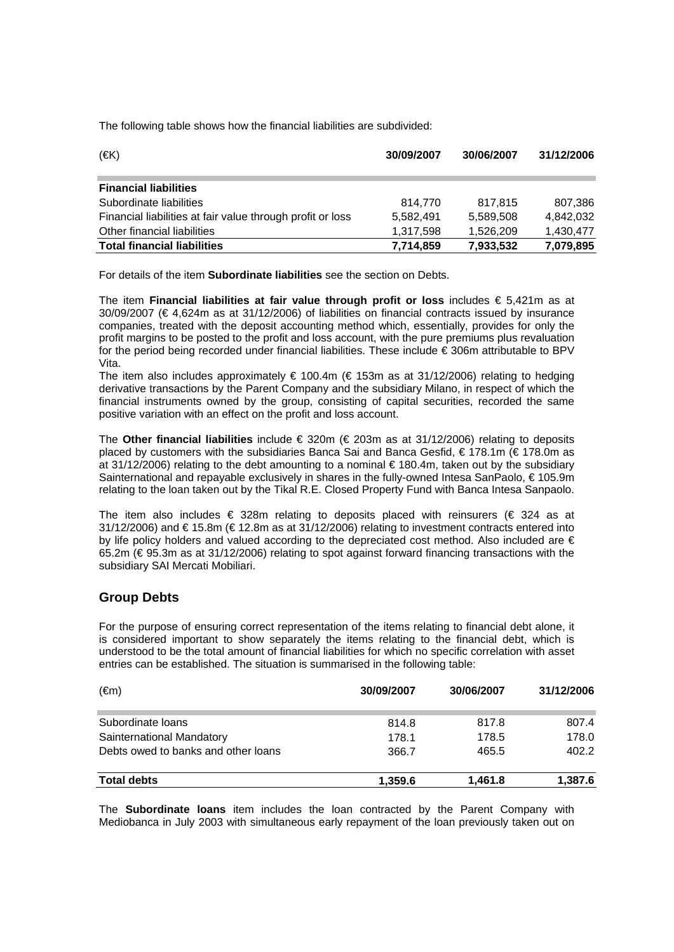The following table shows how the financial liabilities are subdivided:

| $(\infty)$                                                 | 30/09/2007 | 30/06/2007 | 31/12/2006 |
|------------------------------------------------------------|------------|------------|------------|
| <b>Financial liabilities</b>                               |            |            |            |
| Subordinate liabilities                                    | 814,770    | 817.815    | 807,386    |
| Financial liabilities at fair value through profit or loss | 5,582,491  | 5,589,508  | 4,842,032  |
| Other financial liabilities                                | 1,317,598  | 1.526.209  | 1,430,477  |
| <b>Total financial liabilities</b>                         | 7,714,859  | 7,933,532  | 7,079,895  |

For details of the item **Subordinate liabilities** see the section on Debts.

The item **Financial liabilities at fair value through profit or loss** includes € 5,421m as at 30/09/2007 (€ 4,624m as at 31/12/2006) of liabilities on financial contracts issued by insurance companies, treated with the deposit accounting method which, essentially, provides for only the profit margins to be posted to the profit and loss account, with the pure premiums plus revaluation for the period being recorded under financial liabilities. These include € 306m attributable to BPV Vita.

The item also includes approximately  $\epsilon$  100.4m ( $\epsilon$  153m as at 31/12/2006) relating to hedging derivative transactions by the Parent Company and the subsidiary Milano, in respect of which the financial instruments owned by the group, consisting of capital securities, recorded the same positive variation with an effect on the profit and loss account.

The **Other financial liabilities** include € 320m (€ 203m as at 31/12/2006) relating to deposits placed by customers with the subsidiaries Banca Sai and Banca Gesfid, € 178.1m (€ 178.0m as at 31/12/2006) relating to the debt amounting to a nominal  $\epsilon$  180.4m, taken out by the subsidiary Sainternational and repayable exclusively in shares in the fully-owned Intesa SanPaolo, €105.9m relating to the loan taken out by the Tikal R.E. Closed Property Fund with Banca Intesa Sanpaolo.

The item also includes  $\epsilon$  328m relating to deposits placed with reinsurers ( $\epsilon$  324 as at 31/12/2006) and € 15.8m (€ 12.8m as at 31/12/2006) relating to investment contracts entered into by life policy holders and valued according to the depreciated cost method. Also included are € 65.2m (€ 95.3m as at 31/12/2006) relating to spot against forward financing transactions with the subsidiary SAI Mercati Mobiliari.

### **Group Debts**

For the purpose of ensuring correct representation of the items relating to financial debt alone, it is considered important to show separately the items relating to the financial debt, which is understood to be the total amount of financial liabilities for which no specific correlation with asset entries can be established. The situation is summarised in the following table:

| (€m)                                | 30/09/2007 | 30/06/2007 | 31/12/2006 |
|-------------------------------------|------------|------------|------------|
| Subordinate loans                   | 814.8      | 817.8      | 807.4      |
| Sainternational Mandatory           | 178.1      | 178.5      | 178.0      |
| Debts owed to banks and other loans | 366.7      | 465.5      | 402.2      |
| <b>Total debts</b>                  | 1.359.6    | 1,461.8    | 1,387.6    |

The **Subordinate loans** item includes the loan contracted by the Parent Company with Mediobanca in July 2003 with simultaneous early repayment of the loan previously taken out on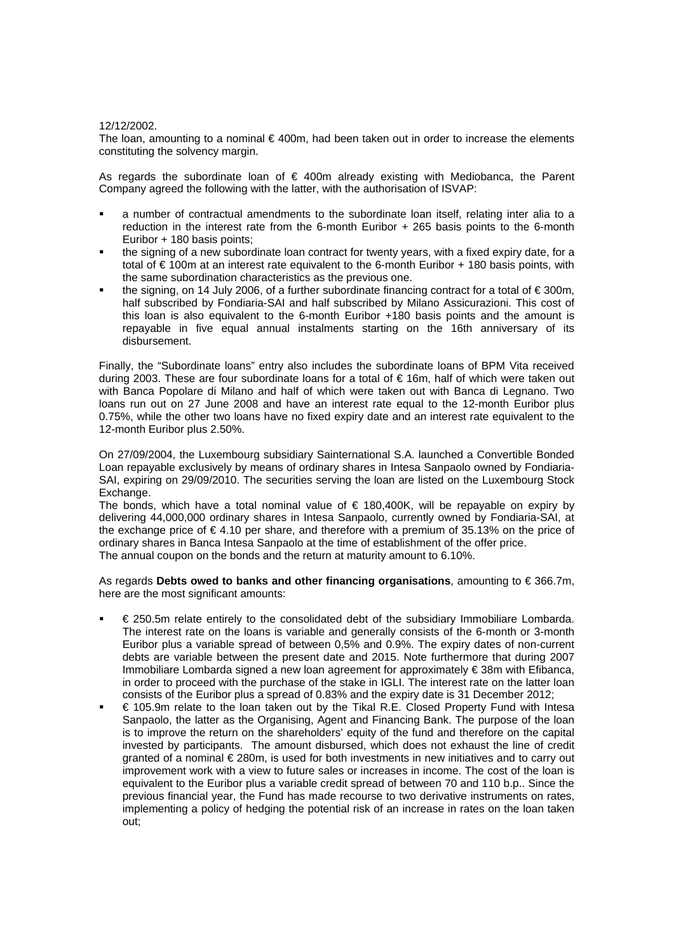#### 12/12/2002.

The loan, amounting to a nominal  $\epsilon$ 400m, had been taken out in order to increase the elements constituting the solvency margin.

As regards the subordinate loan of  $\epsilon$  400m already existing with Mediobanca, the Parent Company agreed the following with the latter, with the authorisation of ISVAP:

- a number of contractual amendments to the subordinate loan itself, relating inter alia to a reduction in the interest rate from the 6-month Euribor + 265 basis points to the 6-month Euribor + 180 basis points;
- the signing of a new subordinate loan contract for twenty years, with a fixed expiry date, for a total of € 100m at an interest rate equivalent to the 6-month Euribor + 180 basis points, with the same subordination characteristics as the previous one.
- the signing, on 14 July 2006, of a further subordinate financing contract for a total of € 300m, half subscribed by Fondiaria-SAI and half subscribed by Milano Assicurazioni. This cost of this loan is also equivalent to the 6-month Euribor +180 basis points and the amount is repayable in five equal annual instalments starting on the 16th anniversary of its disbursement.

Finally, the "Subordinate loans" entry also includes the subordinate loans of BPM Vita received during 2003. These are four subordinate loans for a total of € 16m, half of which were taken out with Banca Popolare di Milano and half of which were taken out with Banca di Legnano. Two loans run out on 27 June 2008 and have an interest rate equal to the 12-month Euribor plus 0.75%, while the other two loans have no fixed expiry date and an interest rate equivalent to the 12-month Euribor plus 2.50%.

On 27/09/2004, the Luxembourg subsidiary Sainternational S.A. launched a Convertible Bonded Loan repayable exclusively by means of ordinary shares in Intesa Sanpaolo owned by Fondiaria-SAI, expiring on 29/09/2010. The securities serving the loan are listed on the Luxembourg Stock Exchange.

The bonds, which have a total nominal value of  $\epsilon$  180,400K, will be repayable on expiry by delivering 44,000,000 ordinary shares in Intesa Sanpaolo, currently owned by Fondiaria-SAI, at the exchange price of  $\epsilon$  4.10 per share, and therefore with a premium of 35.13% on the price of ordinary shares in Banca Intesa Sanpaolo at the time of establishment of the offer price. The annual coupon on the bonds and the return at maturity amount to 6.10%.

As regards **Debts owed to banks and other financing organisations**, amounting to € 366.7m, here are the most significant amounts:

- € 250.5m relate entirely to the consolidated debt of the subsidiary Immobiliare Lombarda. The interest rate on the loans is variable and generally consists of the 6-month or 3-month Euribor plus a variable spread of between 0,5% and 0.9%. The expiry dates of non-current debts are variable between the present date and 2015. Note furthermore that during 2007 Immobiliare Lombarda signed a new loan agreement for approximately € 38m with Efibanca, in order to proceed with the purchase of the stake in IGLI. The interest rate on the latter loan consists of the Euribor plus a spread of 0.83% and the expiry date is 31 December 2012;
- € 105.9m relate to the loan taken out by the Tikal R.E. Closed Property Fund with Intesa Sanpaolo, the latter as the Organising, Agent and Financing Bank. The purpose of the loan is to improve the return on the shareholders' equity of the fund and therefore on the capital invested by participants. The amount disbursed, which does not exhaust the line of credit granted of a nominal € 280m, is used for both investments in new initiatives and to carry out improvement work with a view to future sales or increases in income. The cost of the loan is equivalent to the Euribor plus a variable credit spread of between 70 and 110 b.p.. Since the previous financial year, the Fund has made recourse to two derivative instruments on rates, implementing a policy of hedging the potential risk of an increase in rates on the loan taken out;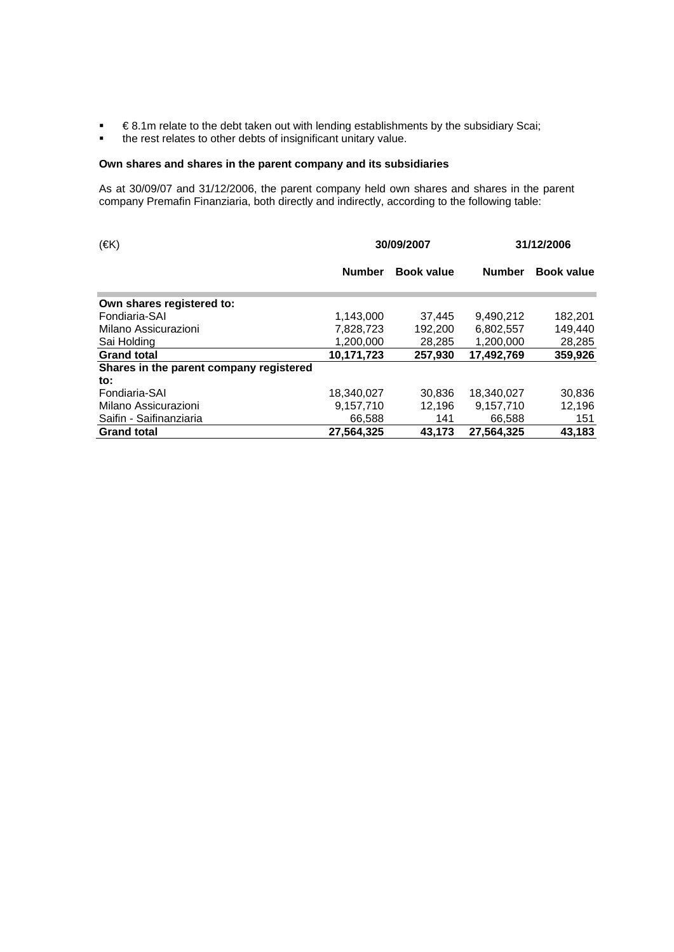- **E** 8.1m relate to the debt taken out with lending establishments by the subsidiary Scai;
- **the rest relates to other debts of insignificant unitary value.**

#### **Own shares and shares in the parent company and its subsidiaries**

As at 30/09/07 and 31/12/2006, the parent company held own shares and shares in the parent company Premafin Finanziaria, both directly and indirectly, according to the following table:

| $(\in K)$                               | 30/09/2007    |                   | 31/12/2006    |            |  |
|-----------------------------------------|---------------|-------------------|---------------|------------|--|
|                                         | <b>Number</b> | <b>Book value</b> | <b>Number</b> | Book value |  |
| Own shares registered to:               |               |                   |               |            |  |
| Fondiaria-SAI                           | 1,143,000     | 37,445            | 9.490.212     | 182,201    |  |
| Milano Assicurazioni                    | 7,828,723     | 192,200           | 6.802.557     | 149,440    |  |
| Sai Holding                             | 1.200.000     | 28,285            | 1.200.000     | 28,285     |  |
| <b>Grand total</b>                      | 10,171,723    | 257,930           | 17.492.769    | 359,926    |  |
| Shares in the parent company registered |               |                   |               |            |  |
| $\mathsf{to}$ :                         |               |                   |               |            |  |
| Fondiaria-SAI                           | 18,340,027    | 30,836            | 18,340,027    | 30,836     |  |
| Milano Assicurazioni                    | 9.157.710     | 12.196            | 9.157.710     | 12,196     |  |
| Saifin - Saifinanziaria                 | 66,588        | 141               | 66,588        | 151        |  |
| <b>Grand total</b>                      | 27.564.325    | 43.173            | 27,564,325    | 43,183     |  |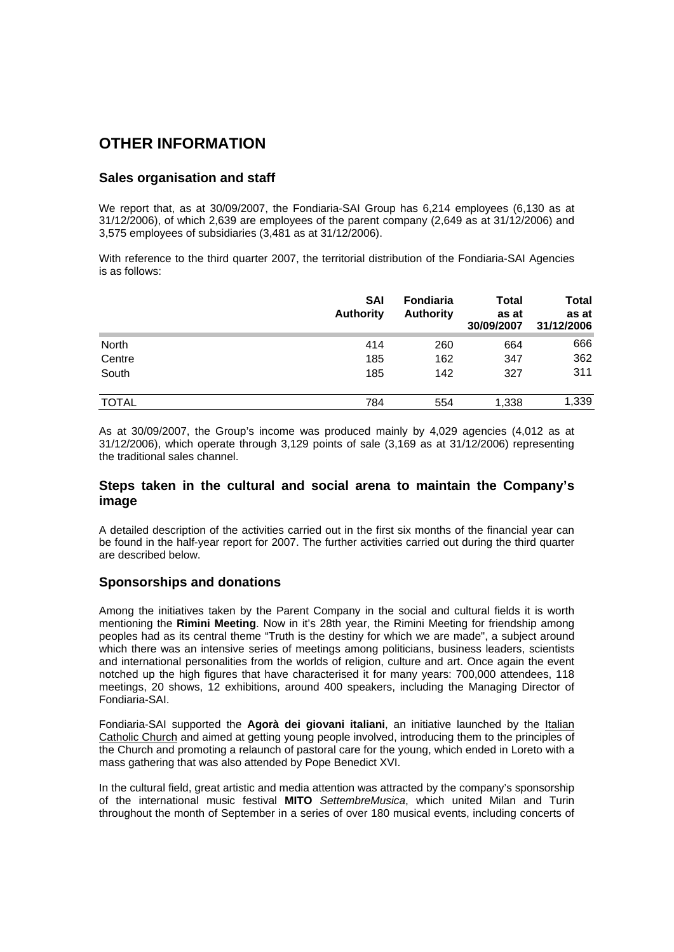### **OTHER INFORMATION**

### **Sales organisation and staff**

We report that, as at 30/09/2007, the Fondiaria-SAI Group has 6,214 employees (6,130 as at 31/12/2006), of which 2,639 are employees of the parent company (2,649 as at 31/12/2006) and 3,575 employees of subsidiaries (3,481 as at 31/12/2006).

With reference to the third quarter 2007, the territorial distribution of the Fondiaria-SAI Agencies is as follows:

|              | <b>SAI</b><br><b>Authority</b> | <b>Fondiaria</b><br><b>Authority</b> | <b>Total</b><br>as at<br>30/09/2007 | <b>Total</b><br>as at<br>31/12/2006 |
|--------------|--------------------------------|--------------------------------------|-------------------------------------|-------------------------------------|
| North        | 414                            | 260                                  | 664                                 | 666                                 |
| Centre       | 185                            | 162                                  | 347                                 | 362                                 |
| South        | 185                            | 142                                  | 327                                 | 311                                 |
| <b>TOTAL</b> | 784                            | 554                                  | 1,338                               | 1,339                               |

As at 30/09/2007, the Group's income was produced mainly by 4,029 agencies (4,012 as at 31/12/2006), which operate through 3,129 points of sale (3,169 as at 31/12/2006) representing the traditional sales channel.

### **Steps taken in the cultural and social arena to maintain the Company's image**

A detailed description of the activities carried out in the first six months of the financial year can be found in the half-year report for 2007. The further activities carried out during the third quarter are described below.

#### **Sponsorships and donations**

Among the initiatives taken by the Parent Company in the social and cultural fields it is worth mentioning the **Rimini Meeting**. Now in it's 28th year, the Rimini Meeting for friendship among peoples had as its central theme "Truth is the destiny for which we are made", a subject around which there was an intensive series of meetings among politicians, business leaders, scientists and international personalities from the worlds of religion, culture and art. Once again the event notched up the high figures that have characterised it for many years: 700,000 attendees, 118 meetings, 20 shows, 12 exhibitions, around 400 speakers, including the Managing Director of Fondiaria-SAI.

Fondiaria-SAI supported the **Agorà dei giovani italiani**, an initiative launched by the Italian Catholic Church and aimed at getting young people involved, introducing them to the principles of the Church and promoting a relaunch of pastoral care for the young, which ended in Loreto with a mass gathering that was also attended by Pope Benedict XVI.

In the cultural field, great artistic and media attention was attracted by the company's sponsorship of the international music festival **MITO** *SettembreMusica*, which united Milan and Turin throughout the month of September in a series of over 180 musical events, including concerts of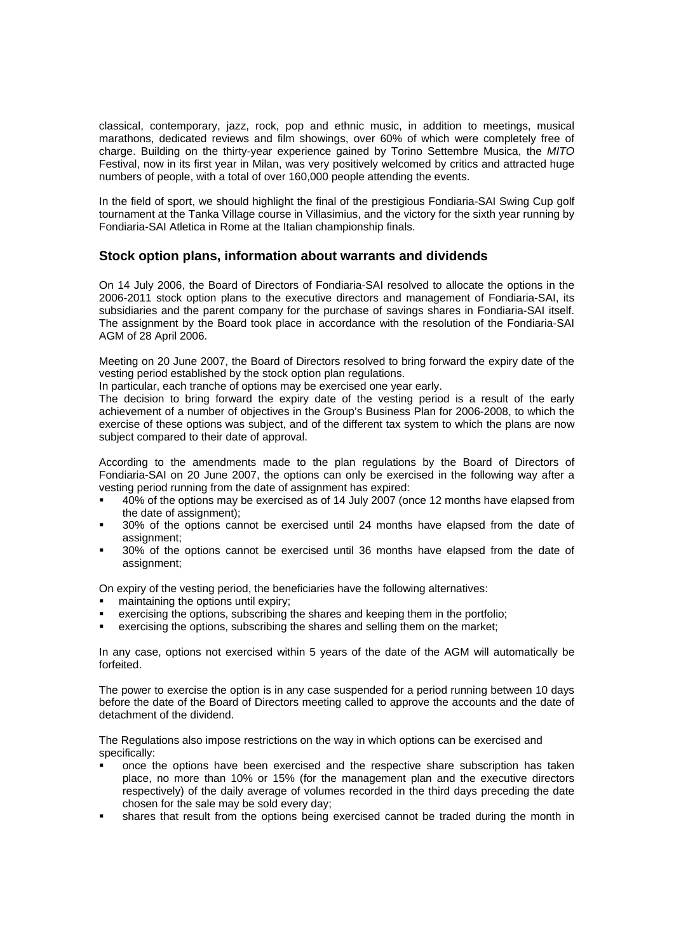classical, contemporary, jazz, rock, pop and ethnic music, in addition to meetings, musical marathons, dedicated reviews and film showings, over 60% of which were completely free of charge. Building on the thirty-year experience gained by Torino Settembre Musica, the *MITO* Festival, now in its first year in Milan, was very positively welcomed by critics and attracted huge numbers of people, with a total of over 160,000 people attending the events.

In the field of sport, we should highlight the final of the prestigious Fondiaria-SAI Swing Cup golf tournament at the Tanka Village course in Villasimius, and the victory for the sixth year running by Fondiaria-SAI Atletica in Rome at the Italian championship finals.

### **Stock option plans, information about warrants and dividends**

On 14 July 2006, the Board of Directors of Fondiaria-SAI resolved to allocate the options in the 2006-2011 stock option plans to the executive directors and management of Fondiaria-SAI, its subsidiaries and the parent company for the purchase of savings shares in Fondiaria-SAI itself. The assignment by the Board took place in accordance with the resolution of the Fondiaria-SAI AGM of 28 April 2006.

Meeting on 20 June 2007, the Board of Directors resolved to bring forward the expiry date of the vesting period established by the stock option plan regulations.

In particular, each tranche of options may be exercised one year early.

The decision to bring forward the expiry date of the vesting period is a result of the early achievement of a number of objectives in the Group's Business Plan for 2006-2008, to which the exercise of these options was subject, and of the different tax system to which the plans are now subject compared to their date of approval.

According to the amendments made to the plan regulations by the Board of Directors of Fondiaria-SAI on 20 June 2007, the options can only be exercised in the following way after a vesting period running from the date of assignment has expired:

- 40% of the options may be exercised as of 14 July 2007 (once 12 months have elapsed from the date of assignment);
- 30% of the options cannot be exercised until 24 months have elapsed from the date of assignment:
- 30% of the options cannot be exercised until 36 months have elapsed from the date of assignment;

On expiry of the vesting period, the beneficiaries have the following alternatives:

- maintaining the options until expiry;
- exercising the options, subscribing the shares and keeping them in the portfolio;
- exercising the options, subscribing the shares and selling them on the market;

In any case, options not exercised within 5 years of the date of the AGM will automatically be forfeited.

The power to exercise the option is in any case suspended for a period running between 10 days before the date of the Board of Directors meeting called to approve the accounts and the date of detachment of the dividend.

The Regulations also impose restrictions on the way in which options can be exercised and specifically:

- once the options have been exercised and the respective share subscription has taken place, no more than 10% or 15% (for the management plan and the executive directors respectively) of the daily average of volumes recorded in the third days preceding the date chosen for the sale may be sold every day;
- shares that result from the options being exercised cannot be traded during the month in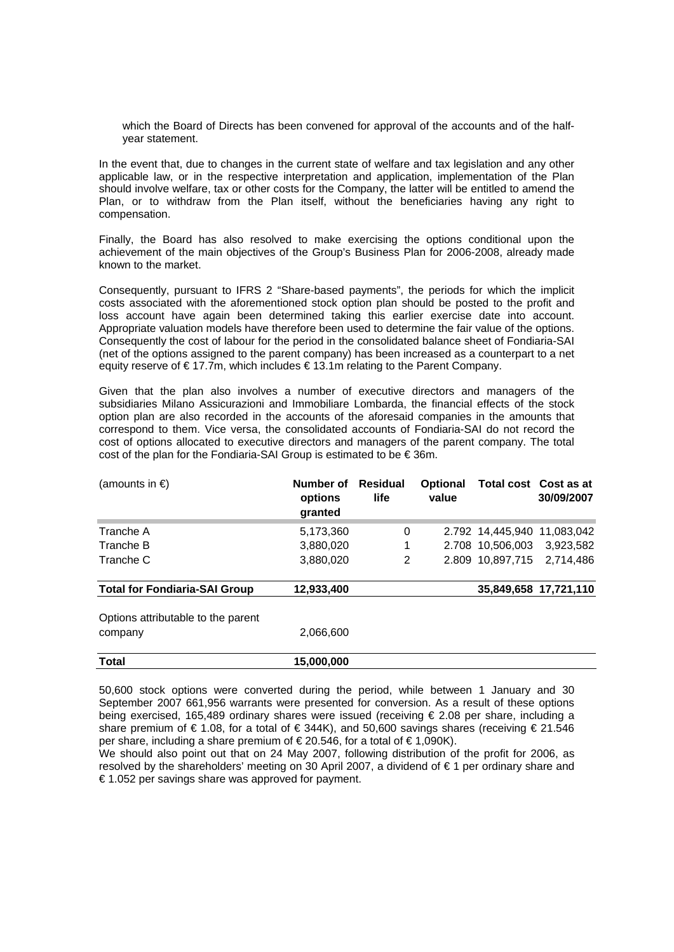which the Board of Directs has been convened for approval of the accounts and of the halfyear statement.

In the event that, due to changes in the current state of welfare and tax legislation and any other applicable law, or in the respective interpretation and application, implementation of the Plan should involve welfare, tax or other costs for the Company, the latter will be entitled to amend the Plan, or to withdraw from the Plan itself, without the beneficiaries having any right to compensation.

Finally, the Board has also resolved to make exercising the options conditional upon the achievement of the main objectives of the Group's Business Plan for 2006-2008, already made known to the market.

Consequently, pursuant to IFRS 2 "Share-based payments", the periods for which the implicit costs associated with the aforementioned stock option plan should be posted to the profit and loss account have again been determined taking this earlier exercise date into account. Appropriate valuation models have therefore been used to determine the fair value of the options. Consequently the cost of labour for the period in the consolidated balance sheet of Fondiaria-SAI (net of the options assigned to the parent company) has been increased as a counterpart to a net equity reserve of € 17.7m, which includes € 13.1m relating to the Parent Company.

Given that the plan also involves a number of executive directors and managers of the subsidiaries Milano Assicurazioni and Immobiliare Lombarda, the financial effects of the stock option plan are also recorded in the accounts of the aforesaid companies in the amounts that correspond to them. Vice versa, the consolidated accounts of Fondiaria-SAI do not record the cost of options allocated to executive directors and managers of the parent company. The total cost of the plan for the Fondiaria-SAI Group is estimated to be € 36m.

| (amounts in $\epsilon$ )             | Number of<br>options<br>granted | <b>Residual</b><br>life | <b>Optional</b><br>value | Total cost Cost as at       | 30/09/2007            |
|--------------------------------------|---------------------------------|-------------------------|--------------------------|-----------------------------|-----------------------|
| Tranche A                            | 5,173,360                       | $\mathbf 0$             |                          | 2.792 14,445,940 11,083,042 |                       |
| Tranche B                            | 3,880,020                       | 1                       |                          | 2.708 10,506,003            | 3,923,582             |
| Tranche C                            | 3,880,020                       | 2                       |                          | 2.809 10,897,715            | 2.714.486             |
| <b>Total for Fondiaria-SAI Group</b> | 12,933,400                      |                         |                          |                             | 35,849,658 17,721,110 |
| Options attributable to the parent   |                                 |                         |                          |                             |                       |
| company                              | 2,066,600                       |                         |                          |                             |                       |
| <b>Total</b>                         | 15.000.000                      |                         |                          |                             |                       |

50,600 stock options were converted during the period, while between 1 January and 30 September 2007 661,956 warrants were presented for conversion. As a result of these options being exercised, 165,489 ordinary shares were issued (receiving € 2.08 per share, including a share premium of  $\in$  1.08, for a total of  $\in$  344K), and 50,600 savings shares (receiving  $\in$  21.546 per share, including a share premium of  $\in$  20.546, for a total of  $\in$  1,090K).

We should also point out that on 24 May 2007, following distribution of the profit for 2006, as resolved by the shareholders' meeting on 30 April 2007, a dividend of € 1 per ordinary share and € 1.052 per savings share was approved for payment.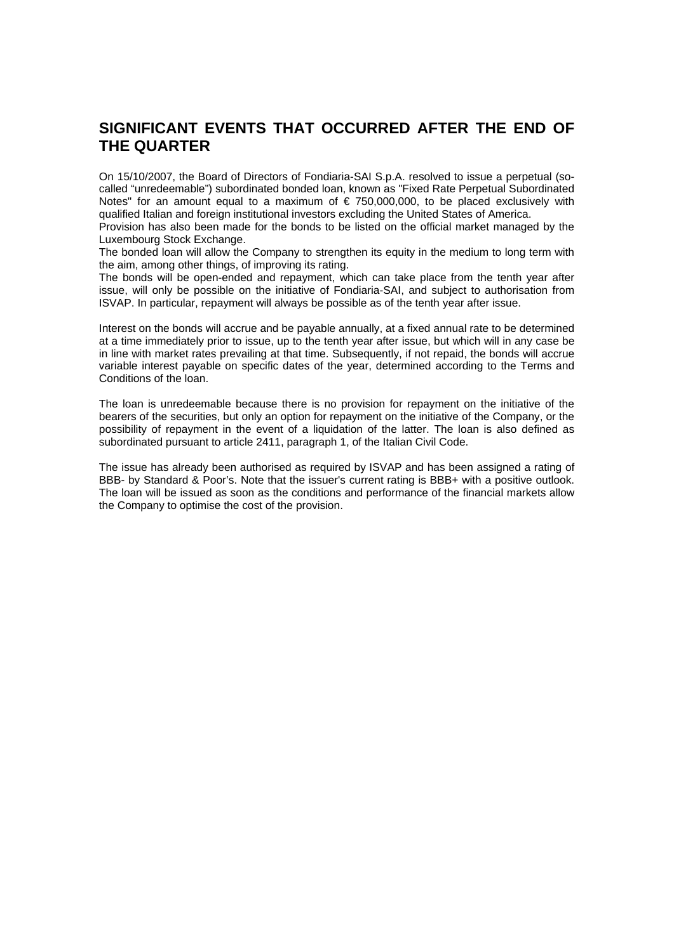### **SIGNIFICANT EVENTS THAT OCCURRED AFTER THE END OF THE QUARTER**

On 15/10/2007, the Board of Directors of Fondiaria-SAI S.p.A. resolved to issue a perpetual (socalled "unredeemable") subordinated bonded loan, known as "Fixed Rate Perpetual Subordinated Notes" for an amount equal to a maximum of  $\epsilon$  750,000,000, to be placed exclusively with qualified Italian and foreign institutional investors excluding the United States of America.

Provision has also been made for the bonds to be listed on the official market managed by the Luxembourg Stock Exchange.

The bonded loan will allow the Company to strengthen its equity in the medium to long term with the aim, among other things, of improving its rating.

The bonds will be open-ended and repayment, which can take place from the tenth year after issue, will only be possible on the initiative of Fondiaria-SAI, and subject to authorisation from ISVAP. In particular, repayment will always be possible as of the tenth year after issue.

Interest on the bonds will accrue and be payable annually, at a fixed annual rate to be determined at a time immediately prior to issue, up to the tenth year after issue, but which will in any case be in line with market rates prevailing at that time. Subsequently, if not repaid, the bonds will accrue variable interest payable on specific dates of the year, determined according to the Terms and Conditions of the loan.

The loan is unredeemable because there is no provision for repayment on the initiative of the bearers of the securities, but only an option for repayment on the initiative of the Company, or the possibility of repayment in the event of a liquidation of the latter. The loan is also defined as subordinated pursuant to article 2411, paragraph 1, of the Italian Civil Code.

The issue has already been authorised as required by ISVAP and has been assigned a rating of BBB- by Standard & Poor's. Note that the issuer's current rating is BBB+ with a positive outlook. The loan will be issued as soon as the conditions and performance of the financial markets allow the Company to optimise the cost of the provision.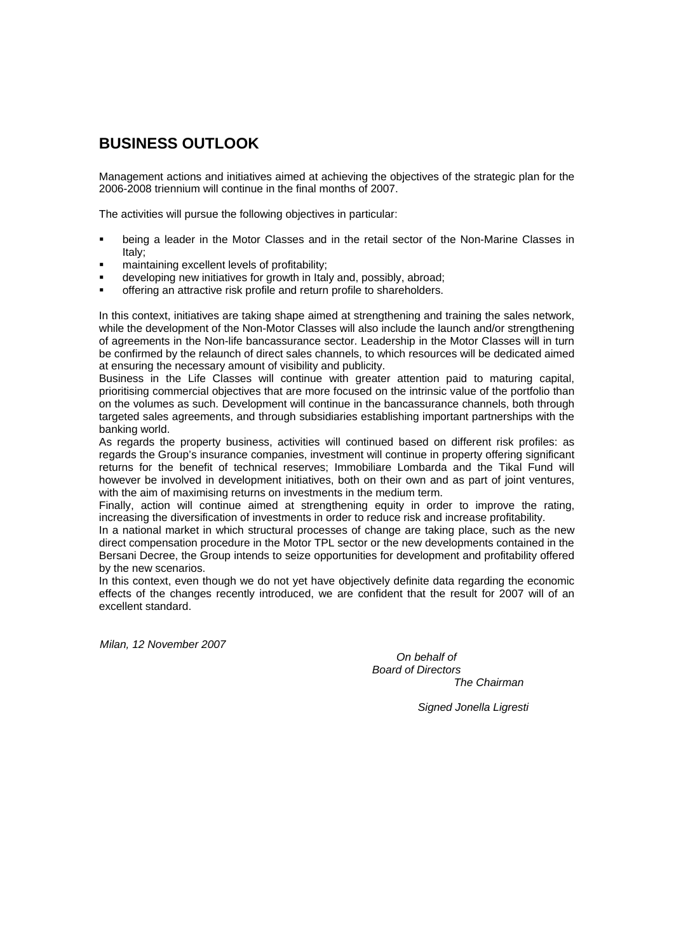### **BUSINESS OUTLOOK**

Management actions and initiatives aimed at achieving the objectives of the strategic plan for the 2006-2008 triennium will continue in the final months of 2007.

The activities will pursue the following objectives in particular:

- being a leader in the Motor Classes and in the retail sector of the Non-Marine Classes in Italy;
- maintaining excellent levels of profitability;
- developing new initiatives for growth in Italy and, possibly, abroad;
- offering an attractive risk profile and return profile to shareholders.

In this context, initiatives are taking shape aimed at strengthening and training the sales network, while the development of the Non-Motor Classes will also include the launch and/or strengthening of agreements in the Non-life bancassurance sector. Leadership in the Motor Classes will in turn be confirmed by the relaunch of direct sales channels, to which resources will be dedicated aimed at ensuring the necessary amount of visibility and publicity.

Business in the Life Classes will continue with greater attention paid to maturing capital, prioritising commercial objectives that are more focused on the intrinsic value of the portfolio than on the volumes as such. Development will continue in the bancassurance channels, both through targeted sales agreements, and through subsidiaries establishing important partnerships with the banking world.

As regards the property business, activities will continued based on different risk profiles: as regards the Group's insurance companies, investment will continue in property offering significant returns for the benefit of technical reserves; Immobiliare Lombarda and the Tikal Fund will however be involved in development initiatives, both on their own and as part of joint ventures, with the aim of maximising returns on investments in the medium term.

Finally, action will continue aimed at strengthening equity in order to improve the rating, increasing the diversification of investments in order to reduce risk and increase profitability.

In a national market in which structural processes of change are taking place, such as the new direct compensation procedure in the Motor TPL sector or the new developments contained in the Bersani Decree, the Group intends to seize opportunities for development and profitability offered by the new scenarios.

In this context, even though we do not yet have objectively definite data regarding the economic effects of the changes recently introduced, we are confident that the result for 2007 will of an excellent standard.

*Milan, 12 November 2007* 

 *On behalf of Board of Directors The Chairman* 

*Signed Jonella Ligresti*